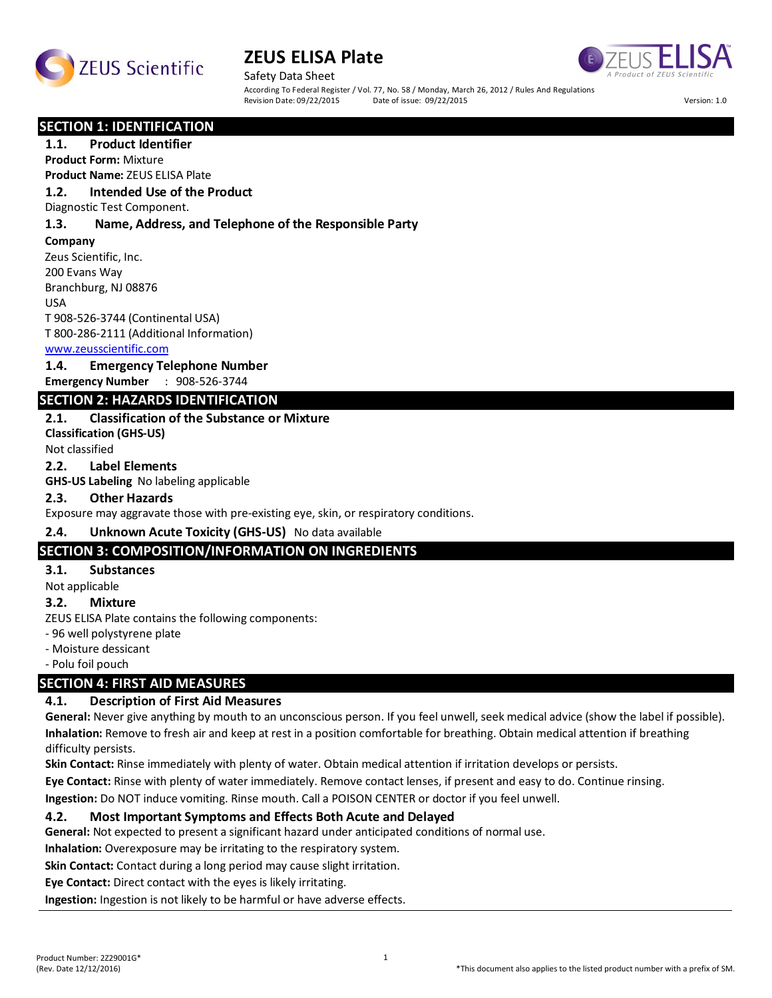



Safety Data Sheet According To Federal Register / Vol. 77, No. 58 / Monday, March 26, 2012 / Rules And Regulations<br>Revision Date: 09/22/2015 Date of issue: 09/22/2015 Revision Date: 09/22/2015 Date of issue: 09/22/2015 Version: 1.0

#### **SECTION 1: IDENTIFICATION**

#### **1.1. Product Identifier**

**Product Form:** Mixture

# **Product Name:** ZEUS ELISA Plate

**1.2. Intended Use of the Product**

Diagnostic Test Component.

#### **1.3. Name, Address, and Telephone of the Responsible Party**

**Company** 

Zeus Scientific, Inc. 200 Evans Way Branchburg, NJ 08876

USA

T 908-526-3744 (Continental USA) T 800-286-2111 (Additional Information)

#### www.zeusscientific.com

#### **1.4. Emergency Telephone Number**

**Emergency Number** : 908-526-3744

### **SECTION 2: HAZARDS IDENTIFICATION**

#### **2.1. Classification of the Substance or Mixture**

**Classification (GHS-US)** Not classified

#### **2.2. Label Elements**

**GHS-US Labeling** No labeling applicable

#### **2.3. Other Hazards**

Exposure may aggravate those with pre-existing eye, skin, or respiratory conditions.

#### **2.4. Unknown Acute Toxicity (GHS-US)** No data available

#### **SECTION 3: COMPOSITION/INFORMATION ON INGREDIENTS**

#### **3.1. Substances**

Not applicable

#### **3.2. Mixture**

ZEUS ELISA Plate contains the following components:

- 96 well polystyrene plate

- Moisture dessicant

- Polu foil pouch

# **SECTION 4: FIRST AID MEASURES**

#### **4.1. Description of First Aid Measures**

**General:** Never give anything by mouth to an unconscious person. If you feel unwell, seek medical advice (show the label if possible). **Inhalation:** Remove to fresh air and keep at rest in a position comfortable for breathing. Obtain medical attention if breathing difficulty persists.

**Skin Contact:** Rinse immediately with plenty of water. Obtain medical attention if irritation develops or persists.

**Eye Contact:** Rinse with plenty of water immediately. Remove contact lenses, if present and easy to do. Continue rinsing.

**Ingestion:** Do NOT induce vomiting. Rinse mouth. Call a POISON CENTER or doctor if you feel unwell.

#### **4.2. Most Important Symptoms and Effects Both Acute and Delayed**

**General:** Not expected to present a significant hazard under anticipated conditions of normal use.

**Inhalation:** Overexposure may be irritating to the respiratory system.

**Skin Contact:** Contact during a long period may cause slight irritation.

**Eye Contact:** Direct contact with the eyes is likely irritating.

**Ingestion:** Ingestion is not likely to be harmful or have adverse effects.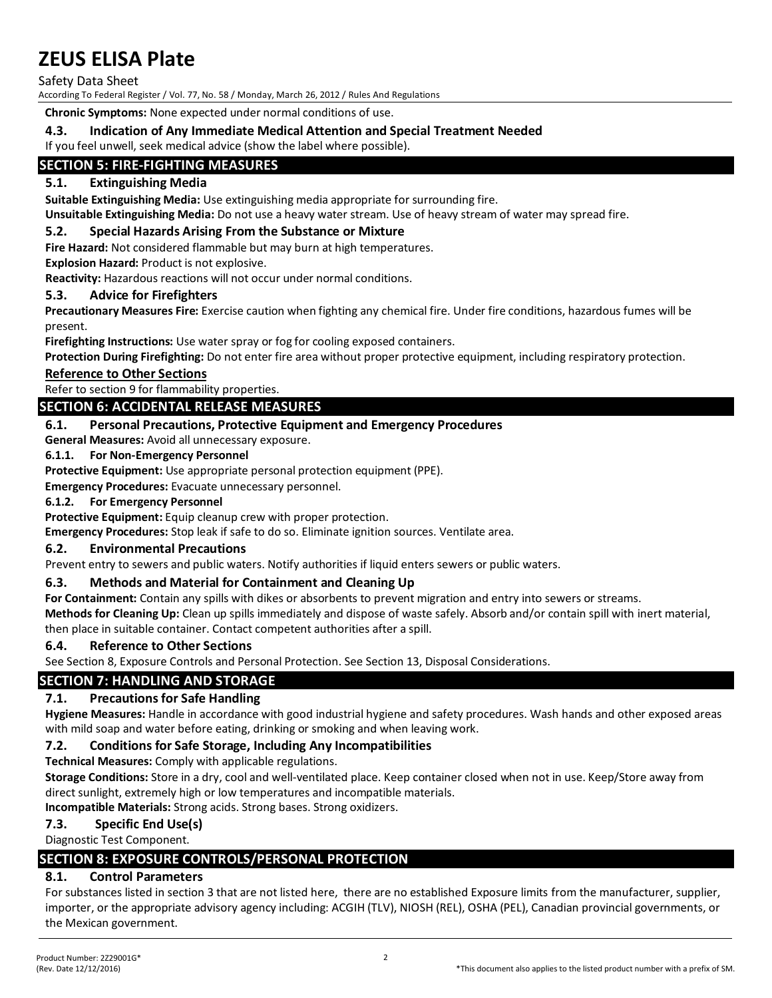Safety Data Sheet

According To Federal Register / Vol. 77, No. 58 / Monday, March 26, 2012 / Rules And Regulations

**Chronic Symptoms:** None expected under normal conditions of use.

#### **4.3. Indication of Any Immediate Medical Attention and Special Treatment Needed**

If you feel unwell, seek medical advice (show the label where possible).

# **SECTION 5: FIRE-FIGHTING MEASURES**

### **5.1. Extinguishing Media**

**Suitable Extinguishing Media:** Use extinguishing media appropriate for surrounding fire.

**Unsuitable Extinguishing Media:** Do not use a heavy water stream. Use of heavy stream of water may spread fire.

#### **5.2. Special Hazards Arising From the Substance or Mixture**

**Fire Hazard:** Not considered flammable but may burn at high temperatures.

**Explosion Hazard:** Product is not explosive.

**Reactivity:** Hazardous reactions will not occur under normal conditions.

#### **5.3. Advice for Firefighters**

**Precautionary Measures Fire:** Exercise caution when fighting any chemical fire. Under fire conditions, hazardous fumes will be present.

**Firefighting Instructions:** Use water spray or fog for cooling exposed containers.

**Protection During Firefighting:** Do not enter fire area without proper protective equipment, including respiratory protection.

#### **Reference to Other Sections**

Refer to section 9 for flammability properties.

# **SECTION 6: ACCIDENTAL RELEASE MEASURES**

#### **6.1. Personal Precautions, Protective Equipment and Emergency Procedures**

**General Measures:** Avoid all unnecessary exposure.

#### **6.1.1. For Non-Emergency Personnel**

**Protective Equipment:** Use appropriate personal protection equipment (PPE).

**Emergency Procedures:** Evacuate unnecessary personnel.

#### **6.1.2. For Emergency Personnel**

**Protective Equipment:** Equip cleanup crew with proper protection.

**Emergency Procedures:** Stop leak if safe to do so. Eliminate ignition sources. Ventilate area.

#### **6.2. Environmental Precautions**

Prevent entry to sewers and public waters. Notify authorities if liquid enters sewers or public waters.

#### **6.3. Methods and Material for Containment and Cleaning Up**

**For Containment:** Contain any spills with dikes or absorbents to prevent migration and entry into sewers or streams.

**Methods for Cleaning Up:** Clean up spills immediately and dispose of waste safely. Absorb and/or contain spill with inert material, then place in suitable container. Contact competent authorities after a spill.

#### **6.4. Reference to Other Sections**

See Section 8, Exposure Controls and Personal Protection. See Section 13, Disposal Considerations.

# **SECTION 7: HANDLING AND STORAGE**

#### **7.1. Precautions for Safe Handling**

**Hygiene Measures:** Handle in accordance with good industrial hygiene and safety procedures. Wash hands and other exposed areas with mild soap and water before eating, drinking or smoking and when leaving work.

#### **7.2. Conditions for Safe Storage, Including Any Incompatibilities**

**Technical Measures:** Comply with applicable regulations.

**Storage Conditions:** Store in a dry, cool and well-ventilated place. Keep container closed when not in use. Keep/Store away from direct sunlight, extremely high or low temperatures and incompatible materials.

**Incompatible Materials:** Strong acids. Strong bases. Strong oxidizers.

#### **7.3. Specific End Use(s)**

Diagnostic Test Component.

# **SECTION 8: EXPOSURE CONTROLS/PERSONAL PROTECTION**

# **8.1. Control Parameters**

For substances listed in section 3 that are not listed here, there are no established Exposure limits from the manufacturer, supplier, importer, or the appropriate advisory agency including: ACGIH (TLV), NIOSH (REL), OSHA (PEL), Canadian provincial governments, or the Mexican government.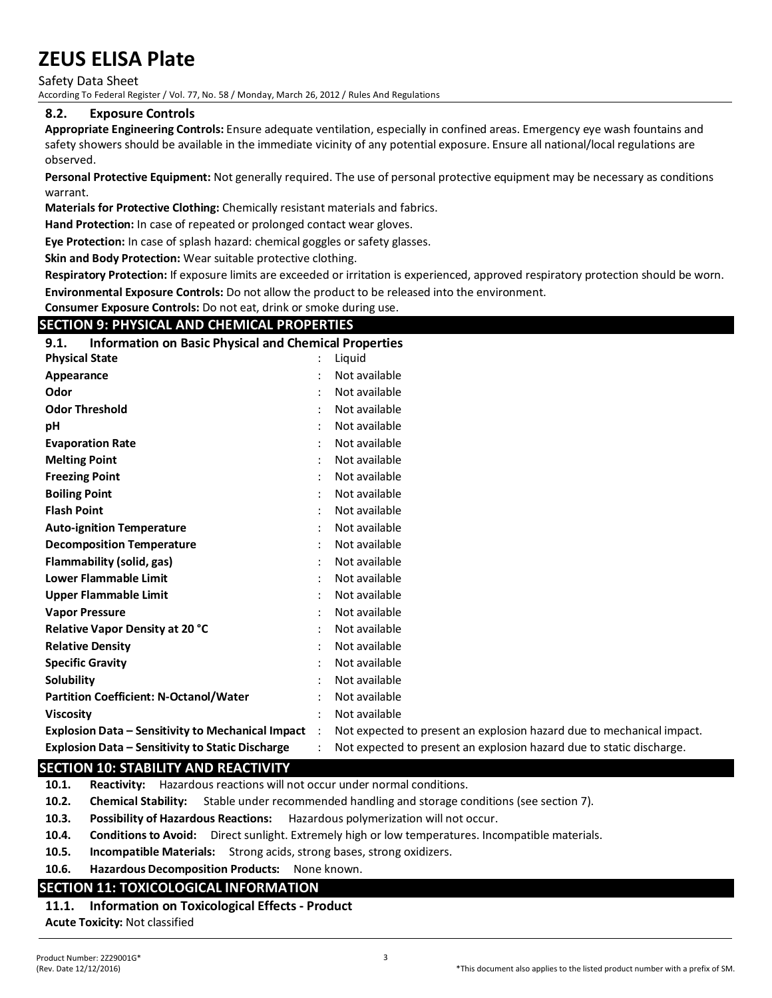Safety Data Sheet

According To Federal Register / Vol. 77, No. 58 / Monday, March 26, 2012 / Rules And Regulations

#### **8.2. Exposure Controls**

**Appropriate Engineering Controls:** Ensure adequate ventilation, especially in confined areas. Emergency eye wash fountains and safety showers should be available in the immediate vicinity of any potential exposure. Ensure all national/local regulations are observed.

**Personal Protective Equipment:** Not generally required. The use of personal protective equipment may be necessary as conditions warrant.

**Materials for Protective Clothing:** Chemically resistant materials and fabrics.

**Hand Protection:** In case of repeated or prolonged contact wear gloves.

**Eye Protection:** In case of splash hazard: chemical goggles or safety glasses.

**Skin and Body Protection:** Wear suitable protective clothing.

**Respiratory Protection:** If exposure limits are exceeded or irritation is experienced, approved respiratory protection should be worn. **Environmental Exposure Controls:** Do not allow the product to be released into the environment.

**Consumer Exposure Controls:** Do not eat, drink or smoke during use.

### **SECTION 9: PHYSICAL AND CHEMICAL PROPERTIES**

| <b>Information on Basic Physical and Chemical Properties</b><br>9.1. |                |                         |  |
|----------------------------------------------------------------------|----------------|-------------------------|--|
| <b>Physical State</b>                                                |                | Liquid                  |  |
| Appearance                                                           |                | Not available           |  |
| Odor                                                                 |                | Not available           |  |
| <b>Odor Threshold</b>                                                |                | Not available           |  |
| рH                                                                   |                | Not available           |  |
| <b>Evaporation Rate</b>                                              |                | Not available           |  |
| <b>Melting Point</b>                                                 |                | Not available           |  |
| <b>Freezing Point</b>                                                |                | Not available           |  |
| <b>Boiling Point</b>                                                 |                | Not available           |  |
| <b>Flash Point</b>                                                   |                | Not available           |  |
| <b>Auto-ignition Temperature</b>                                     |                | Not available           |  |
| <b>Decomposition Temperature</b>                                     |                | Not available           |  |
| Flammability (solid, gas)                                            |                | Not available           |  |
| <b>Lower Flammable Limit</b>                                         |                | Not available           |  |
| <b>Upper Flammable Limit</b>                                         |                | Not available           |  |
| <b>Vapor Pressure</b>                                                |                | Not available           |  |
| Relative Vapor Density at 20 °C                                      |                | Not available           |  |
| <b>Relative Density</b>                                              |                | Not available           |  |
| <b>Specific Gravity</b>                                              |                | Not available           |  |
| Solubility                                                           |                | Not available           |  |
| <b>Partition Coefficient: N-Octanol/Water</b>                        | $\ddot{\cdot}$ | Not available           |  |
| <b>Viscosity</b>                                                     | $\ddot{\cdot}$ | Not available           |  |
| <b>Explosion Data - Sensitivity to Mechanical Impact</b> :           |                | Not expected to present |  |
| Explosion Data – Sensitivity to Static Discharge                     | $\bullet$      | Not expected to present |  |

# **Explosion Data – Sensitivity to Mechanical Impact** : Not expected to present an explosion hazard due to mechanical impact. **Explosion Data – Sensitivity to Static Discharge** : Not expected to present an explosion hazard due to static discharge.

#### **SECTION 10: STABILITY AND REACTIVITY**

**10.1. Reactivity:** Hazardous reactions will not occur under normal conditions.

- **10.2. Chemical Stability:** Stable under recommended handling and storage conditions (see section 7).
- **10.3. Possibility of Hazardous Reactions:** Hazardous polymerization will not occur.
- **10.4. Conditions to Avoid:** Direct sunlight. Extremely high or low temperatures. Incompatible materials.
- **10.5. Incompatible Materials:** Strong acids, strong bases, strong oxidizers.
- **10.6. Hazardous Decomposition Products:** None known.

# **SECTION 11: TOXICOLOGICAL INFORMATION**

# **11.1. Information on Toxicological Effects - Product**

**Acute Toxicity:** Not classified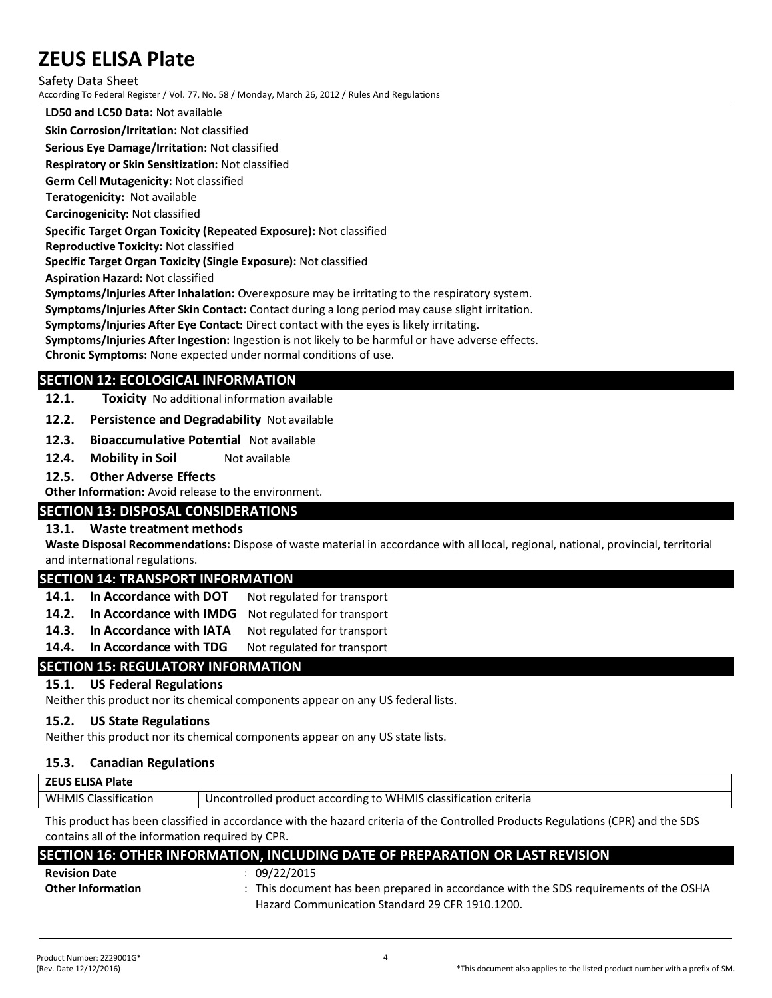Safety Data Sheet

According To Federal Register / Vol. 77, No. 58 / Monday, March 26, 2012 / Rules And Regulations

**LD50 and LC50 Data:** Not available

**Skin Corrosion/Irritation:** Not classified

**Serious Eye Damage/Irritation:** Not classified

**Respiratory or Skin Sensitization:** Not classified

**Germ Cell Mutagenicity:** Not classified

**Teratogenicity:** Not available

**Carcinogenicity:** Not classified

#### **Specific Target Organ Toxicity (Repeated Exposure):** Not classified

**Reproductive Toxicity:** Not classified **Specific Target Organ Toxicity (Single Exposure):** Not classified

**Aspiration Hazard:** Not classified

**Symptoms/Injuries After Inhalation:** Overexposure may be irritating to the respiratory system.

**Symptoms/Injuries After Skin Contact:** Contact during a long period may cause slight irritation.

**Symptoms/Injuries After Eye Contact:** Direct contact with the eyes is likely irritating.

**Symptoms/Injuries After Ingestion:** Ingestion is not likely to be harmful or have adverse effects.

**Chronic Symptoms:** None expected under normal conditions of use.

# **SECTION 12: ECOLOGICAL INFORMATION**

**12.1. Toxicity** No additional information available

**12.2. Persistence and Degradability** Not available

- **12.3. Bioaccumulative Potential** Not available
- **12.4. Mobility in Soil** Not available
- **12.5. Other Adverse Effects**

**Other Information:** Avoid release to the environment.

# **SECTION 13: DISPOSAL CONSIDERATIONS**

# **13.1. Waste treatment methods**

**Waste Disposal Recommendations:** Dispose of waste material in accordance with all local, regional, national, provincial, territorial and international regulations.

# **SECTION 14: TRANSPORT INFORMATION**

- 14.1. In Accordance with DOT Not regulated for transport
- **14.2. In Accordance with IMDG** Not regulated for transport
- 14.3. In Accordance with IATA Not regulated for transport
- 14.4. In Accordance with TDG Not regulated for transport

# **SECTION 15: REGULATORY INFORMATION**

# **15.1. US Federal Regulations**

Neither this product nor its chemical components appear on any US federal lists.

#### **15.2. US State Regulations**

Neither this product nor its chemical components appear on any US state lists.

#### **15.3. Canadian Regulations**

| Uncontrolled product according to WHMIS classification criteria | <b>ZEUS ELISA Plate</b>     |  |
|-----------------------------------------------------------------|-----------------------------|--|
|                                                                 | <b>WHMIS Classification</b> |  |

This product has been classified in accordance with the hazard criteria of the Controlled Products Regulations (CPR) and the SDS contains all of the information required by CPR.

| SECTION 16: OTHER INFORMATION, INCLUDING DATE OF PREPARATION OR LAST REVISION |  |
|-------------------------------------------------------------------------------|--|
|                                                                               |  |

| <b>Revision Date</b>     | 09/22/2015                                                                            |
|--------------------------|---------------------------------------------------------------------------------------|
| <b>Other Information</b> | : This document has been prepared in accordance with the SDS requirements of the OSHA |
|                          | <b>Hazard Communication Standard 29 CER 1910 1200</b>                                 |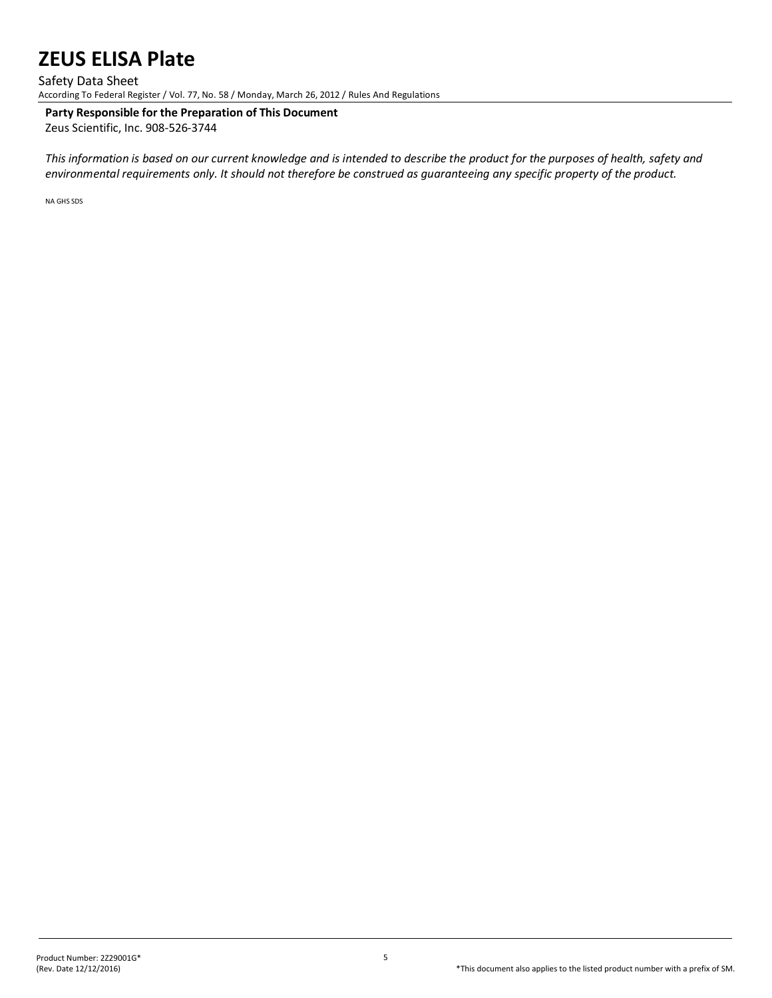#### Safety Data Sheet

According To Federal Register / Vol. 77, No. 58 / Monday, March 26, 2012 / Rules And Regulations

# **Party Responsible for the Preparation of This Document**

Zeus Scientific, Inc. 908-526-3744

*This information is based on our current knowledge and is intended to describe the product for the purposes of health, safety and environmental requirements only. It should not therefore be construed as guaranteeing any specific property of the product.*

NA GHS SDS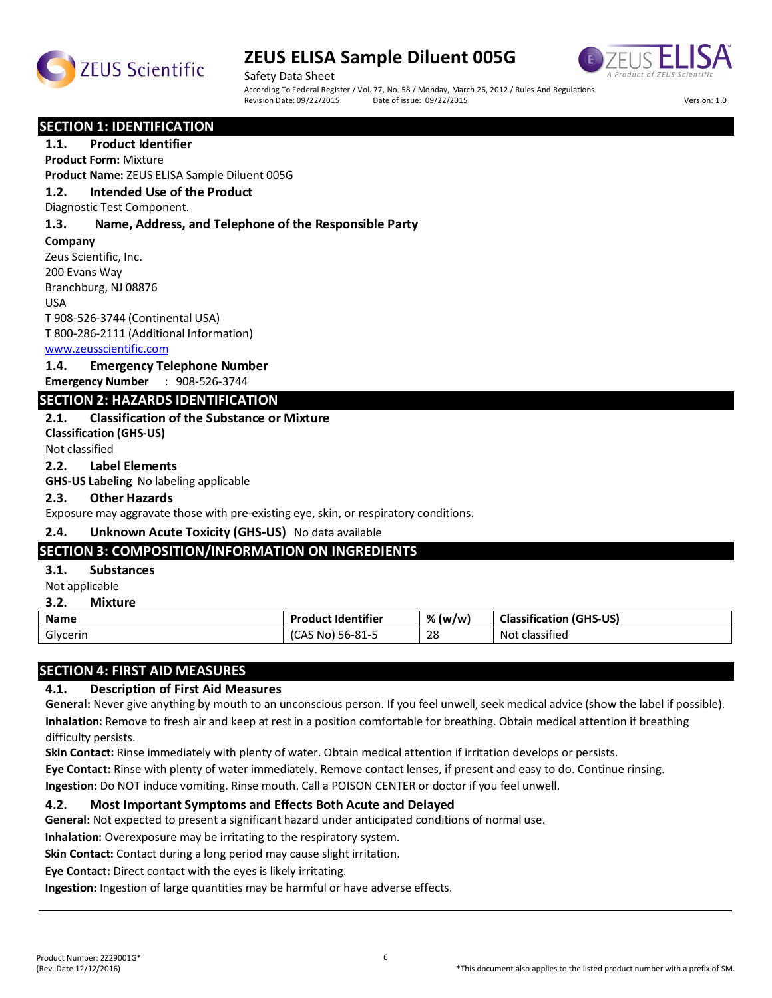



Safety Data Sheet According To Federal Register / Vol. 77, No. 58 / Monday, March 26, 2012 / Rules And Regulations<br>Revision Date: 09/22/2015 Date of issue: 09/22/2015 Revision Date: 09/22/2015 Date of issue: 09/22/2015 Version: 1.0

#### **SECTION 1: IDENTIFICATION**

### **1.1. Product Identifier**

**Product Form:** Mixture

**Product Name:** ZEUS ELISA Sample Diluent 005G

# **1.2. Intended Use of the Product**

Diagnostic Test Component.

#### **1.3. Name, Address, and Telephone of the Responsible Party**

**Company** 

Zeus Scientific, Inc. 200 Evans Way Branchburg, NJ 08876 USA

T 908-526-3744 (Continental USA) T 800-286-2111 (Additional Information)

#### www.zeusscientific.com

#### **1.4. Emergency Telephone Number**

**Emergency Number** : 908-526-3744

#### **SECTION 2: HAZARDS IDENTIFICATION**

#### **2.1. Classification of the Substance or Mixture**

**Classification (GHS-US)** Not classified

#### **2.2. Label Elements**

**GHS-US Labeling** No labeling applicable

#### **2.3. Other Hazards**

Exposure may aggravate those with pre-existing eye, skin, or respiratory conditions.

#### **2.4. Unknown Acute Toxicity (GHS-US)** No data available

#### **SECTION 3: COMPOSITION/INFORMATION ON INGREDIENTS**

#### **3.1. Substances**

Not applicable

#### **3.2. Mixture**

| <b>Name</b> | <b>Product Identifier</b> | % (w/w)      | <b>Classification</b><br>(GHS-US)      |
|-------------|---------------------------|--------------|----------------------------------------|
| Glycerin    | 56-81-5<br>\S No<br>ັ     | 28<br>$\sim$ | $\sim$ $\sim$ $\sim$<br>Not classified |

#### **SECTION 4: FIRST AID MEASURES**

#### **4.1. Description of First Aid Measures**

**General:** Never give anything by mouth to an unconscious person. If you feel unwell, seek medical advice (show the label if possible). **Inhalation:** Remove to fresh air and keep at rest in a position comfortable for breathing. Obtain medical attention if breathing difficulty persists.

**Skin Contact:** Rinse immediately with plenty of water. Obtain medical attention if irritation develops or persists.

**Eye Contact:** Rinse with plenty of water immediately. Remove contact lenses, if present and easy to do. Continue rinsing.

**Ingestion:** Do NOT induce vomiting. Rinse mouth. Call a POISON CENTER or doctor if you feel unwell.

#### **4.2. Most Important Symptoms and Effects Both Acute and Delayed**

**General:** Not expected to present a significant hazard under anticipated conditions of normal use.

**Inhalation:** Overexposure may be irritating to the respiratory system.

**Skin Contact:** Contact during a long period may cause slight irritation.

**Eye Contact:** Direct contact with the eyes is likely irritating.

**Ingestion:** Ingestion of large quantities may be harmful or have adverse effects.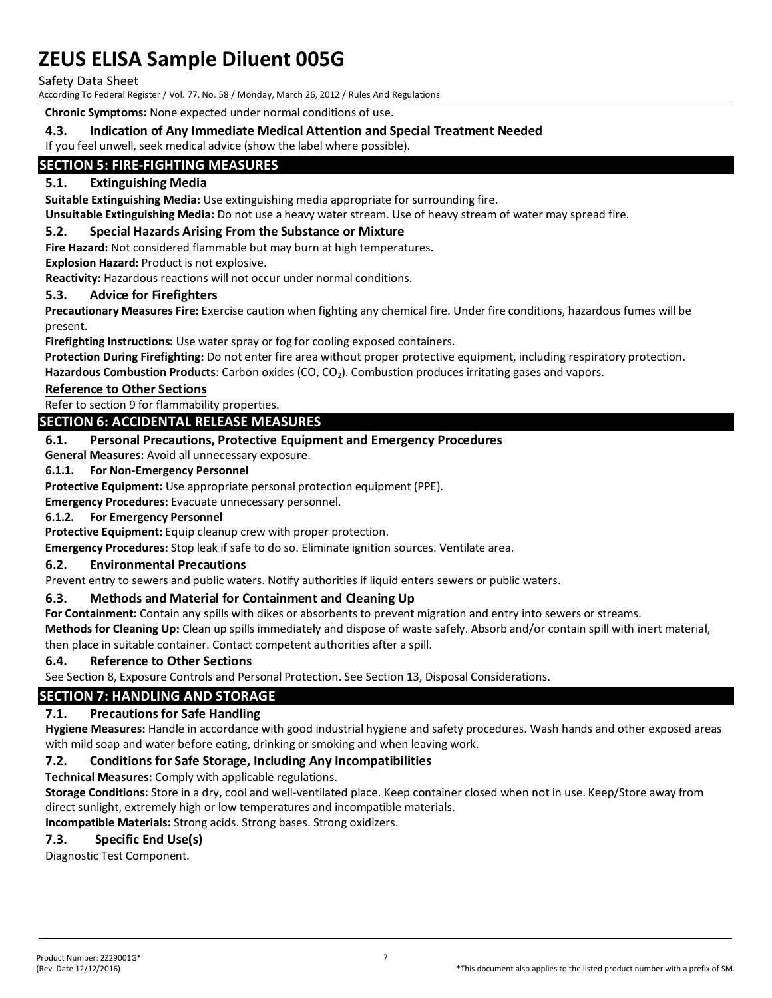Safety Data Sheet

According To Federal Register / Vol. 77, No. 58 / Monday, March 26, 2012 / Rules And Regulations

**Chronic Symptoms:** None expected under normal conditions of use.

### **4.3. Indication of Any Immediate Medical Attention and Special Treatment Needed**

If you feel unwell, seek medical advice (show the label where possible).

# **SECTION 5: FIRE-FIGHTING MEASURES**

### **5.1. Extinguishing Media**

**Suitable Extinguishing Media:** Use extinguishing media appropriate for surrounding fire.

**Unsuitable Extinguishing Media:** Do not use a heavy water stream. Use of heavy stream of water may spread fire.

#### **5.2. Special Hazards Arising From the Substance or Mixture**

**Fire Hazard:** Not considered flammable but may burn at high temperatures.

**Explosion Hazard:** Product is not explosive.

**Reactivity:** Hazardous reactions will not occur under normal conditions.

#### **5.3. Advice for Firefighters**

**Precautionary Measures Fire:** Exercise caution when fighting any chemical fire. Under fire conditions, hazardous fumes will be present.

**Firefighting Instructions:** Use water spray or fog for cooling exposed containers.

**Protection During Firefighting:** Do not enter fire area without proper protective equipment, including respiratory protection.

Hazardous Combustion Products: Carbon oxides (CO, CO<sub>2</sub>). Combustion produces irritating gases and vapors.

#### **Reference to Other Sections**

Refer to section 9 for flammability properties.

### **SECTION 6: ACCIDENTAL RELEASE MEASURES**

#### **6.1. Personal Precautions, Protective Equipment and Emergency Procedures**

**General Measures:** Avoid all unnecessary exposure.

#### **6.1.1. For Non-Emergency Personnel**

**Protective Equipment:** Use appropriate personal protection equipment (PPE).

**Emergency Procedures:** Evacuate unnecessary personnel.

#### **6.1.2. For Emergency Personnel**

**Protective Equipment:** Equip cleanup crew with proper protection.

**Emergency Procedures:** Stop leak if safe to do so. Eliminate ignition sources. Ventilate area.

#### **6.2. Environmental Precautions**

Prevent entry to sewers and public waters. Notify authorities if liquid enters sewers or public waters.

#### **6.3. Methods and Material for Containment and Cleaning Up**

**For Containment:** Contain any spills with dikes or absorbents to prevent migration and entry into sewers or streams.

**Methods for Cleaning Up:** Clean up spills immediately and dispose of waste safely. Absorb and/or contain spill with inert material, then place in suitable container. Contact competent authorities after a spill.

#### **6.4. Reference to Other Sections**

See Section 8, Exposure Controls and Personal Protection. See Section 13, Disposal Considerations.

# **SECTION 7: HANDLING AND STORAGE**

#### **7.1. Precautions for Safe Handling**

**Hygiene Measures:** Handle in accordance with good industrial hygiene and safety procedures. Wash hands and other exposed areas with mild soap and water before eating, drinking or smoking and when leaving work.

#### **7.2. Conditions for Safe Storage, Including Any Incompatibilities**

**Technical Measures:** Comply with applicable regulations.

**Storage Conditions:** Store in a dry, cool and well-ventilated place. Keep container closed when not in use. Keep/Store away from direct sunlight, extremely high or low temperatures and incompatible materials.

**Incompatible Materials:** Strong acids. Strong bases. Strong oxidizers.

# **7.3. Specific End Use(s)**

Diagnostic Test Component.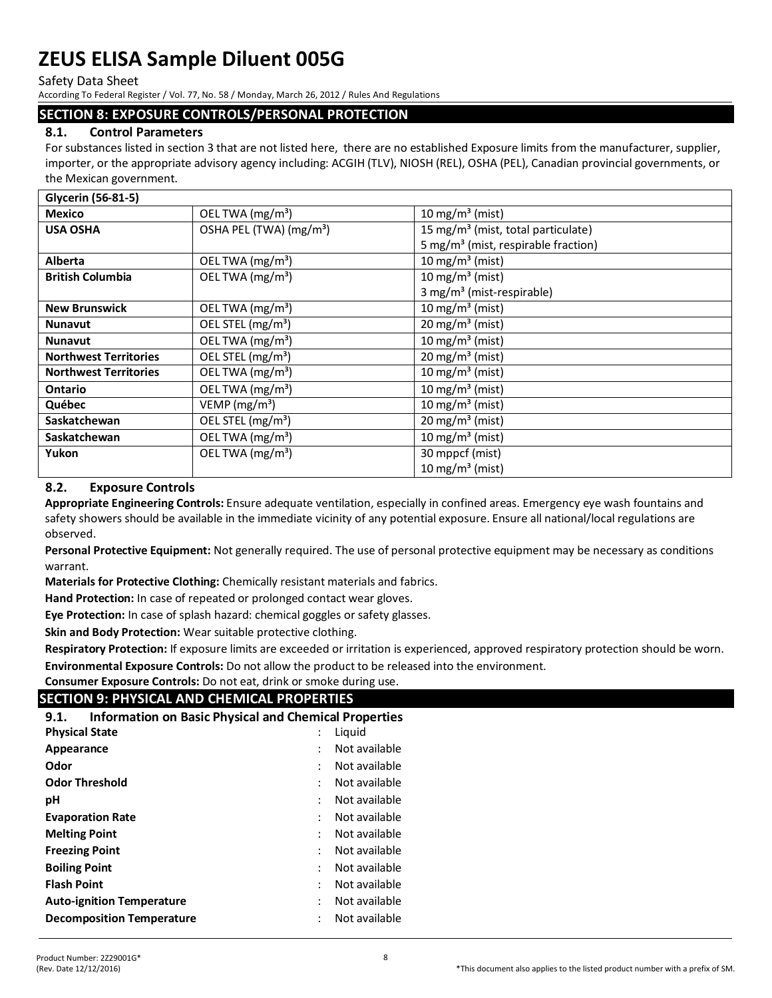Safety Data Sheet

According To Federal Register / Vol. 77, No. 58 / Monday, March 26, 2012 / Rules And Regulations

#### **SECTION 8: EXPOSURE CONTROLS/PERSONAL PROTECTION**

### **8.1. Control Parameters**

For substances listed in section 3 that are not listed here, there are no established Exposure limits from the manufacturer, supplier, importer, or the appropriate advisory agency including: ACGIH (TLV), NIOSH (REL), OSHA (PEL), Canadian provincial governments, or the Mexican government.

| Glycerin (56-81-5)           |                                     |                                                 |
|------------------------------|-------------------------------------|-------------------------------------------------|
| <b>Mexico</b>                | OEL TWA (mg/m <sup>3</sup> )        | 10 mg/m <sup>3</sup> (mist)                     |
| <b>USA OSHA</b>              | OSHA PEL (TWA) (mg/m <sup>3</sup> ) | 15 mg/m <sup>3</sup> (mist, total particulate)  |
|                              |                                     | 5 mg/m <sup>3</sup> (mist, respirable fraction) |
| <b>Alberta</b>               | OEL TWA $(mg/m3)$                   | 10 mg/m <sup>3</sup> (mist)                     |
| <b>British Columbia</b>      | OEL TWA $(mg/m3)$                   | 10 mg/m <sup>3</sup> (mist)                     |
|                              |                                     | 3 mg/m <sup>3</sup> (mist-respirable)           |
| <b>New Brunswick</b>         | OEL TWA (mg/m <sup>3</sup> )        | $10$ mg/m <sup>3</sup> (mist)                   |
| <b>Nunavut</b>               | OEL STEL (mg/m <sup>3</sup> )       | $20 \text{ mg/m}^3$ (mist)                      |
| <b>Nunavut</b>               | OEL TWA (mg/m <sup>3</sup> )        | 10 mg/m <sup>3</sup> (mist)                     |
| <b>Northwest Territories</b> | OEL STEL (mg/m <sup>3</sup> )       | $20 \text{ mg/m}^3$ (mist)                      |
| <b>Northwest Territories</b> | OEL TWA (mg/m <sup>3</sup> )        | 10 mg/m <sup>3</sup> (mist)                     |
| <b>Ontario</b>               | OEL TWA $(mg/m3)$                   | 10 mg/m <sup>3</sup> (mist)                     |
| Québec                       | VEMP ( $mg/m3$ )                    | 10 mg/m <sup>3</sup> (mist)                     |
| Saskatchewan                 | OEL STEL (mg/m <sup>3</sup> )       | 20 mg/m <sup>3</sup> (mist)                     |
| Saskatchewan                 | OEL TWA $(mg/m3)$                   | $10$ mg/m <sup>3</sup> (mist)                   |
| Yukon                        | OEL TWA $(mg/m3)$                   | 30 mppcf (mist)                                 |
|                              |                                     | $10 \text{ mg/m}^3$ (mist)                      |

### **8.2. Exposure Controls**

**Appropriate Engineering Controls:** Ensure adequate ventilation, especially in confined areas. Emergency eye wash fountains and safety showers should be available in the immediate vicinity of any potential exposure. Ensure all national/local regulations are observed.

**Personal Protective Equipment:** Not generally required. The use of personal protective equipment may be necessary as conditions warrant.

**Materials for Protective Clothing:** Chemically resistant materials and fabrics.

**Hand Protection:** In case of repeated or prolonged contact wear gloves.

**Eye Protection:** In case of splash hazard: chemical goggles or safety glasses.

**Skin and Body Protection:** Wear suitable protective clothing.

**Respiratory Protection:** If exposure limits are exceeded or irritation is experienced, approved respiratory protection should be worn. **Environmental Exposure Controls:** Do not allow the product to be released into the environment.

**Consumer Exposure Controls:** Do not eat, drink or smoke during use.

# **SECTION 9: PHYSICAL AND CHEMICAL PROPERTIES**

| <b>Information on Basic Physical and Chemical Properties</b><br>9.1. |        |               |  |  |  |  |
|----------------------------------------------------------------------|--------|---------------|--|--|--|--|
| <b>Physical State</b>                                                | Liquid |               |  |  |  |  |
| Appearance                                                           |        | Not available |  |  |  |  |
| Odor                                                                 |        | Not available |  |  |  |  |
| <b>Odor Threshold</b>                                                |        | Not available |  |  |  |  |
| рH                                                                   |        | Not available |  |  |  |  |
| <b>Evaporation Rate</b>                                              |        | Not available |  |  |  |  |
| <b>Melting Point</b>                                                 |        | Not available |  |  |  |  |
| <b>Freezing Point</b>                                                |        | Not available |  |  |  |  |
| <b>Boiling Point</b>                                                 |        | Not available |  |  |  |  |
| <b>Flash Point</b>                                                   |        | Not available |  |  |  |  |
| <b>Auto-ignition Temperature</b>                                     |        | Not available |  |  |  |  |
| <b>Decomposition Temperature</b>                                     |        | Not available |  |  |  |  |
|                                                                      |        |               |  |  |  |  |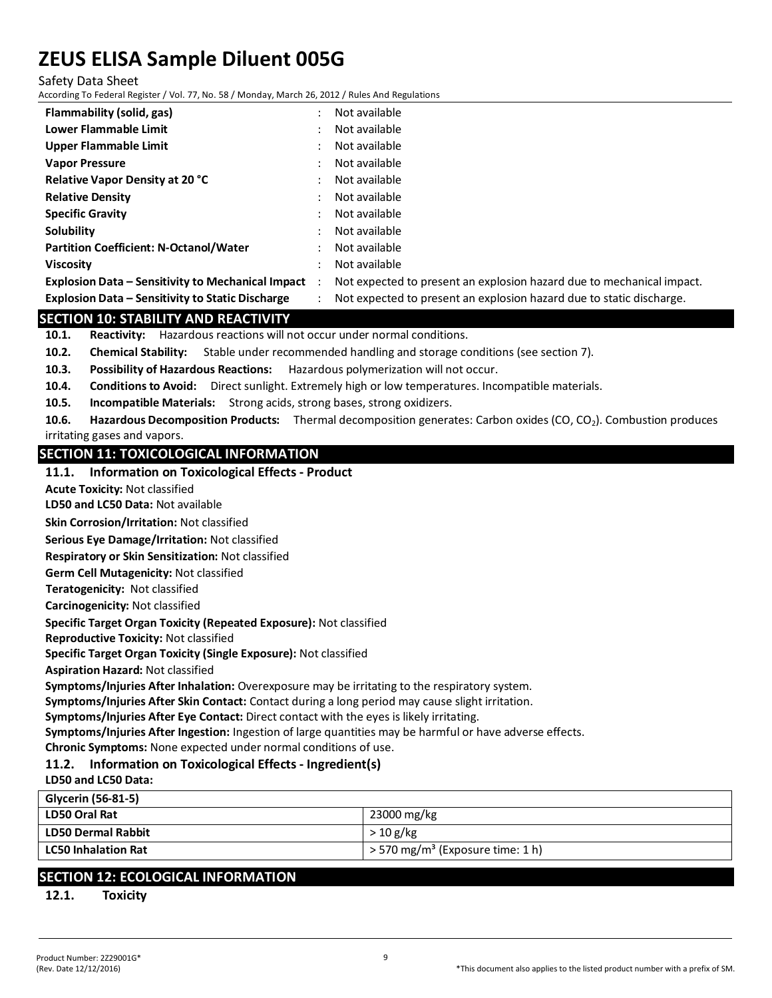Safety Data Sheet

According To Federal Register / Vol. 77, No. 58 / Monday, March 26, 2012 / Rules And Regulations

| Flammability (solid, gas)                                | ٠                    | Not available                                                         |
|----------------------------------------------------------|----------------------|-----------------------------------------------------------------------|
| Lower Flammable Limit                                    |                      | Not available                                                         |
| Upper Flammable Limit                                    |                      | Not available                                                         |
| <b>Vapor Pressure</b>                                    |                      | Not available                                                         |
| <b>Relative Vapor Density at 20 °C</b>                   |                      | Not available                                                         |
| <b>Relative Density</b>                                  |                      | Not available                                                         |
| <b>Specific Gravity</b>                                  |                      | Not available                                                         |
| Solubility                                               |                      | Not available                                                         |
| <b>Partition Coefficient: N-Octanol/Water</b>            | ٠                    | Not available                                                         |
| <b>Viscosity</b>                                         |                      | Not available                                                         |
| <b>Explosion Data – Sensitivity to Mechanical Impact</b> | $\ddot{\phantom{1}}$ | Not expected to present an explosion hazard due to mechanical impact. |
| Explosion Data – Sensitivity to Static Discharge         |                      | Not expected to present an explosion hazard due to static discharge.  |

### **SECTION 10: STABILITY AND REACTIVITY**

**10.1. Reactivity:** Hazardous reactions will not occur under normal conditions.

**10.2. Chemical Stability:** Stable under recommended handling and storage conditions (see section 7).

- **10.3. Possibility of Hazardous Reactions:** Hazardous polymerization will not occur.
- **10.4. Conditions to Avoid:** Direct sunlight. Extremely high or low temperatures. Incompatible materials.
- **10.5. Incompatible Materials:** Strong acids, strong bases, strong oxidizers.

**10.6. Hazardous Decomposition Products:** Thermal decomposition generates: Carbon oxides (CO, CO2). Combustion produces irritating gases and vapors.

#### **SECTION 11: TOXICOLOGICAL INFORMATION**

#### **11.1. Information on Toxicological Effects - Product**

**Acute Toxicity:** Not classified

**LD50 and LC50 Data:** Not available

**Skin Corrosion/Irritation:** Not classified

**Serious Eye Damage/Irritation:** Not classified

**Respiratory or Skin Sensitization:** Not classified

**Germ Cell Mutagenicity:** Not classified

**Teratogenicity:** Not classified

**Carcinogenicity:** Not classified

**Specific Target Organ Toxicity (Repeated Exposure):** Not classified

**Reproductive Toxicity:** Not classified

**Specific Target Organ Toxicity (Single Exposure):** Not classified

**Aspiration Hazard:** Not classified

**Symptoms/Injuries After Inhalation:** Overexposure may be irritating to the respiratory system.

**Symptoms/Injuries After Skin Contact:** Contact during a long period may cause slight irritation.

**Symptoms/Injuries After Eye Contact:** Direct contact with the eyes is likely irritating.

**Symptoms/Injuries After Ingestion:** Ingestion of large quantities may be harmful or have adverse effects.

**Chronic Symptoms:** None expected under normal conditions of use.

# **11.2. Information on Toxicological Effects - Ingredient(s)**

**LD50 and LC50 Data:**

| Glycerin (56-81-5)         |                                                |
|----------------------------|------------------------------------------------|
| LD50 Oral Rat              | 23000 mg/kg                                    |
| LD50 Dermal Rabbit         | >10 g/kg                                       |
| <b>LC50 Inhalation Rat</b> | $>$ 570 mg/m <sup>3</sup> (Exposure time: 1 h) |
|                            |                                                |

# **SECTION 12: ECOLOGICAL INFORMATION**

**12.1. Toxicity**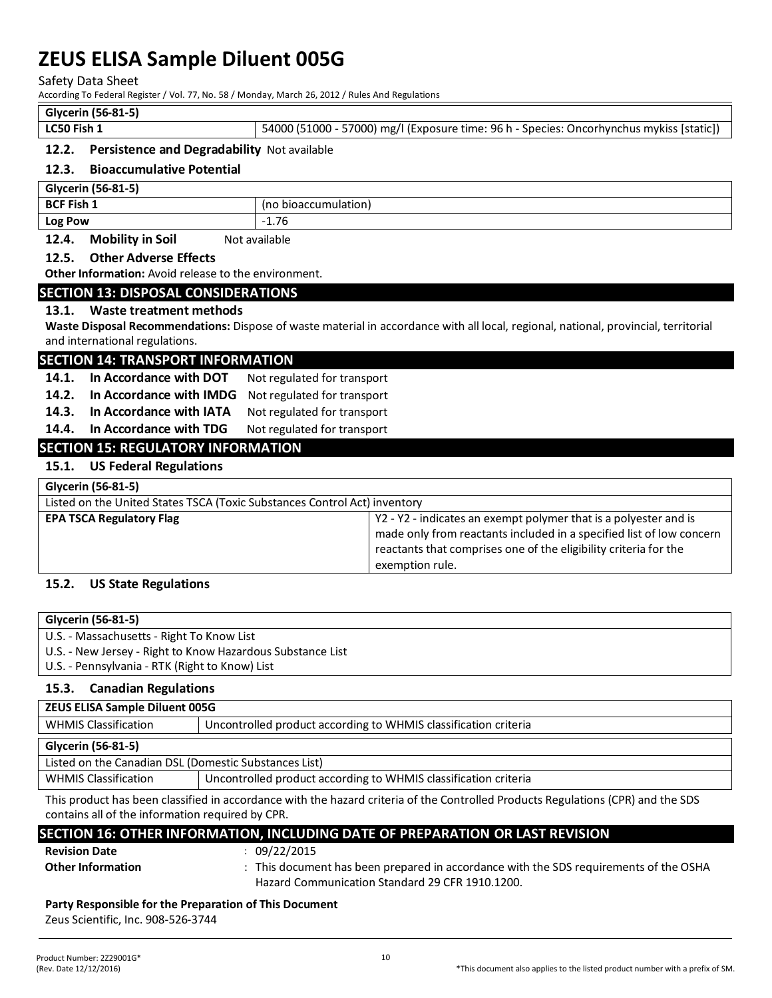Safety Data Sheet

According To Federal Register / Vol. 77, No. 58 / Monday, March 26, 2012 / Rules And Regulations

#### **Glycerin (56-81-5)**

| LC50 Fish 1 | 54000 (51000 - 57000) mg/l (Exposure time: 96 h - Species: Oncorhynchus mykiss [static]) |
|-------------|------------------------------------------------------------------------------------------|

#### **12.2. Persistence and Degradability** Not available

#### **12.3. Bioaccumulative Potential**

| Glycerin (56-81-5)                                                                               |                      |  |
|--------------------------------------------------------------------------------------------------|----------------------|--|
| BCF Fish 1                                                                                       | (no bioaccumulation) |  |
| <b>Log Pow</b>                                                                                   | $-1.76$              |  |
| Analattica to Astr<br>$\begin{array}{ccccc}\n\bullet & \bullet & \bullet & \bullet\n\end{array}$ | $\mathbf{A}$         |  |

### **12.4. Mobility in Soil** Not available

#### **12.5. Other Adverse Effects**

**Other Information:** Avoid release to the environment.

#### **SECTION 13: DISPOSAL CONSIDERATIONS**

#### **13.1. Waste treatment methods**

**Waste Disposal Recommendations:** Dispose of waste material in accordance with all local, regional, national, provincial, territorial and international regulations.

#### **SECTION 14: TRANSPORT INFORMATION**

- 14.1. In Accordance with DOT Not regulated for transport
- **14.2. In Accordance with IMDG** Not regulated for transport
- **14.3. In Accordance with IATA** Not regulated for transport
- 14.4. In Accordance with TDG Not regulated for transport

# **SECTION 15: REGULATORY INFORMATION**

#### **15.1. US Federal Regulations**

| Glycerin (56-81-5)                                                        |                                                                                                                                                                                                                                 |  |
|---------------------------------------------------------------------------|---------------------------------------------------------------------------------------------------------------------------------------------------------------------------------------------------------------------------------|--|
| Listed on the United States TSCA (Toxic Substances Control Act) inventory |                                                                                                                                                                                                                                 |  |
| <b>EPA TSCA Regulatory Flag</b>                                           | Y2 - Y2 - indicates an exempt polymer that is a polyester and is<br>made only from reactants included in a specified list of low concern<br>reactants that comprises one of the eligibility criteria for the<br>exemption rule. |  |

#### **15.2. US State Regulations**

| Glycerin (56-81-5)                                         |
|------------------------------------------------------------|
| U.S. - Massachusetts - Right To Know List                  |
| U.S. - New Jersey - Right to Know Hazardous Substance List |
| U.S. - Pennsylvania - RTK (Right to Know) List             |
|                                                            |

#### **15.3. Canadian Regulations**

# **Glycerin (56-81-5)** Listed on the Canadian DSL (Domestic Substances List) WHMIS Classification Uncontrolled product according to WHMIS classification criteria **ZEUS ELISA Sample Diluent 005G** WHMIS Classification Uncontrolled product according to WHMIS classification criteria

This product has been classified in accordance with the hazard criteria of the Controlled Products Regulations (CPR) and the SDS contains all of the information required by CPR.

# **SECTION 16: OTHER INFORMATION, INCLUDING DATE OF PREPARATION OR LAST REVISION**

**Revision Date** : 09/22/2015

**Other Information** : This document has been prepared in accordance with the SDS requirements of the OSHA Hazard Communication Standard 29 CFR 1910.1200.

#### **Party Responsible for the Preparation of This Document**

Zeus Scientific, Inc. 908-526-3744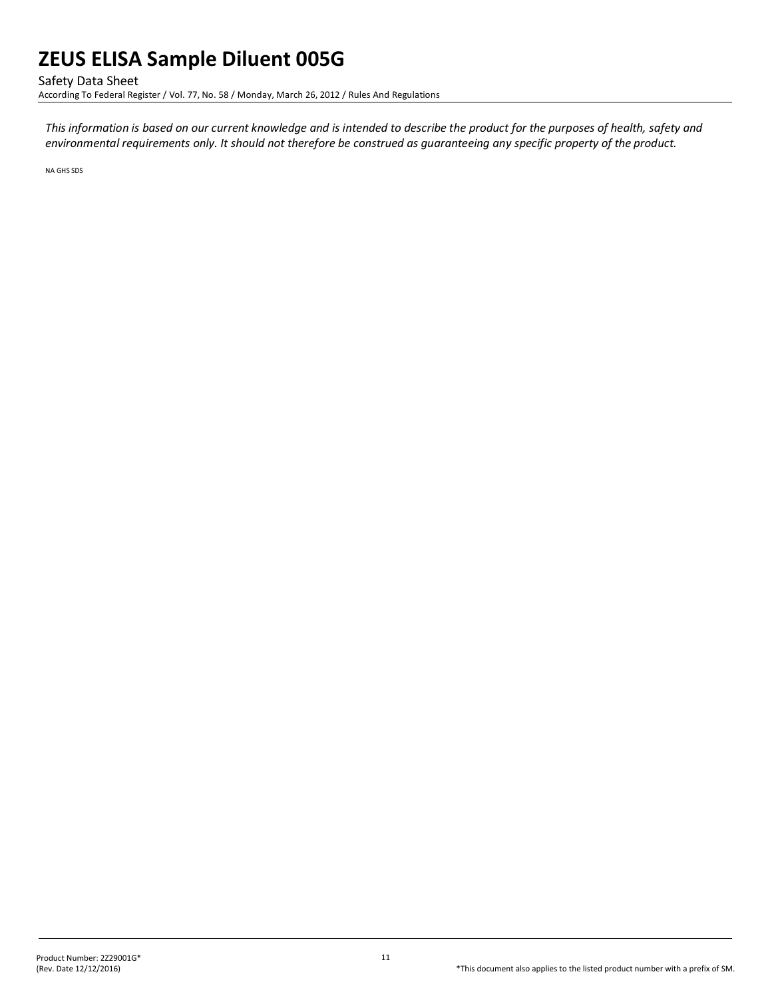Safety Data Sheet

According To Federal Register / Vol. 77, No. 58 / Monday, March 26, 2012 / Rules And Regulations

*This information is based on our current knowledge and is intended to describe the product for the purposes of health, safety and environmental requirements only. It should not therefore be construed as guaranteeing any specific property of the product.*

NA GHS SDS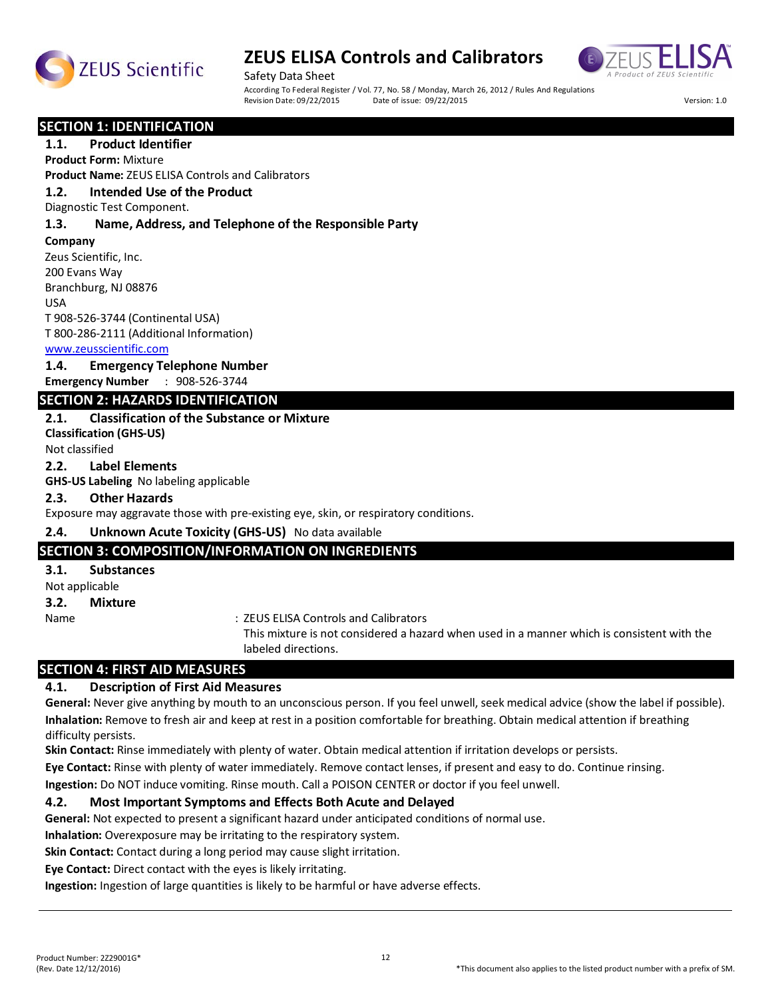



Safety Data Sheet According To Federal Register / Vol. 77, No. 58 / Monday, March 26, 2012 / Rules And Regulations<br>Revision Date: 09/22/2015 Date of issue: 09/22/2015 Revision Date: 09/22/2015 Date of issue: 09/22/2015 Version: 1.0

#### **SECTION 1: IDENTIFICATION**

#### **1.1. Product Identifier**

**Product Form:** Mixture

**Product Name:** ZEUS ELISA Controls and Calibrators

#### **1.2. Intended Use of the Product**

Diagnostic Test Component.

#### **1.3. Name, Address, and Telephone of the Responsible Party**

**Company** 

Zeus Scientific, Inc. 200 Evans Way Branchburg, NJ 08876 USA T 908-526-3744 (Continental USA) T 800-286-2111 (Additional Information)

www.zeusscientific.com

#### **1.4. Emergency Telephone Number**

**Emergency Number** : 908-526-3744

### **SECTION 2: HAZARDS IDENTIFICATION**

#### **2.1. Classification of the Substance or Mixture**

**Classification (GHS-US)** Not classified

#### **2.2. Label Elements**

**GHS-US Labeling** No labeling applicable

#### **2.3. Other Hazards**

Exposure may aggravate those with pre-existing eye, skin, or respiratory conditions.

#### **2.4. Unknown Acute Toxicity (GHS-US)** No data available

#### **SECTION 3: COMPOSITION/INFORMATION ON INGREDIENTS**

#### **3.1. Substances**

Not applicable

**3.2. Mixture**

Name  $\qquad \qquad :$  ZEUS ELISA Controls and Calibrators

This mixture is not considered a hazard when used in a manner which is consistent with the labeled directions.

# **SECTION 4: FIRST AID MEASURES**

#### **4.1. Description of First Aid Measures**

**General:** Never give anything by mouth to an unconscious person. If you feel unwell, seek medical advice (show the label if possible). **Inhalation:** Remove to fresh air and keep at rest in a position comfortable for breathing. Obtain medical attention if breathing difficulty persists.

**Skin Contact:** Rinse immediately with plenty of water. Obtain medical attention if irritation develops or persists.

**Eye Contact:** Rinse with plenty of water immediately. Remove contact lenses, if present and easy to do. Continue rinsing.

**Ingestion:** Do NOT induce vomiting. Rinse mouth. Call a POISON CENTER or doctor if you feel unwell.

#### **4.2. Most Important Symptoms and Effects Both Acute and Delayed**

**General:** Not expected to present a significant hazard under anticipated conditions of normal use.

**Inhalation:** Overexposure may be irritating to the respiratory system.

**Skin Contact:** Contact during a long period may cause slight irritation.

**Eye Contact:** Direct contact with the eyes is likely irritating.

**Ingestion:** Ingestion of large quantities is likely to be harmful or have adverse effects.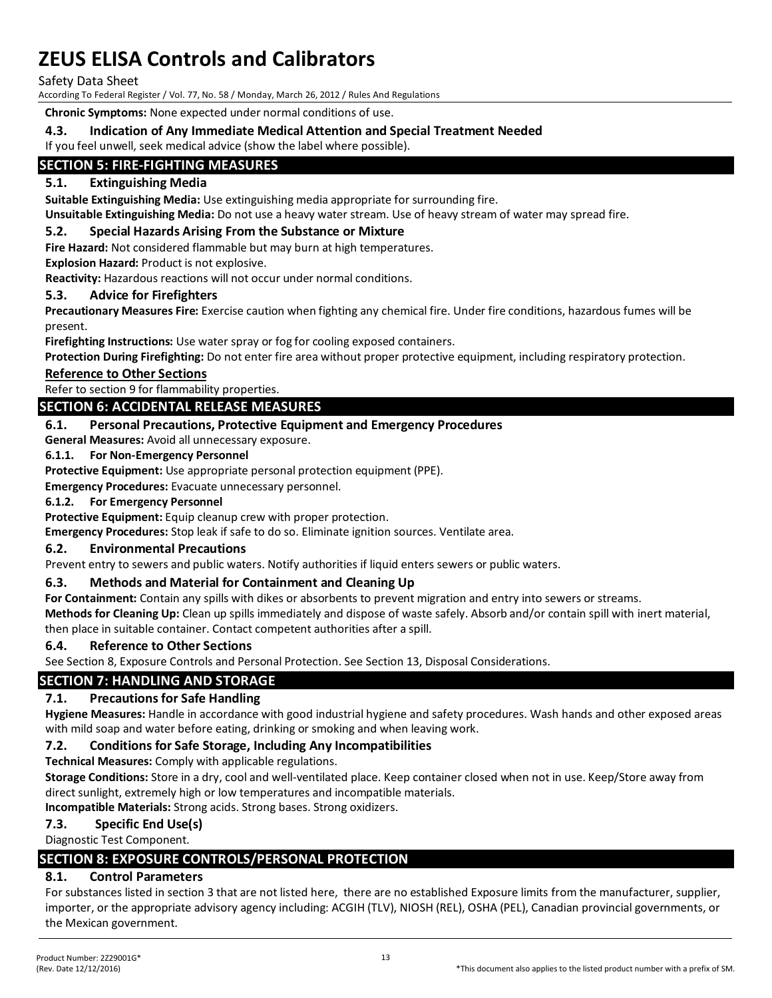Safety Data Sheet

According To Federal Register / Vol. 77, No. 58 / Monday, March 26, 2012 / Rules And Regulations

**Chronic Symptoms:** None expected under normal conditions of use.

### **4.3. Indication of Any Immediate Medical Attention and Special Treatment Needed**

If you feel unwell, seek medical advice (show the label where possible).

# **SECTION 5: FIRE-FIGHTING MEASURES**

#### **5.1. Extinguishing Media**

**Suitable Extinguishing Media:** Use extinguishing media appropriate for surrounding fire.

**Unsuitable Extinguishing Media:** Do not use a heavy water stream. Use of heavy stream of water may spread fire.

#### **5.2. Special Hazards Arising From the Substance or Mixture**

**Fire Hazard:** Not considered flammable but may burn at high temperatures.

**Explosion Hazard:** Product is not explosive.

**Reactivity:** Hazardous reactions will not occur under normal conditions.

#### **5.3. Advice for Firefighters**

**Precautionary Measures Fire:** Exercise caution when fighting any chemical fire. Under fire conditions, hazardous fumes will be present.

**Firefighting Instructions:** Use water spray or fog for cooling exposed containers.

**Protection During Firefighting:** Do not enter fire area without proper protective equipment, including respiratory protection.

#### **Reference to Other Sections**

Refer to section 9 for flammability properties.

# **SECTION 6: ACCIDENTAL RELEASE MEASURES**

#### **6.1. Personal Precautions, Protective Equipment and Emergency Procedures**

**General Measures:** Avoid all unnecessary exposure.

#### **6.1.1. For Non-Emergency Personnel**

**Protective Equipment:** Use appropriate personal protection equipment (PPE).

**Emergency Procedures:** Evacuate unnecessary personnel.

#### **6.1.2. For Emergency Personnel**

**Protective Equipment:** Equip cleanup crew with proper protection.

**Emergency Procedures:** Stop leak if safe to do so. Eliminate ignition sources. Ventilate area.

#### **6.2. Environmental Precautions**

Prevent entry to sewers and public waters. Notify authorities if liquid enters sewers or public waters.

#### **6.3. Methods and Material for Containment and Cleaning Up**

**For Containment:** Contain any spills with dikes or absorbents to prevent migration and entry into sewers or streams.

**Methods for Cleaning Up:** Clean up spills immediately and dispose of waste safely. Absorb and/or contain spill with inert material, then place in suitable container. Contact competent authorities after a spill.

#### **6.4. Reference to Other Sections**

See Section 8, Exposure Controls and Personal Protection. See Section 13, Disposal Considerations.

# **SECTION 7: HANDLING AND STORAGE**

#### **7.1. Precautions for Safe Handling**

**Hygiene Measures:** Handle in accordance with good industrial hygiene and safety procedures. Wash hands and other exposed areas with mild soap and water before eating, drinking or smoking and when leaving work.

#### **7.2. Conditions for Safe Storage, Including Any Incompatibilities**

**Technical Measures:** Comply with applicable regulations.

**Storage Conditions:** Store in a dry, cool and well-ventilated place. Keep container closed when not in use. Keep/Store away from direct sunlight, extremely high or low temperatures and incompatible materials.

**Incompatible Materials:** Strong acids. Strong bases. Strong oxidizers.

#### **7.3. Specific End Use(s)**

Diagnostic Test Component.

# **SECTION 8: EXPOSURE CONTROLS/PERSONAL PROTECTION**

#### **8.1. Control Parameters**

For substances listed in section 3 that are not listed here, there are no established Exposure limits from the manufacturer, supplier, importer, or the appropriate advisory agency including: ACGIH (TLV), NIOSH (REL), OSHA (PEL), Canadian provincial governments, or the Mexican government.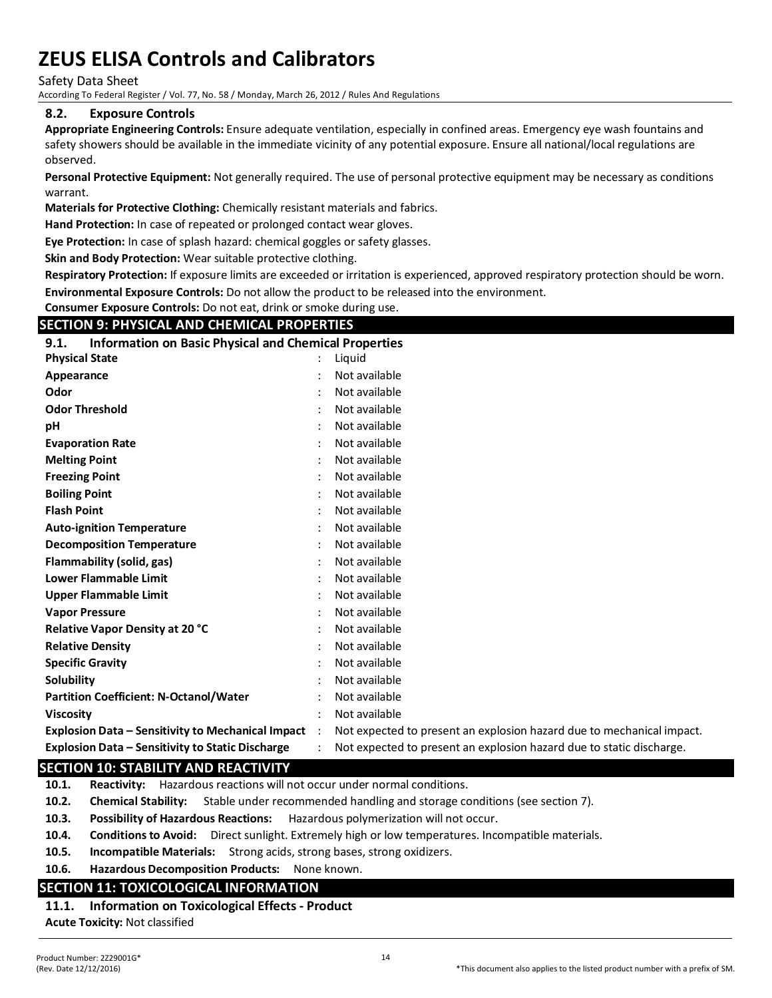Safety Data Sheet

According To Federal Register / Vol. 77, No. 58 / Monday, March 26, 2012 / Rules And Regulations

#### **8.2. Exposure Controls**

**Appropriate Engineering Controls:** Ensure adequate ventilation, especially in confined areas. Emergency eye wash fountains and safety showers should be available in the immediate vicinity of any potential exposure. Ensure all national/local regulations are observed.

**Personal Protective Equipment:** Not generally required. The use of personal protective equipment may be necessary as conditions warrant.

**Materials for Protective Clothing:** Chemically resistant materials and fabrics.

**Hand Protection:** In case of repeated or prolonged contact wear gloves.

**Eye Protection:** In case of splash hazard: chemical goggles or safety glasses.

**Skin and Body Protection:** Wear suitable protective clothing.

**Respiratory Protection:** If exposure limits are exceeded or irritation is experienced, approved respiratory protection should be worn. **Environmental Exposure Controls:** Do not allow the product to be released into the environment.

**Consumer Exposure Controls:** Do not eat, drink or smoke during use.

### **SECTION 9: PHYSICAL AND CHEMICAL PROPERTIES**

| <b>Information on Basic Physical and Chemical Properties</b><br>9.1. |                           |                           |
|----------------------------------------------------------------------|---------------------------|---------------------------|
| <b>Physical State</b>                                                |                           | Liquid                    |
| Appearance                                                           |                           | Not available             |
| Odor                                                                 |                           | Not available             |
| <b>Odor Threshold</b>                                                |                           | Not available             |
| рH                                                                   |                           | Not available             |
| <b>Evaporation Rate</b>                                              |                           | Not available             |
| <b>Melting Point</b>                                                 |                           | Not available             |
| <b>Freezing Point</b>                                                |                           | Not available             |
| <b>Boiling Point</b>                                                 |                           | Not available             |
| <b>Flash Point</b>                                                   |                           | Not available             |
| <b>Auto-ignition Temperature</b>                                     |                           | Not available             |
| <b>Decomposition Temperature</b>                                     |                           | Not available             |
| Flammability (solid, gas)                                            |                           | Not available             |
| <b>Lower Flammable Limit</b>                                         |                           | Not available             |
| <b>Upper Flammable Limit</b>                                         |                           | Not available             |
| <b>Vapor Pressure</b>                                                |                           | Not available             |
| Relative Vapor Density at 20 °C                                      |                           | Not available             |
| <b>Relative Density</b>                                              |                           | Not available             |
| <b>Specific Gravity</b>                                              |                           | Not available             |
| Solubility                                                           |                           | Not available             |
| <b>Partition Coefficient: N-Octanol/Water</b>                        |                           | Not available             |
| <b>Viscosity</b>                                                     |                           | Not available             |
| <b>Explosion Data – Sensitivity to Mechanical Impact</b>             | $\mathbb{R}^{\mathbb{Z}}$ | Not expected to present a |
| <b>Explosion Data - Sensitivity to Static Discharge</b>              |                           | Not expected to present a |

# **Explosion Data – Sensitivity to Mechanical Impact** : Not expected to present an explosion hazard due to mechanical impact. **Explosion Data – Sensitivity to Static Discharge** : Not expected to present an explosion hazard due to static discharge.

#### **SECTION 10: STABILITY AND REACTIVITY**

**10.1. Reactivity:** Hazardous reactions will not occur under normal conditions.

- **10.2. Chemical Stability:** Stable under recommended handling and storage conditions (see section 7).
- **10.3. Possibility of Hazardous Reactions:** Hazardous polymerization will not occur.
- **10.4. Conditions to Avoid:** Direct sunlight. Extremely high or low temperatures. Incompatible materials.
- **10.5. Incompatible Materials:** Strong acids, strong bases, strong oxidizers.
- **10.6. Hazardous Decomposition Products:** None known.

# **SECTION 11: TOXICOLOGICAL INFORMATION**

# **11.1. Information on Toxicological Effects - Product**

**Acute Toxicity:** Not classified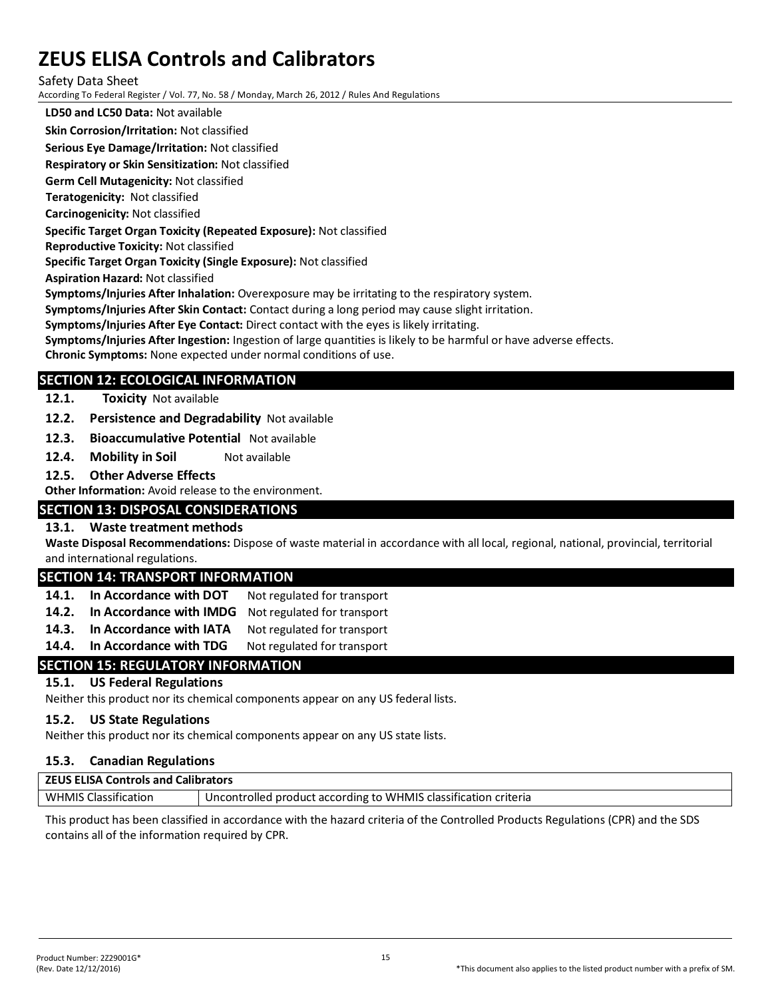#### Safety Data Sheet

According To Federal Register / Vol. 77, No. 58 / Monday, March 26, 2012 / Rules And Regulations

**LD50 and LC50 Data:** Not available

#### **Skin Corrosion/Irritation:** Not classified

**Serious Eye Damage/Irritation:** Not classified

**Respiratory or Skin Sensitization:** Not classified

**Germ Cell Mutagenicity:** Not classified

**Teratogenicity:** Not classified

**Carcinogenicity:** Not classified

#### **Specific Target Organ Toxicity (Repeated Exposure):** Not classified

**Reproductive Toxicity:** Not classified **Specific Target Organ Toxicity (Single Exposure):** Not classified

**Aspiration Hazard:** Not classified

**Symptoms/Injuries After Inhalation:** Overexposure may be irritating to the respiratory system.

**Symptoms/Injuries After Skin Contact:** Contact during a long period may cause slight irritation.

**Symptoms/Injuries After Eye Contact:** Direct contact with the eyes is likely irritating.

**Symptoms/Injuries After Ingestion:** Ingestion of large quantities is likely to be harmful or have adverse effects.

**Chronic Symptoms:** None expected under normal conditions of use.

# **SECTION 12: ECOLOGICAL INFORMATION**

#### **12.1. Toxicity** Not available

**12.2. Persistence and Degradability** Not available

- **12.3. Bioaccumulative Potential** Not available
- **12.4. Mobility in Soil** Not available
- **12.5. Other Adverse Effects**

**Other Information:** Avoid release to the environment.

# **SECTION 13: DISPOSAL CONSIDERATIONS**

#### **13.1. Waste treatment methods**

**Waste Disposal Recommendations:** Dispose of waste material in accordance with all local, regional, national, provincial, territorial and international regulations.

# **SECTION 14: TRANSPORT INFORMATION**

| 14.1. In Accordance with DOT | Not regulated for transport |
|------------------------------|-----------------------------|
|                              |                             |

- **14.2. In Accordance with IMDG** Not regulated for transport
- **14.3. In Accordance with IATA** Not regulated for transport
- 14.4. In Accordance with TDG Not regulated for transport

# **SECTION 15: REGULATORY INFORMATION**

#### **15.1. US Federal Regulations**

Neither this product nor its chemical components appear on any US federal lists.

#### **15.2. US State Regulations**

Neither this product nor its chemical components appear on any US state lists.

#### **15.3. Canadian Regulations**

| <b>ZEUS ELISA Controls and Calibrators</b> |                                                                 |  |  |  |  |
|--------------------------------------------|-----------------------------------------------------------------|--|--|--|--|
| <b>WHMIS Classification</b>                | Uncontrolled product according to WHMIS classification criteria |  |  |  |  |

This product has been classified in accordance with the hazard criteria of the Controlled Products Regulations (CPR) and the SDS contains all of the information required by CPR.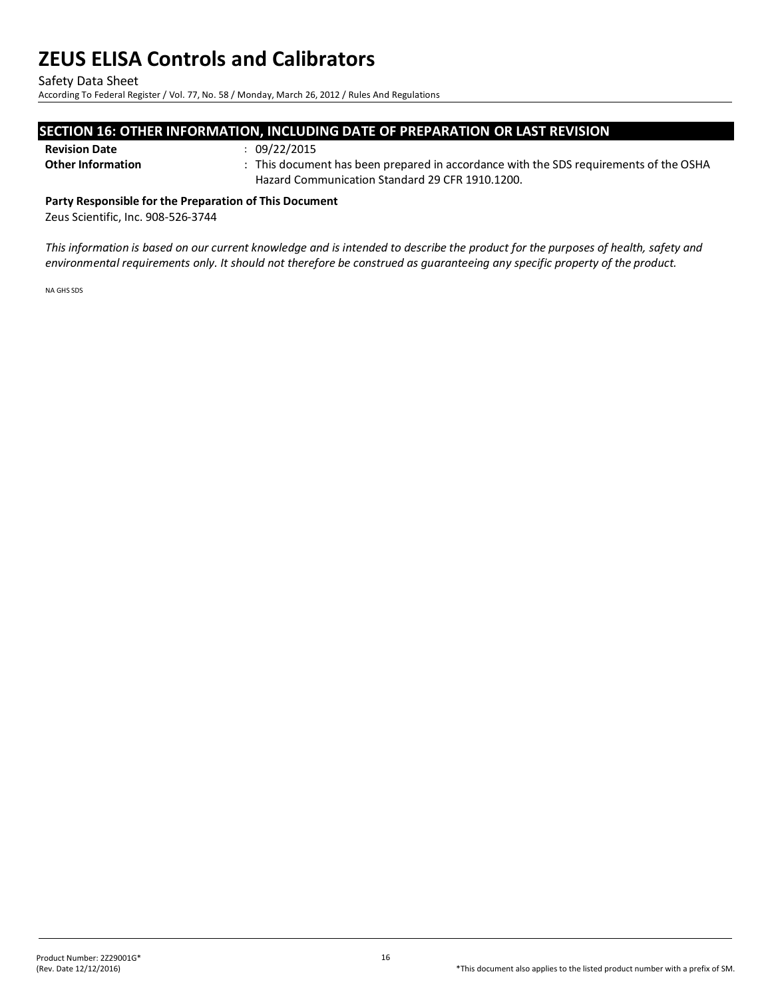Safety Data Sheet

According To Federal Register / Vol. 77, No. 58 / Monday, March 26, 2012 / Rules And Regulations

### **SECTION 16: OTHER INFORMATION, INCLUDING DATE OF PREPARATION OR LAST REVISION**

#### **Revision Date** : 09/22/2015

**Other Information** : This document has been prepared in accordance with the SDS requirements of the OSHA Hazard Communication Standard 29 CFR 1910.1200.

**Party Responsible for the Preparation of This Document** 

Zeus Scientific, Inc. 908-526-3744

*This information is based on our current knowledge and is intended to describe the product for the purposes of health, safety and environmental requirements only. It should not therefore be construed as guaranteeing any specific property of the product.*

NA GHS SDS

16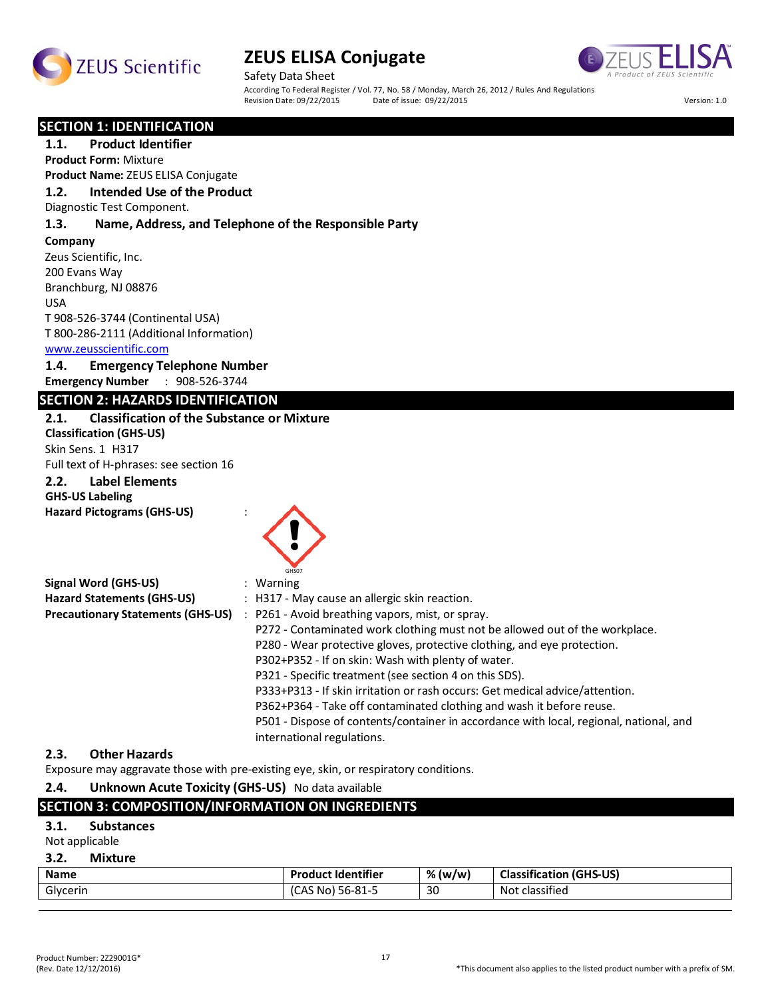



Safety Data Sheet According To Federal Register / Vol. 77, No. 58 / Monday, March 26, 2012 / Rules And Regulations<br>Revision Date: 09/22/2015 Date of issue: 09/22/2015 Revision Date: 09/22/2015 Date of issue: 09/22/2015 Version: 1.0

#### **SECTION 1: IDENTIFICATION**

**1.1. Product Identifier Product Form:** Mixture **Product Name:** ZEUS ELISA Conjugate **1.2. Intended Use of the Product** Diagnostic Test Component. **1.3. Name, Address, and Telephone of the Responsible Party**

**Company**  Zeus Scientific, Inc. 200 Evans Way Branchburg, NJ 08876 USA T 908-526-3744 (Continental USA) T 800-286-2111 (Additional Information) www.zeusscientific.com

# **1.4. Emergency Telephone Number**

**Emergency Number** : 908-526-3744

# **SECTION 2: HAZARDS IDENTIFICATION**

### **2.1. Classification of the Substance or Mixture**

**Classification (GHS-US)** Skin Sens. 1 H317 Full text of H-phrases: see section 16

# **2.2. Label Elements**

**GHS-US Labeling Hazard Pictograms (GHS-US)** :



| <b>Signal Word (GHS-US)</b>              | $:$ Warning                                                                            |
|------------------------------------------|----------------------------------------------------------------------------------------|
| <b>Hazard Statements (GHS-US)</b>        | : H317 - May cause an allergic skin reaction.                                          |
| <b>Precautionary Statements (GHS-US)</b> | : P261 - Avoid breathing vapors, mist, or spray.                                       |
|                                          | P272 - Contaminated work clothing must not be allowed out of the workplace.            |
|                                          | P280 - Wear protective gloves, protective clothing, and eye protection.                |
|                                          | P302+P352 - If on skin: Wash with plenty of water.                                     |
|                                          | P321 - Specific treatment (see section 4 on this SDS).                                 |
|                                          | P333+P313 - If skin irritation or rash occurs: Get medical advice/attention.           |
|                                          | P362+P364 - Take off contaminated clothing and wash it before reuse.                   |
|                                          | P501 - Dispose of contents/container in accordance with local, regional, national, and |
|                                          | international regulations.                                                             |

#### **2.3. Other Hazards**

Exposure may aggravate those with pre-existing eye, skin, or respiratory conditions.

**2.4. Unknown Acute Toxicity (GHS-US)** No data available

# **SECTION 3: COMPOSITION/INFORMATION ON INGREDIENTS**

#### **3.1. Substances**

Not applicable

#### **3.2. Mixture**

| <b>Name</b>        | <b>Product Identifier</b>   | % (w/w) | Classification<br>(GHS-US)          |
|--------------------|-----------------------------|---------|-------------------------------------|
| $\sim$<br>Glycerin | 56-81-5<br>$\sqrt{2}$<br>Nc | 30      | $\cdot$ $\sim$<br>Not<br>classified |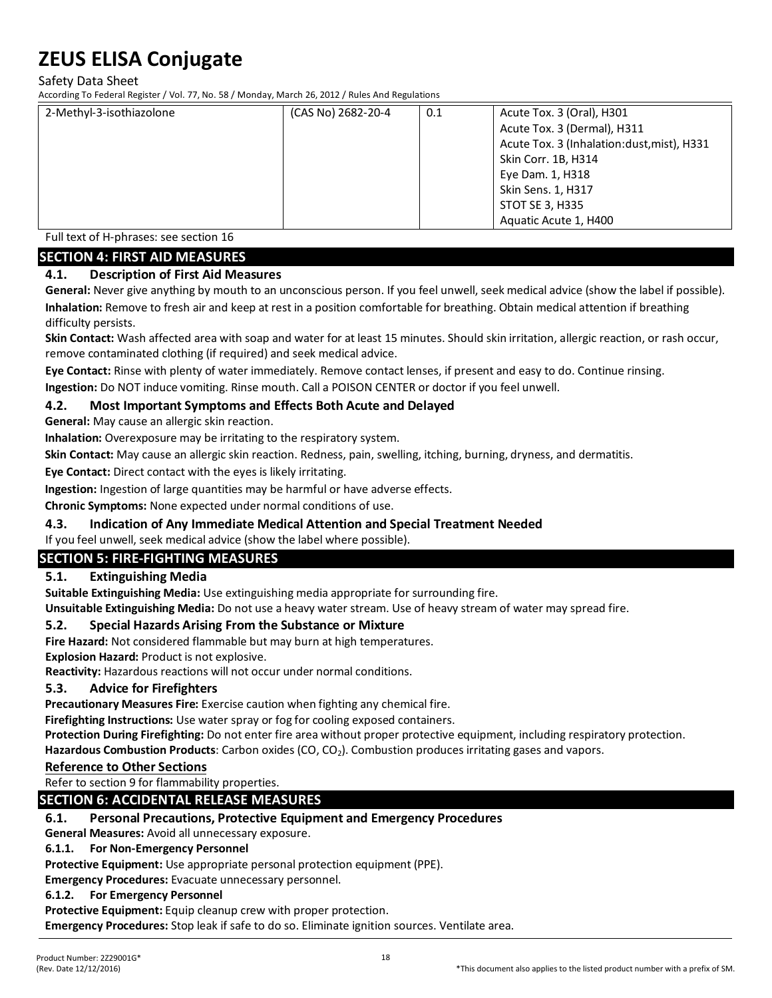Safety Data Sheet

According To Federal Register / Vol. 77, No. 58 / Monday, March 26, 2012 / Rules And Regulations

| 2-Methyl-3-isothiazolone | (CAS No) 2682-20-4 | 0.1 | Acute Tox. 3 (Oral), H301                  |
|--------------------------|--------------------|-----|--------------------------------------------|
|                          |                    |     | Acute Tox. 3 (Dermal), H311                |
|                          |                    |     | Acute Tox. 3 (Inhalation:dust, mist), H331 |
|                          |                    |     | Skin Corr. 1B, H314                        |
|                          |                    |     | Eye Dam. 1, H318                           |
|                          |                    |     | Skin Sens. 1, H317                         |
|                          |                    |     | STOT SE 3, H335                            |
|                          |                    |     | Aquatic Acute 1, H400                      |

Full text of H-phrases: see section 16

### **SECTION 4: FIRST AID MEASURES**

#### **4.1. Description of First Aid Measures**

**General:** Never give anything by mouth to an unconscious person. If you feel unwell, seek medical advice (show the label if possible). **Inhalation:** Remove to fresh air and keep at rest in a position comfortable for breathing. Obtain medical attention if breathing difficulty persists.

**Skin Contact:** Wash affected area with soap and water for at least 15 minutes. Should skin irritation, allergic reaction, or rash occur, remove contaminated clothing (if required) and seek medical advice.

**Eye Contact:** Rinse with plenty of water immediately. Remove contact lenses, if present and easy to do. Continue rinsing.

**Ingestion:** Do NOT induce vomiting. Rinse mouth. Call a POISON CENTER or doctor if you feel unwell.

### **4.2. Most Important Symptoms and Effects Both Acute and Delayed**

**General:** May cause an allergic skin reaction.

**Inhalation:** Overexposure may be irritating to the respiratory system.

**Skin Contact:** May cause an allergic skin reaction. Redness, pain, swelling, itching, burning, dryness, and dermatitis.

**Eye Contact:** Direct contact with the eyes is likely irritating.

**Ingestion:** Ingestion of large quantities may be harmful or have adverse effects.

**Chronic Symptoms:** None expected under normal conditions of use.

#### **4.3. Indication of Any Immediate Medical Attention and Special Treatment Needed**

If you feel unwell, seek medical advice (show the label where possible).

# **SECTION 5: FIRE-FIGHTING MEASURES**

#### **5.1. Extinguishing Media**

**Suitable Extinguishing Media:** Use extinguishing media appropriate for surrounding fire.

**Unsuitable Extinguishing Media:** Do not use a heavy water stream. Use of heavy stream of water may spread fire.

#### **5.2. Special Hazards Arising From the Substance or Mixture**

**Fire Hazard:** Not considered flammable but may burn at high temperatures.

**Explosion Hazard:** Product is not explosive.

**Reactivity:** Hazardous reactions will not occur under normal conditions.

#### **5.3. Advice for Firefighters**

**Precautionary Measures Fire:** Exercise caution when fighting any chemical fire.

**Firefighting Instructions:** Use water spray or fog for cooling exposed containers.

**Protection During Firefighting:** Do not enter fire area without proper protective equipment, including respiratory protection.

Hazardous Combustion Products: Carbon oxides (CO, CO<sub>2</sub>). Combustion produces irritating gases and vapors.

#### **Reference to Other Sections**

Refer to section 9 for flammability properties.

# **SECTION 6: ACCIDENTAL RELEASE MEASURES**

#### **6.1. Personal Precautions, Protective Equipment and Emergency Procedures**

**General Measures:** Avoid all unnecessary exposure.

#### **6.1.1. For Non-Emergency Personnel**

**Protective Equipment:** Use appropriate personal protection equipment (PPE).

**Emergency Procedures:** Evacuate unnecessary personnel.

# **6.1.2. For Emergency Personnel**

**Protective Equipment:** Equip cleanup crew with proper protection.

**Emergency Procedures:** Stop leak if safe to do so. Eliminate ignition sources. Ventilate area.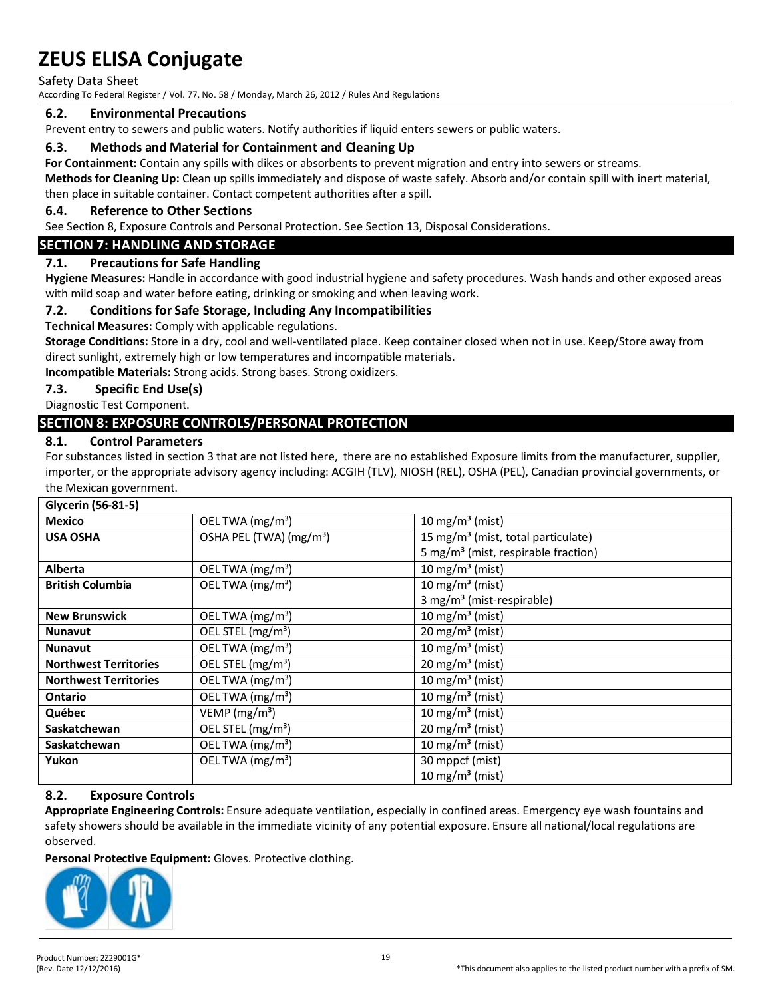Safety Data Sheet

According To Federal Register / Vol. 77, No. 58 / Monday, March 26, 2012 / Rules And Regulations

#### **6.2. Environmental Precautions**

Prevent entry to sewers and public waters. Notify authorities if liquid enters sewers or public waters.

#### **6.3. Methods and Material for Containment and Cleaning Up**

**For Containment:** Contain any spills with dikes or absorbents to prevent migration and entry into sewers or streams.

**Methods for Cleaning Up:** Clean up spills immediately and dispose of waste safely. Absorb and/or contain spill with inert material, then place in suitable container. Contact competent authorities after a spill.

#### **6.4. Reference to Other Sections**

See Section 8, Exposure Controls and Personal Protection. See Section 13, Disposal Considerations.

#### **SECTION 7: HANDLING AND STORAGE**

#### **7.1. Precautions for Safe Handling**

**Hygiene Measures:** Handle in accordance with good industrial hygiene and safety procedures. Wash hands and other exposed areas with mild soap and water before eating, drinking or smoking and when leaving work.

#### **7.2. Conditions for Safe Storage, Including Any Incompatibilities**

**Technical Measures:** Comply with applicable regulations.

**Storage Conditions:** Store in a dry, cool and well-ventilated place. Keep container closed when not in use. Keep/Store away from direct sunlight, extremely high or low temperatures and incompatible materials.

**Incompatible Materials:** Strong acids. Strong bases. Strong oxidizers.

#### **7.3. Specific End Use(s)**

Diagnostic Test Component.

#### **SECTION 8: EXPOSURE CONTROLS/PERSONAL PROTECTION**

#### **8.1. Control Parameters**

For substances listed in section 3 that are not listed here, there are no established Exposure limits from the manufacturer, supplier, importer, or the appropriate advisory agency including: ACGIH (TLV), NIOSH (REL), OSHA (PEL), Canadian provincial governments, or the Mexican government.

| Glycerin (56-81-5)           |                                     |                                                 |  |
|------------------------------|-------------------------------------|-------------------------------------------------|--|
| <b>Mexico</b>                | OEL TWA (mg/m <sup>3</sup> )        | 10 mg/m <sup>3</sup> (mist)                     |  |
| <b>USA OSHA</b>              | OSHA PEL (TWA) (mg/m <sup>3</sup> ) | 15 mg/m <sup>3</sup> (mist, total particulate)  |  |
|                              |                                     | 5 mg/m <sup>3</sup> (mist, respirable fraction) |  |
| <b>Alberta</b>               | OEL TWA (mg/m <sup>3</sup> )        | $10$ mg/m <sup>3</sup> (mist)                   |  |
| <b>British Columbia</b>      | OEL TWA (mg/m <sup>3</sup> )        | 10 mg/m <sup>3</sup> (mist)                     |  |
|                              |                                     | 3 mg/m <sup>3</sup> (mist-respirable)           |  |
| <b>New Brunswick</b>         | OEL TWA (mg/m <sup>3</sup> )        | 10 mg/m <sup>3</sup> (mist)                     |  |
| <b>Nunavut</b>               | OEL STEL (mg/m <sup>3</sup> )       | $20 \text{ mg/m}^3$ (mist)                      |  |
| <b>Nunavut</b>               | OEL TWA (mg/m <sup>3</sup> )        | 10 mg/m <sup>3</sup> (mist)                     |  |
| <b>Northwest Territories</b> | OEL STEL (mg/m <sup>3</sup> )       | $20 \,\mathrm{mg/m^3}$ (mist)                   |  |
| <b>Northwest Territories</b> | OEL TWA (mg/m <sup>3</sup> )        | $10$ mg/m <sup>3</sup> (mist)                   |  |
| <b>Ontario</b>               | OEL TWA (mg/m <sup>3</sup> )        | $10$ mg/m <sup>3</sup> (mist)                   |  |
| Québec                       | VEMP ( $mg/m3$ )                    | 10 mg/m <sup>3</sup> (mist)                     |  |
| Saskatchewan                 | OEL STEL (mg/m <sup>3</sup> )       | $20 \,\mathrm{mg/m^3}$ (mist)                   |  |
| <b>Saskatchewan</b>          | OEL TWA (mg/m <sup>3</sup> )        | 10 mg/m <sup>3</sup> (mist)                     |  |
| Yukon                        | OEL TWA $(mg/m3)$                   | 30 mppcf (mist)                                 |  |
|                              |                                     | 10 mg/m <sup>3</sup> (mist)                     |  |

#### **8.2. Exposure Controls**

**Appropriate Engineering Controls:** Ensure adequate ventilation, especially in confined areas. Emergency eye wash fountains and safety showers should be available in the immediate vicinity of any potential exposure. Ensure all national/local regulations are observed.

**Personal Protective Equipment:** Gloves. Protective clothing.

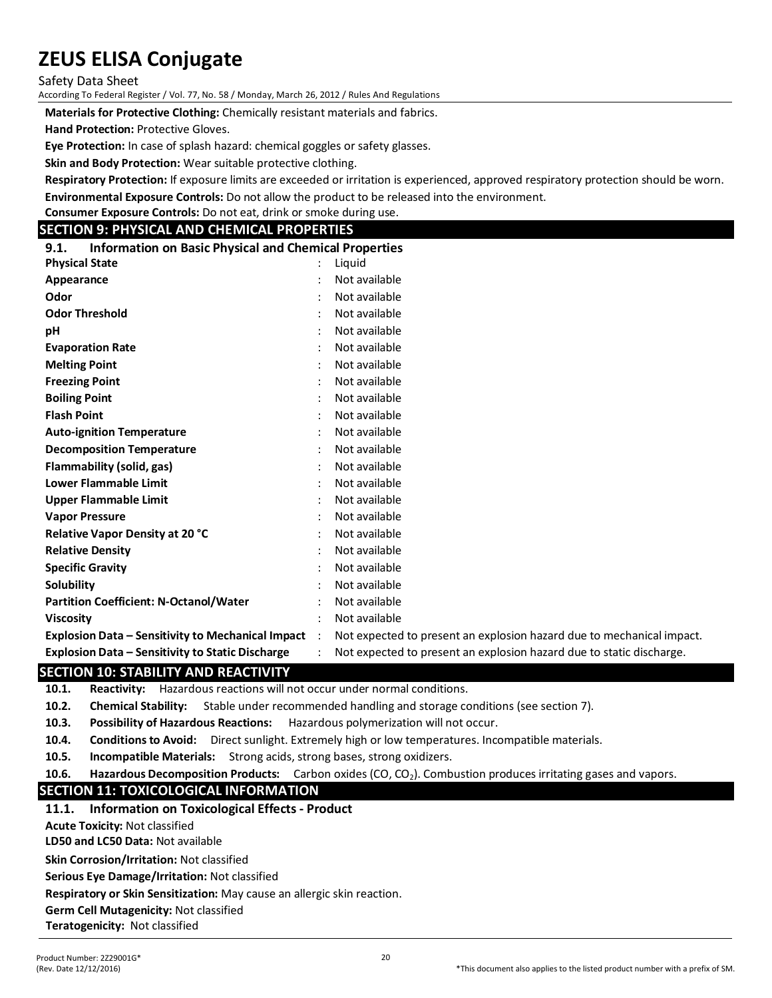Safety Data Sheet

According To Federal Register / Vol. 77, No. 58 / Monday, March 26, 2012 / Rules And Regulations

**Materials for Protective Clothing:** Chemically resistant materials and fabrics.

**Hand Protection:** Protective Gloves.

**Eye Protection:** In case of splash hazard: chemical goggles or safety glasses.

**Skin and Body Protection:** Wear suitable protective clothing.

**Respiratory Protection:** If exposure limits are exceeded or irritation is experienced, approved respiratory protection should be worn.

**Environmental Exposure Controls:** Do not allow the product to be released into the environment.

**Consumer Exposure Controls:** Do not eat, drink or smoke during use.

#### **SECTION 9: PHYSICAL AND CHEMICAL PROPERTIES**

| <b>Information on Basic Physical and Chemical Properties</b><br>9.1. |
|----------------------------------------------------------------------|
|----------------------------------------------------------------------|

| <b>Physical State</b>                                    |                | Liguid                                                                |
|----------------------------------------------------------|----------------|-----------------------------------------------------------------------|
| Appearance                                               |                | Not available                                                         |
| Odor                                                     |                | Not available                                                         |
| <b>Odor Threshold</b>                                    |                | Not available                                                         |
| рH                                                       |                | Not available                                                         |
| <b>Evaporation Rate</b>                                  |                | Not available                                                         |
| <b>Melting Point</b>                                     |                | Not available                                                         |
| <b>Freezing Point</b>                                    |                | Not available                                                         |
| <b>Boiling Point</b>                                     |                | Not available                                                         |
| <b>Flash Point</b>                                       |                | Not available                                                         |
| <b>Auto-ignition Temperature</b>                         |                | Not available                                                         |
| <b>Decomposition Temperature</b>                         |                | Not available                                                         |
| Flammability (solid, gas)                                |                | Not available                                                         |
| Lower Flammable Limit                                    |                | Not available                                                         |
| <b>Upper Flammable Limit</b>                             |                | Not available                                                         |
| <b>Vapor Pressure</b>                                    |                | Not available                                                         |
| Relative Vapor Density at 20 °C                          |                | Not available                                                         |
| <b>Relative Density</b>                                  |                | Not available                                                         |
| <b>Specific Gravity</b>                                  |                | Not available                                                         |
| Solubility                                               |                | Not available                                                         |
| <b>Partition Coefficient: N-Octanol/Water</b>            |                | Not available                                                         |
| <b>Viscosity</b>                                         |                | Not available                                                         |
| <b>Explosion Data - Sensitivity to Mechanical Impact</b> | $\ddot{\cdot}$ | Not expected to present an explosion hazard due to mechanical impact. |
| Explosion Data – Sensitivity to Static Discharge         |                | Not expected to present an explosion hazard due to static discharge.  |

#### **SECTION 10: STABILITY AND REACTIVITY**

**10.1. Reactivity:** Hazardous reactions will not occur under normal conditions.

**10.2. Chemical Stability:** Stable under recommended handling and storage conditions (see section 7).

**10.3. Possibility of Hazardous Reactions:** Hazardous polymerization will not occur.

**10.4. Conditions to Avoid:** Direct sunlight. Extremely high or low temperatures. Incompatible materials.

**10.5. Incompatible Materials:** Strong acids, strong bases, strong oxidizers.

**10.6. Hazardous Decomposition Products:** Carbon oxides (CO, CO<sub>2</sub>). Combustion produces irritating gases and vapors.

# **SECTION 11: TOXICOLOGICAL INFORMATION**

#### **11.1. Information on Toxicological Effects - Product**

**Acute Toxicity:** Not classified

**LD50 and LC50 Data:** Not available

**Skin Corrosion/Irritation:** Not classified

**Serious Eye Damage/Irritation:** Not classified

**Respiratory or Skin Sensitization:** May cause an allergic skin reaction.

**Germ Cell Mutagenicity:** Not classified

**Teratogenicity:** Not classified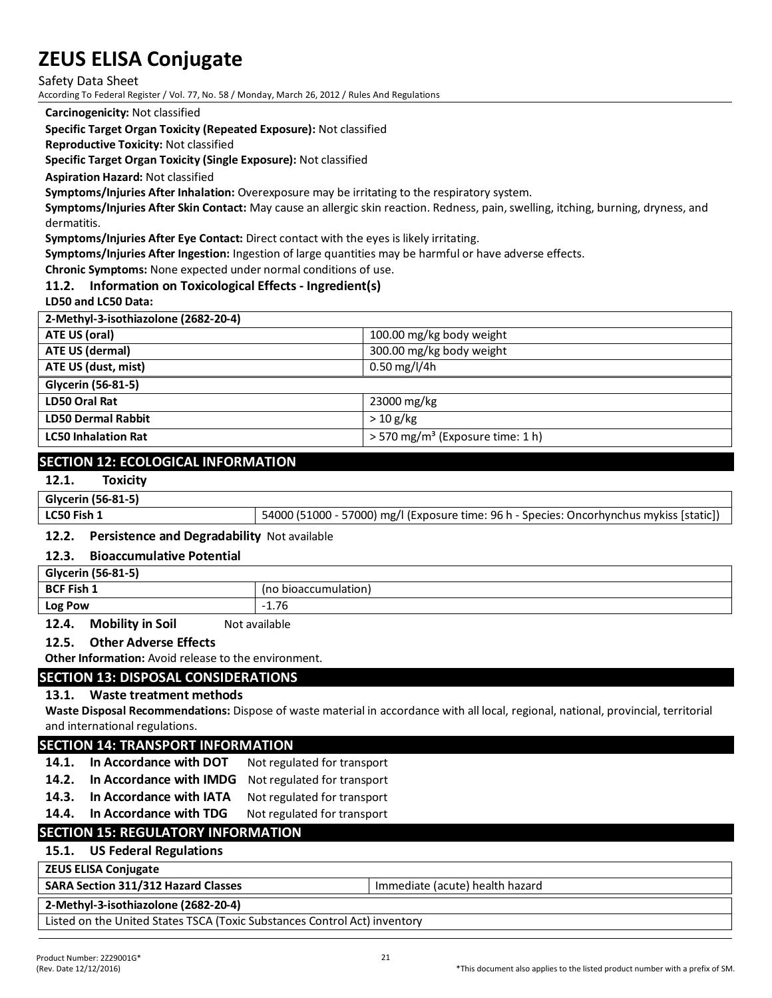Safety Data Sheet

According To Federal Register / Vol. 77, No. 58 / Monday, March 26, 2012 / Rules And Regulations

**Carcinogenicity:** Not classified

**Specific Target Organ Toxicity (Repeated Exposure):** Not classified

**Reproductive Toxicity:** Not classified

**Specific Target Organ Toxicity (Single Exposure):** Not classified

**Aspiration Hazard:** Not classified

**Symptoms/Injuries After Inhalation:** Overexposure may be irritating to the respiratory system.

**Symptoms/Injuries After Skin Contact:** May cause an allergic skin reaction. Redness, pain,swelling, itching, burning, dryness, and dermatitis.

**Symptoms/Injuries After Eye Contact:** Direct contact with the eyes is likely irritating.

**Symptoms/Injuries After Ingestion:** Ingestion of large quantities may be harmful or have adverse effects.

**Chronic Symptoms:** None expected under normal conditions of use.

#### **11.2. Information on Toxicological Effects - Ingredient(s)**

**LD50 and LC50 Data:**

| 2-Methyl-3-isothiazolone (2682-20-4) |                                                |
|--------------------------------------|------------------------------------------------|
| ATE US (oral)                        | 100.00 mg/kg body weight                       |
| ATE US (dermal)                      | 300.00 mg/kg body weight                       |
| ATE US (dust, mist)                  | $0.50$ mg/l/4h                                 |
| Glycerin (56-81-5)                   |                                                |
| LD50 Oral Rat                        | 23000 mg/kg                                    |
| <b>LD50 Dermal Rabbit</b>            | >10 g/kg                                       |
| <b>LC50 Inhalation Rat</b>           | $>$ 570 mg/m <sup>3</sup> (Exposure time: 1 h) |
|                                      |                                                |

### **SECTION 12: ECOLOGICAL INFORMATION**

# **12.1. Toxicity**

#### **Glycerin (56-81-5)**

| LC50 Fish 1 | 54000 (51000 - 57000) mg/l (Exposure time: 96 h - Species: Oncorhynchus mykiss [static]) |
|-------------|------------------------------------------------------------------------------------------|
|             |                                                                                          |

#### **12.2. Persistence and Degradability** Not available

#### **12.3. Bioaccumulative Potential**

| Glycerin (56-81-5) |                      |
|--------------------|----------------------|
| <b>BCF Fish 1</b>  | (no bioaccumulation) |
| <b>Log Pow</b>     | 1.76                 |
|                    | .                    |

**12.4. Mobility in Soil** Not available

#### **12.5. Other Adverse Effects**

**Other Information:** Avoid release to the environment.

#### **SECTION 13: DISPOSAL CONSIDERATIONS**

#### **13.1. Waste treatment methods**

**Waste Disposal Recommendations:** Dispose of waste material in accordance with all local, regional, national, provincial, territorial and international regulations.

#### **SECTION 14: TRANSPORT INFORMATION**

- 14.1. In Accordance with DOT Not regulated for transport
- **14.2. In Accordance with IMDG** Not regulated for transport
- **14.3. In Accordance with IATA** Not regulated for transport
- 14.4. In Accordance with TDG Not regulated for transport

# **SECTION 15: REGULATORY INFORMATION**

# **15.1. US Federal Regulations**

#### **ZEUS ELISA Conjugate**

#### **SARA Section 311/312 Hazard Classes Immediate (acute) health hazard**

#### **2-Methyl-3-isothiazolone (2682-20-4)**

Listed on the United States TSCA (Toxic Substances Control Act) inventory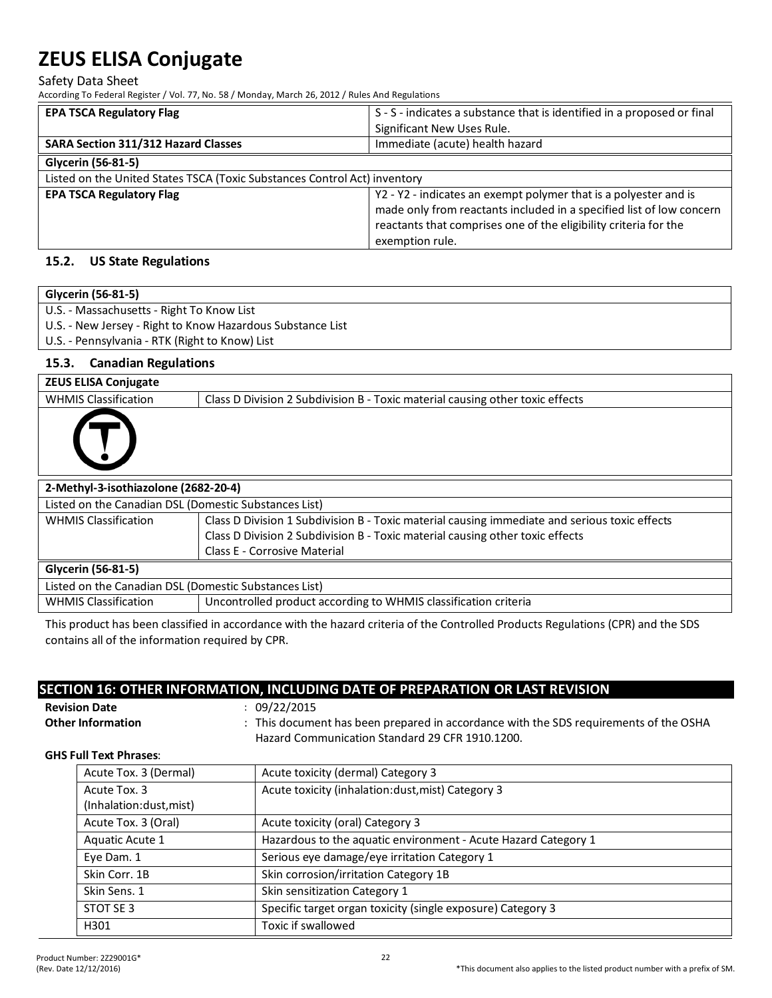Safety Data Sheet

According To Federal Register / Vol. 77, No. 58 / Monday, March 26, 2012 / Rules And Regulations

| <b>EPA TSCA Regulatory Flag</b>                                           | S - S - indicates a substance that is identified in a proposed or final<br>Significant New Uses Rule.                                                                                                                           |  |  |
|---------------------------------------------------------------------------|---------------------------------------------------------------------------------------------------------------------------------------------------------------------------------------------------------------------------------|--|--|
| <b>SARA Section 311/312 Hazard Classes</b>                                | Immediate (acute) health hazard                                                                                                                                                                                                 |  |  |
| Glycerin (56-81-5)                                                        |                                                                                                                                                                                                                                 |  |  |
| Listed on the United States TSCA (Toxic Substances Control Act) inventory |                                                                                                                                                                                                                                 |  |  |
| <b>EPA TSCA Regulatory Flag</b>                                           | Y2 - Y2 - indicates an exempt polymer that is a polyester and is<br>made only from reactants included in a specified list of low concern<br>reactants that comprises one of the eligibility criteria for the<br>exemption rule. |  |  |

#### **15.2. US State Regulations**

| Glycerin (56-81-5)                                         |                                                                                               |  |  |  |
|------------------------------------------------------------|-----------------------------------------------------------------------------------------------|--|--|--|
| U.S. - Massachusetts - Right To Know List                  |                                                                                               |  |  |  |
| U.S. - New Jersey - Right to Know Hazardous Substance List |                                                                                               |  |  |  |
| U.S. - Pennsylvania - RTK (Right to Know) List             |                                                                                               |  |  |  |
| <b>Canadian Regulations</b><br>15.3.                       |                                                                                               |  |  |  |
| <b>ZEUS ELISA Conjugate</b>                                |                                                                                               |  |  |  |
| <b>WHMIS Classification</b>                                | Class D Division 2 Subdivision B - Toxic material causing other toxic effects                 |  |  |  |
|                                                            |                                                                                               |  |  |  |
| 2-Methyl-3-isothiazolone (2682-20-4)                       |                                                                                               |  |  |  |
| Listed on the Canadian DSL (Domestic Substances List)      |                                                                                               |  |  |  |
| <b>WHMIS Classification</b>                                | Class D Division 1 Subdivision B - Toxic material causing immediate and serious toxic effects |  |  |  |
|                                                            | Class D Division 2 Subdivision B - Toxic material causing other toxic effects                 |  |  |  |
|                                                            | <b>Class E - Corrosive Material</b>                                                           |  |  |  |
| Glycerin (56-81-5)                                         |                                                                                               |  |  |  |
| Listed on the Canadian DSL (Domestic Substances List)      |                                                                                               |  |  |  |
| <b>WHMIS Classification</b>                                | Uncontrolled product according to WHMIS classification criteria                               |  |  |  |

This product has been classified in accordance with the hazard criteria of the Controlled Products Regulations (CPR) and the SDS contains all of the information required by CPR.

# **SECTION 16: OTHER INFORMATION, INCLUDING DATE OF PREPARATION OR LAST REVISION**

**Revision Date** : 09/22/2015

Other Information : This document has been prepared in accordance with the SDS requirements of the OSHA Hazard Communication Standard 29 CFR 1910.1200.

#### **GHS Full Text Phrases**:

| Acute Tox. 3 (Dermal)   | Acute toxicity (dermal) Category 3                             |  |
|-------------------------|----------------------------------------------------------------|--|
| Acute Tox. 3            | Acute toxicity (inhalation:dust, mist) Category 3              |  |
| (Inhalation:dust, mist) |                                                                |  |
| Acute Tox. 3 (Oral)     | Acute toxicity (oral) Category 3                               |  |
| Aquatic Acute 1         | Hazardous to the aquatic environment - Acute Hazard Category 1 |  |
| Eye Dam. 1              | Serious eye damage/eye irritation Category 1                   |  |
| Skin Corr. 1B           | Skin corrosion/irritation Category 1B                          |  |
| Skin Sens. 1            | Skin sensitization Category 1                                  |  |
| STOT SE 3               | Specific target organ toxicity (single exposure) Category 3    |  |
| H301                    | Toxic if swallowed                                             |  |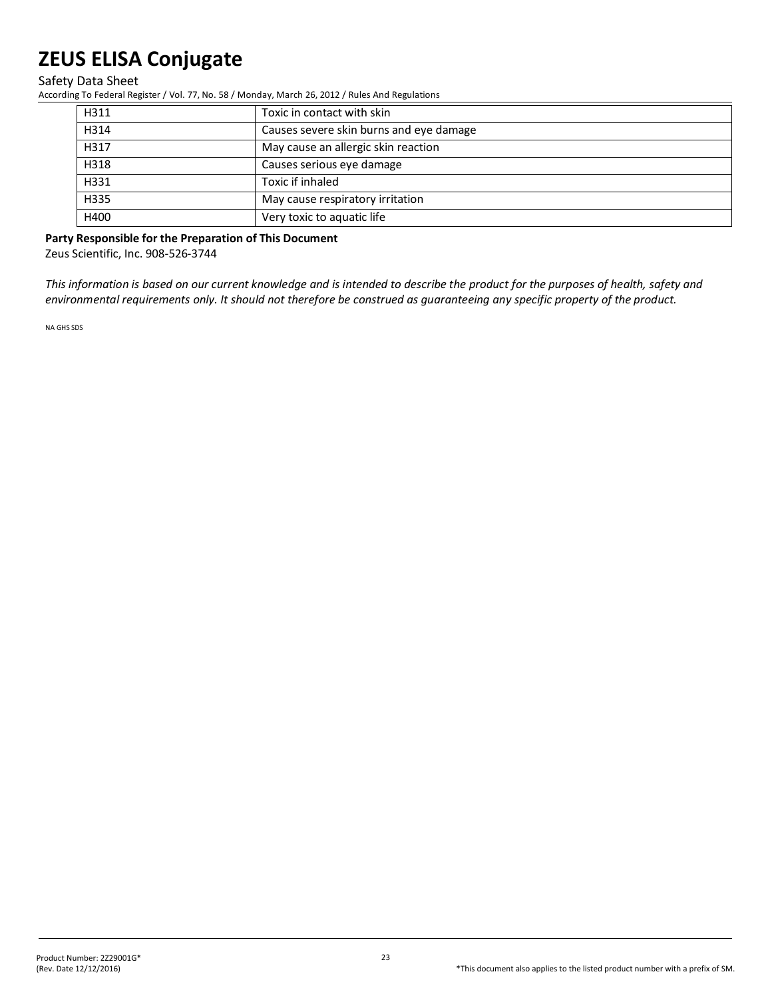Safety Data Sheet

According To Federal Register / Vol. 77, No. 58 / Monday, March 26, 2012 / Rules And Regulations

| H311                                     | Toxic in contact with skin              |  |  |  |
|------------------------------------------|-----------------------------------------|--|--|--|
| H314                                     | Causes severe skin burns and eye damage |  |  |  |
| H317                                     | May cause an allergic skin reaction     |  |  |  |
| H318                                     | Causes serious eye damage               |  |  |  |
| H331                                     | Toxic if inhaled                        |  |  |  |
| H335<br>May cause respiratory irritation |                                         |  |  |  |
| H400                                     | Very toxic to aquatic life              |  |  |  |

**Party Responsible for the Preparation of This Document** 

Zeus Scientific, Inc. 908-526-3744

*This information is based on our current knowledge and is intended to describe the product for the purposes of health, safety and environmental requirements only. It should not therefore be construed as guaranteeing any specific property of the product.*

NA GHS SDS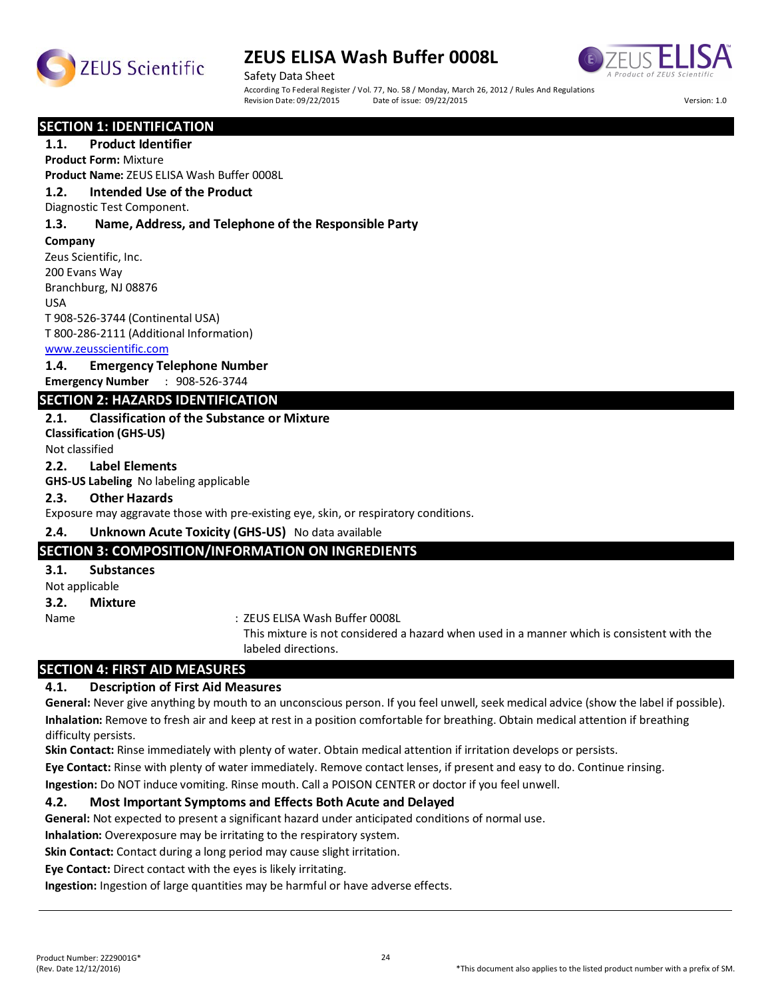



Safety Data Sheet According To Federal Register / Vol. 77, No. 58 / Monday, March 26, 2012 / Rules And Regulations<br>Revision Date: 09/22/2015 Date of issue: 09/22/2015 Revision Date: 09/22/2015 Date of issue: 09/22/2015 Version: 1.0

**SECTION 1: IDENTIFICATION** 

### **1.1. Product Identifier**

**Product Form:** Mixture

**Product Name:** ZEUS ELISA Wash Buffer 0008L

#### **1.2. Intended Use of the Product**

Diagnostic Test Component.

#### **1.3. Name, Address, and Telephone of the Responsible Party**

**Company** 

Zeus Scientific, Inc. 200 Evans Way Branchburg, NJ 08876 USA T 908-526-3744 (Continental USA)

T 800-286-2111 (Additional Information)

#### www.zeusscientific.com

#### **1.4. Emergency Telephone Number**

**Emergency Number** : 908-526-3744

#### **SECTION 2: HAZARDS IDENTIFICATION**

#### **2.1. Classification of the Substance or Mixture**

**Classification (GHS-US)** Not classified

#### **2.2. Label Elements**

**GHS-US Labeling** No labeling applicable

#### **2.3. Other Hazards**

Exposure may aggravate those with pre-existing eye, skin, or respiratory conditions.

#### **2.4. Unknown Acute Toxicity (GHS-US)** No data available

#### **SECTION 3: COMPOSITION/INFORMATION ON INGREDIENTS**

#### **3.1. Substances**

Not applicable

**3.2. Mixture**

Name : ZEUS ELISA Wash Buffer 0008L

This mixture is not considered a hazard when used in a manner which is consistent with the labeled directions.

# **SECTION 4: FIRST AID MEASURES**

#### **4.1. Description of First Aid Measures**

**General:** Never give anything by mouth to an unconscious person. If you feel unwell, seek medical advice (show the label if possible). **Inhalation:** Remove to fresh air and keep at rest in a position comfortable for breathing. Obtain medical attention if breathing difficulty persists.

**Skin Contact:** Rinse immediately with plenty of water. Obtain medical attention if irritation develops or persists.

**Eye Contact:** Rinse with plenty of water immediately. Remove contact lenses, if present and easy to do. Continue rinsing.

**Ingestion:** Do NOT induce vomiting. Rinse mouth. Call a POISON CENTER or doctor if you feel unwell.

#### **4.2. Most Important Symptoms and Effects Both Acute and Delayed**

**General:** Not expected to present a significant hazard under anticipated conditions of normal use.

**Inhalation:** Overexposure may be irritating to the respiratory system.

**Skin Contact:** Contact during a long period may cause slight irritation.

**Eye Contact:** Direct contact with the eyes is likely irritating.

**Ingestion:** Ingestion of large quantities may be harmful or have adverse effects.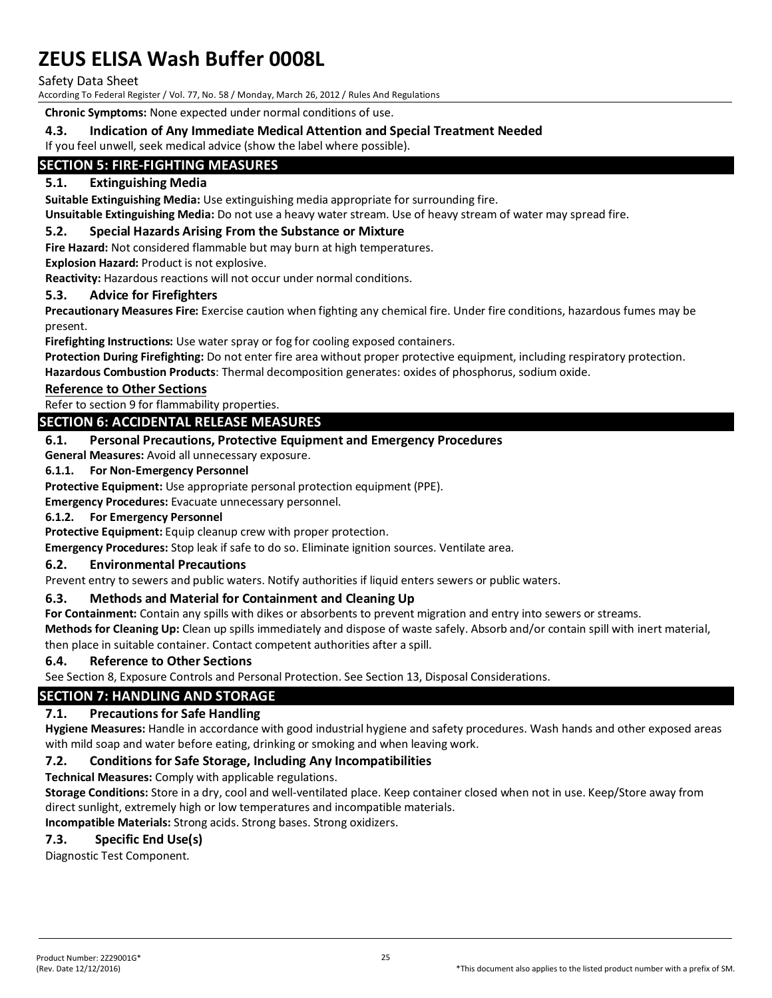Safety Data Sheet

According To Federal Register / Vol. 77, No. 58 / Monday, March 26, 2012 / Rules And Regulations

**Chronic Symptoms:** None expected under normal conditions of use.

### **4.3. Indication of Any Immediate Medical Attention and Special Treatment Needed**

If you feel unwell, seek medical advice (show the label where possible).

# **SECTION 5: FIRE-FIGHTING MEASURES**

### **5.1. Extinguishing Media**

**Suitable Extinguishing Media:** Use extinguishing media appropriate for surrounding fire.

**Unsuitable Extinguishing Media:** Do not use a heavy water stream. Use of heavy stream of water may spread fire.

#### **5.2. Special Hazards Arising From the Substance or Mixture**

**Fire Hazard:** Not considered flammable but may burn at high temperatures.

**Explosion Hazard:** Product is not explosive.

**Reactivity:** Hazardous reactions will not occur under normal conditions.

#### **5.3. Advice for Firefighters**

**Precautionary Measures Fire:** Exercise caution when fighting any chemical fire. Under fire conditions, hazardous fumes may be present.

**Firefighting Instructions:** Use water spray or fog for cooling exposed containers.

**Protection During Firefighting:** Do not enter fire area without proper protective equipment, including respiratory protection. **Hazardous Combustion Products**: Thermal decomposition generates: oxides of phosphorus, sodium oxide.

#### **Reference to Other Sections**

Refer to section 9 for flammability properties.

### **SECTION 6: ACCIDENTAL RELEASE MEASURES**

#### **6.1. Personal Precautions, Protective Equipment and Emergency Procedures**

**General Measures:** Avoid all unnecessary exposure.

#### **6.1.1. For Non-Emergency Personnel**

**Protective Equipment:** Use appropriate personal protection equipment (PPE).

**Emergency Procedures:** Evacuate unnecessary personnel.

#### **6.1.2. For Emergency Personnel**

**Protective Equipment:** Equip cleanup crew with proper protection.

**Emergency Procedures:** Stop leak if safe to do so. Eliminate ignition sources. Ventilate area.

#### **6.2. Environmental Precautions**

Prevent entry to sewers and public waters. Notify authorities if liquid enters sewers or public waters.

#### **6.3. Methods and Material for Containment and Cleaning Up**

**For Containment:** Contain any spills with dikes or absorbents to prevent migration and entry into sewers or streams.

**Methods for Cleaning Up:** Clean up spills immediately and dispose of waste safely. Absorb and/or contain spill with inert material, then place in suitable container. Contact competent authorities after a spill.

#### **6.4. Reference to Other Sections**

See Section 8, Exposure Controls and Personal Protection. See Section 13, Disposal Considerations.

# **SECTION 7: HANDLING AND STORAGE**

#### **7.1. Precautions for Safe Handling**

**Hygiene Measures:** Handle in accordance with good industrial hygiene and safety procedures. Wash hands and other exposed areas with mild soap and water before eating, drinking or smoking and when leaving work.

#### **7.2. Conditions for Safe Storage, Including Any Incompatibilities**

**Technical Measures:** Comply with applicable regulations.

**Storage Conditions:** Store in a dry, cool and well-ventilated place. Keep container closed when not in use. Keep/Store away from direct sunlight, extremely high or low temperatures and incompatible materials.

**Incompatible Materials:** Strong acids. Strong bases. Strong oxidizers.

# **7.3. Specific End Use(s)**

Diagnostic Test Component.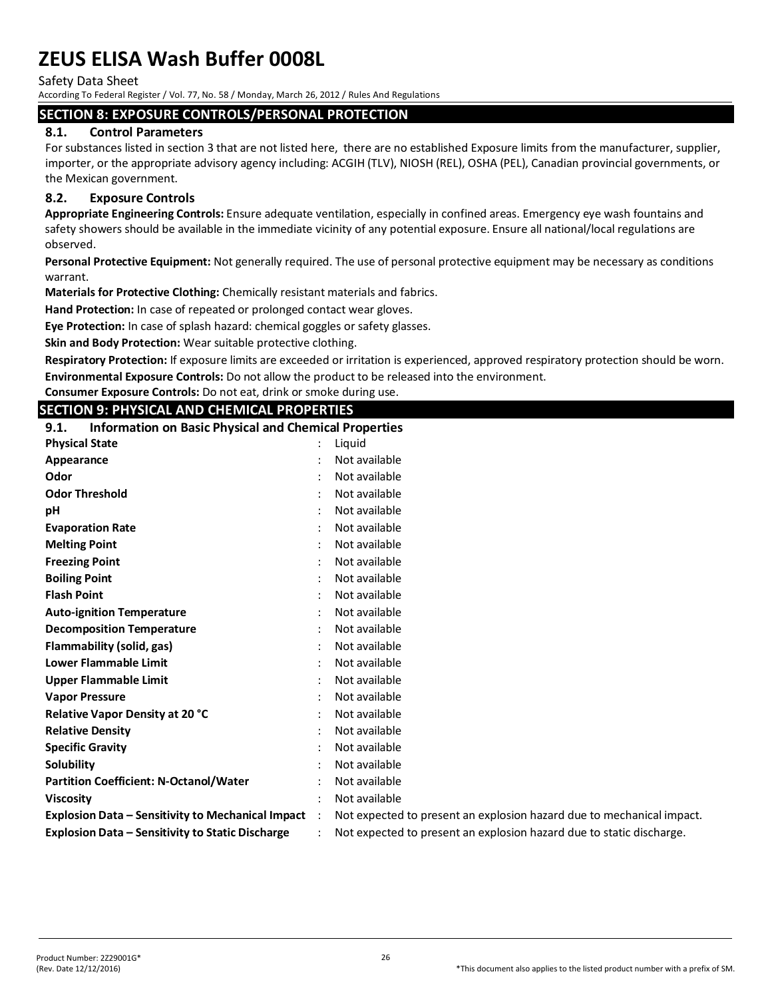Safety Data Sheet

According To Federal Register / Vol. 77, No. 58 / Monday, March 26, 2012 / Rules And Regulations

#### **SECTION 8: EXPOSURE CONTROLS/PERSONAL PROTECTION**

#### **8.1. Control Parameters**

For substances listed in section 3 that are not listed here, there are no established Exposure limits from the manufacturer, supplier, importer, or the appropriate advisory agency including: ACGIH (TLV), NIOSH (REL), OSHA (PEL), Canadian provincial governments, or the Mexican government.

### **8.2. Exposure Controls**

**Appropriate Engineering Controls:** Ensure adequate ventilation, especially in confined areas. Emergency eye wash fountains and safety showers should be available in the immediate vicinity of any potential exposure. Ensure all national/local regulations are observed.

**Personal Protective Equipment:** Not generally required. The use of personal protective equipment may be necessary as conditions warrant.

**Materials for Protective Clothing:** Chemically resistant materials and fabrics.

**Hand Protection:** In case of repeated or prolonged contact wear gloves.

**Eye Protection:** In case of splash hazard: chemical goggles or safety glasses.

**Skin and Body Protection:** Wear suitable protective clothing.

**Respiratory Protection:** If exposure limits are exceeded or irritation is experienced, approved respiratory protection should be worn. **Environmental Exposure Controls:** Do not allow the product to be released into the environment.

**Consumer Exposure Controls:** Do not eat, drink or smoke during use.

### **SECTION 9: PHYSICAL AND CHEMICAL PROPERTIES**

**9.1. Information on Basic Physical and Chemical Properties Physical State : Liquid**  $\cdot$  Liquid **Appearance** : Not available Not available **Odor** : Not available

| <b>INUL AVAIIADIE</b>                                                 |
|-----------------------------------------------------------------------|
| Not available                                                         |
| Not available                                                         |
| Not available                                                         |
| Not available                                                         |
| Not available                                                         |
| Not available                                                         |
| Not available                                                         |
| Not available                                                         |
| Not available                                                         |
| Not available                                                         |
| Not available                                                         |
| Not available                                                         |
| Not available                                                         |
| Not available                                                         |
| Not available                                                         |
| Not available                                                         |
| Not available                                                         |
| Not available                                                         |
| Not available                                                         |
| Not expected to present an explosion hazard due to mechanical impact. |
| Not expected to present an explosion hazard due to static discharge.  |
|                                                                       |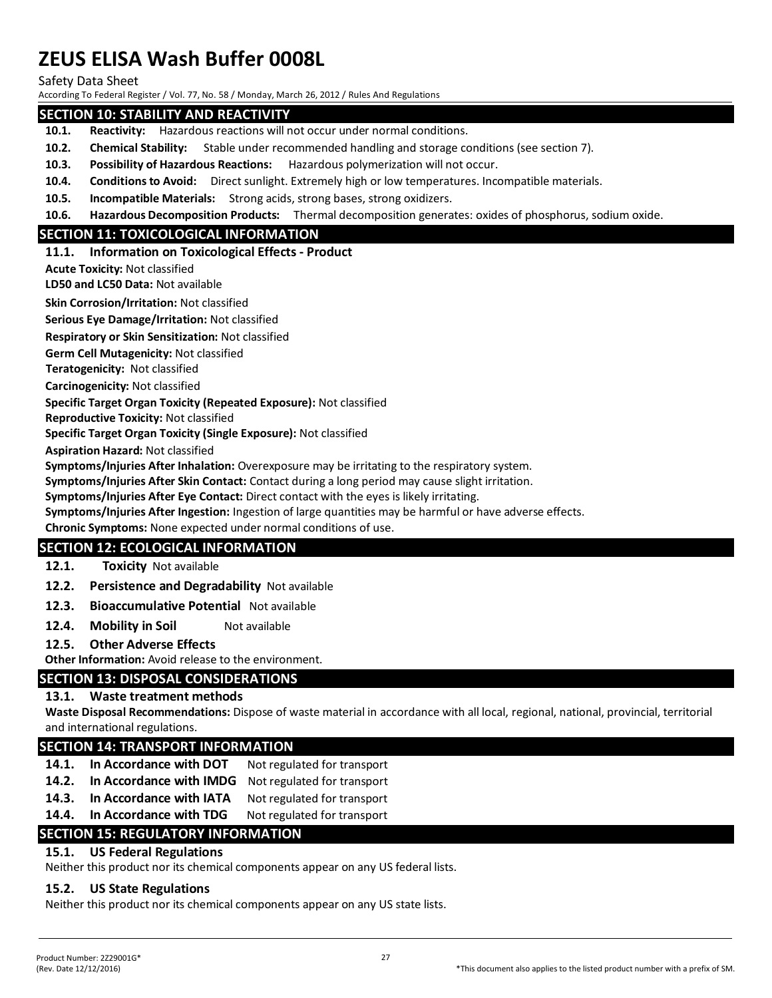Safety Data Sheet

According To Federal Register / Vol. 77, No. 58 / Monday, March 26, 2012 / Rules And Regulations

#### **SECTION 10: STABILITY AND REACTIVITY**

- **10.1. Reactivity:** Hazardous reactions will not occur under normal conditions.
- **10.2. Chemical Stability:** Stable under recommended handling and storage conditions (see section 7).
- **10.3. Possibility of Hazardous Reactions:** Hazardous polymerization will not occur.
- **10.4. Conditions to Avoid:** Direct sunlight. Extremely high or low temperatures. Incompatible materials.
- **10.5. Incompatible Materials:** Strong acids, strong bases, strong oxidizers.
- **10.6. Hazardous Decomposition Products:** Thermal decomposition generates: oxides of phosphorus, sodium oxide.

#### **SECTION 11: TOXICOLOGICAL INFORMATION**

#### **11.1. Information on Toxicological Effects - Product**

**Acute Toxicity:** Not classified

**LD50 and LC50 Data:** Not available

**Skin Corrosion/Irritation:** Not classified

**Serious Eye Damage/Irritation:** Not classified

**Respiratory or Skin Sensitization:** Not classified

**Germ Cell Mutagenicity:** Not classified

**Teratogenicity:** Not classified

**Carcinogenicity:** Not classified

#### **Specific Target Organ Toxicity (Repeated Exposure):** Not classified

**Reproductive Toxicity:** Not classified

**Specific Target Organ Toxicity (Single Exposure):** Not classified

**Aspiration Hazard:** Not classified

**Symptoms/Injuries After Inhalation:** Overexposure may be irritating to the respiratory system.

**Symptoms/Injuries After Skin Contact:** Contact during a long period may cause slight irritation.

**Symptoms/Injuries After Eye Contact:** Direct contact with the eyes is likely irritating.

**Symptoms/Injuries After Ingestion:** Ingestion of large quantities may be harmful or have adverse effects.

#### **Chronic Symptoms:** None expected under normal conditions of use.

#### **SECTION 12: ECOLOGICAL INFORMATION**

#### **12.1. Toxicity** Not available

**12.2. Persistence and Degradability** Not available

- **12.3. Bioaccumulative Potential** Not available
- **12.4. Mobility in Soil** Not available

#### **12.5. Other Adverse Effects**

**Other Information:** Avoid release to the environment.

#### **SECTION 13: DISPOSAL CONSIDERATIONS**

#### **13.1. Waste treatment methods**

**Waste Disposal Recommendations:** Dispose of waste material in accordance with all local, regional, national, provincial, territorial and international regulations.

#### **SECTION 14: TRANSPORT INFORMATION**

- 14.1. In Accordance with DOT Not regulated for transport
- **14.2. In Accordance with IMDG** Not regulated for transport
- 14.3. In Accordance with IATA Not regulated for transport
- **14.4.** In Accordance with TDG Not regulated for transport

# **SECTION 15: REGULATORY INFORMATION**

# **15.1. US Federal Regulations**

Neither this product nor its chemical components appear on any US federal lists.

# **15.2. US State Regulations**

Neither this product nor its chemical components appear on any US state lists.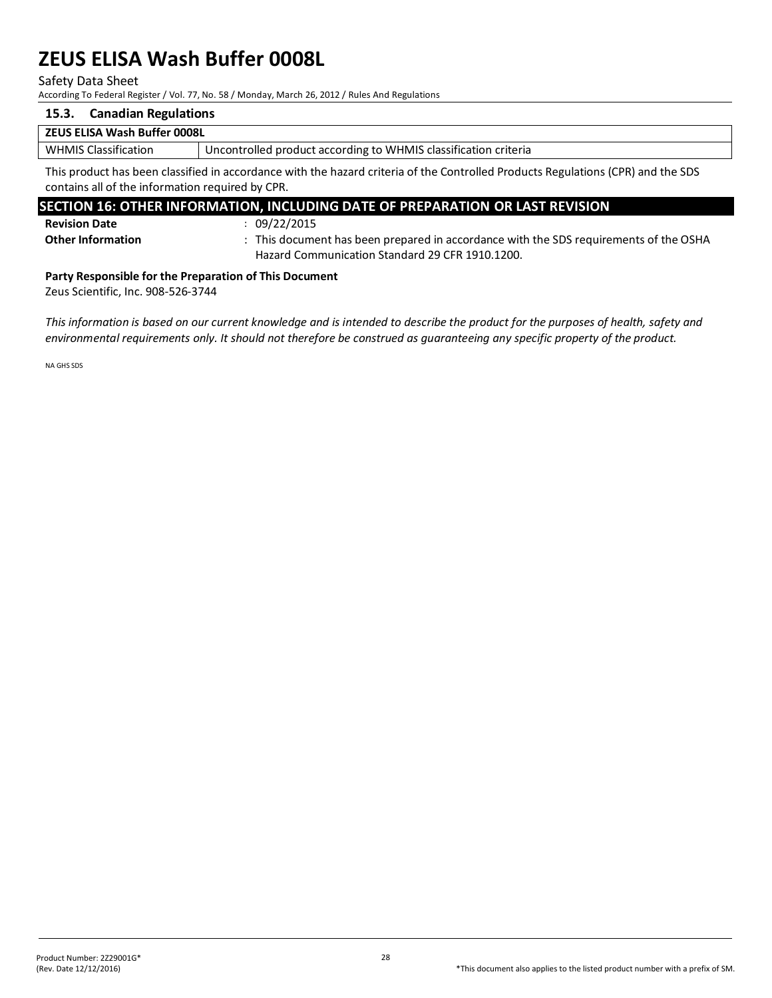Safety Data Sheet

According To Federal Register / Vol. 77, No. 58 / Monday, March 26, 2012 / Rules And Regulations

# **15.3. Canadian Regulations**

#### **ZEUS ELISA Wash Buffer 0008L**

WHMIS Classification | Uncontrolled product according to WHMIS classification criteria

This product has been classified in accordance with the hazard criteria of the Controlled Products Regulations (CPR) and the SDS contains all of the information required by CPR.

# **SECTION 16: OTHER INFORMATION, INCLUDING DATE OF PREPARATION OR LAST REVISION**

**Revision Date** : 09/22/2015

**Other Information** : This document has been prepared in accordance with the SDS requirements of the OSHA Hazard Communication Standard 29 CFR 1910.1200.

#### **Party Responsible for the Preparation of This Document**

Zeus Scientific, Inc. 908-526-3744

*This information is based on our current knowledge and is intended to describe the product for the purposes of health, safety and environmental requirements only. It should not therefore be construed as guaranteeing any specific property of the product.*

NA GHS SDS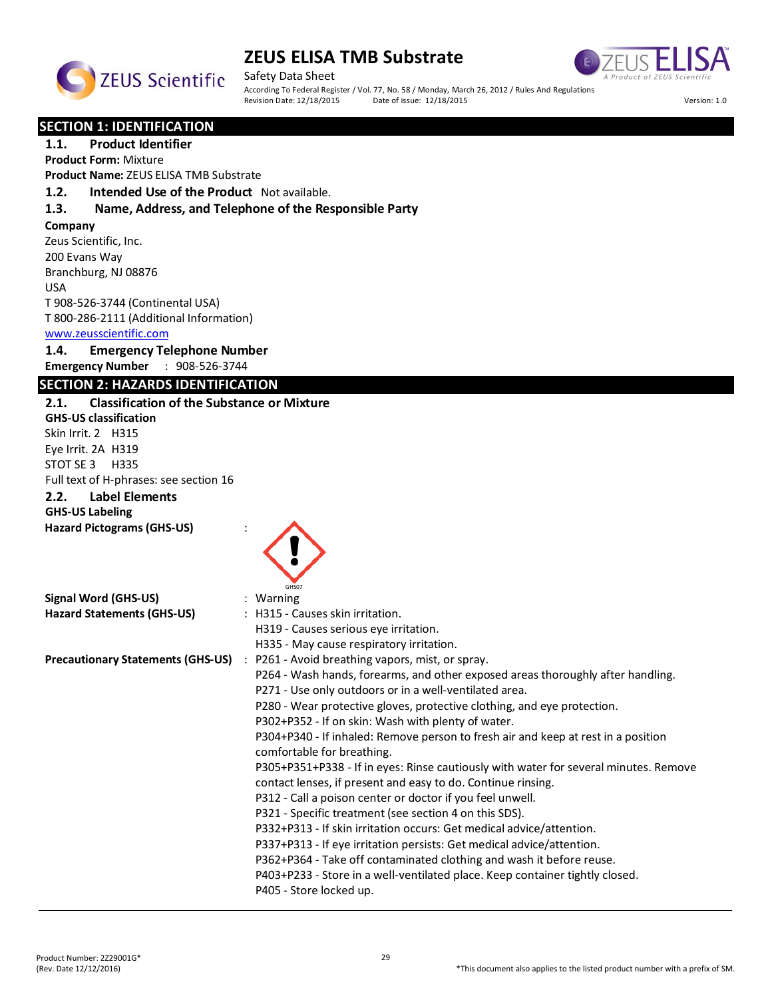



Safety Data Sheet According To Federal Register / Vol. 77, No. 58 / Monday, March 26, 2012 / Rules And Regulations<br>Revision Date: 12/18/2015 Date of issue: 12/18/2015 Revision Date: 12/18/2015 Date of issue: 12/18/2015 Version: 1.0

**SECTION 1: IDENTIFICATION** 

**1.1. Product Identifier**

**Product Form:** Mixture

**Product Name:** ZEUS ELISA TMB Substrate

**1.2. Intended Use of the Product** Not available.

#### **1.3. Name, Address, and Telephone of the Responsible Party**

**Company** 

Zeus Scientific, Inc. 200 Evans Way Branchburg, NJ 08876 USA T 908-526-3744 (Continental USA) T 800-286-2111 (Additional Information)

#### www.zeusscientific.com

**1.4. Emergency Telephone Number**

**Emergency Number** : 908-526-3744

#### **SECTION 2: HAZARDS IDENTIFICATION**

# **2.1. Classification of the Substance or Mixture GHS-US classification** Skin Irrit. 2 H315 Eye Irrit. 2A H319 STOT SE 3 H335 Full text of H-phrases: see section 16 **2.2. Label Elements GHS-US Labeling Hazard Pictograms (GHS-US)** : GHS07 **Signal Word (GHS-US)** : Warning **Hazard Statements (GHS-US)** : H315 - Causes skin irritation. H319 - Causes serious eye irritation. H335 - May cause respiratory irritation. **Precautionary Statements (GHS-US)** : P261 - Avoid breathing vapors, mist, or spray. P264 - Wash hands, forearms, and other exposed areas thoroughly after handling. P271 - Use only outdoors or in a well-ventilated area. P280 - Wear protective gloves, protective clothing, and eye protection. P302+P352 - If on skin: Wash with plenty of water. P304+P340 - If inhaled: Remove person to fresh air and keep at rest in a position comfortable for breathing. P305+P351+P338 - If in eyes: Rinse cautiously with water for several minutes. Remove contact lenses, if present and easy to do. Continue rinsing. P312 - Call a poison center or doctor if you feel unwell. P321 - Specific treatment (see section 4 on this SDS). P332+P313 - If skin irritation occurs: Get medical advice/attention. P337+P313 - If eye irritation persists: Get medical advice/attention. P362+P364 - Take off contaminated clothing and wash it before reuse. P403+P233 - Store in a well-ventilated place. Keep container tightly closed. P405 - Store locked up.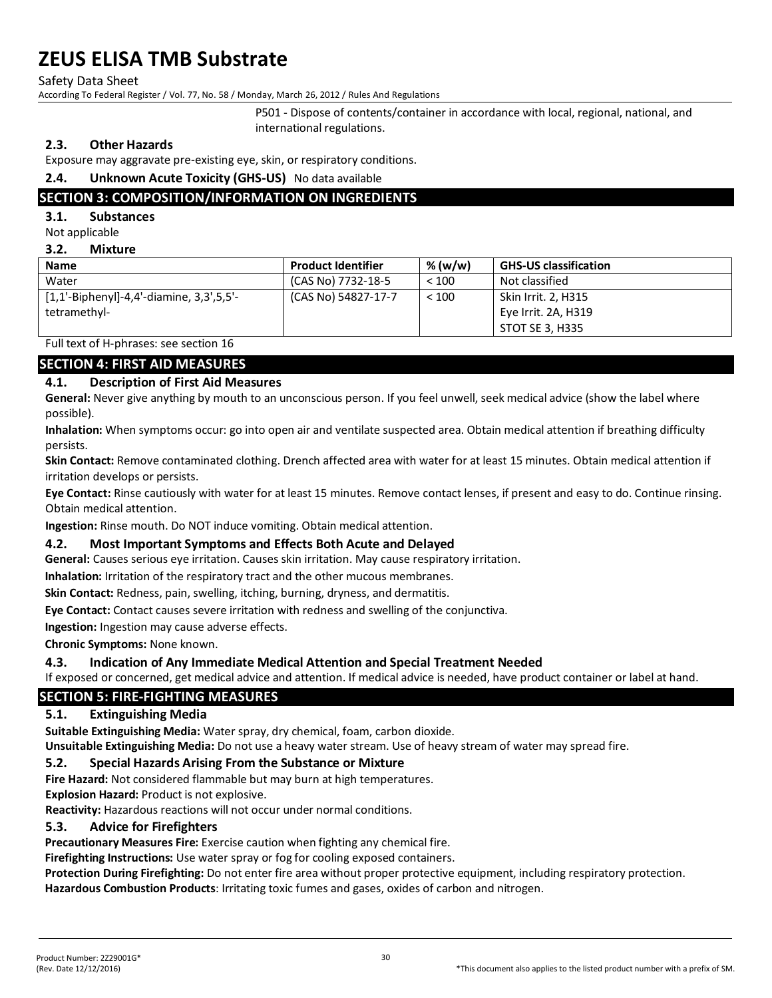Safety Data Sheet

According To Federal Register / Vol. 77, No. 58 / Monday, March 26, 2012 / Rules And Regulations

P501 - Dispose of contents/container in accordance with local, regional, national, and international regulations.

### **2.3. Other Hazards**

Exposure may aggravate pre-existing eye, skin, or respiratory conditions.

### **2.4. Unknown Acute Toxicity (GHS-US)** No data available

# **SECTION 3: COMPOSITION/INFORMATION ON INGREDIENTS**

#### **3.1. Substances**

Not applicable

#### **3.2. Mixture**

| <b>Name</b>                                | <b>Product Identifier</b> | % (w/w) | <b>GHS-US classification</b> |
|--------------------------------------------|---------------------------|---------|------------------------------|
| Water                                      | (CAS No) 7732-18-5        | < 100   | Not classified               |
| $[1,1'-Bipheny]$ -4,4'-diamine, 3,3',5,5'- | (CAS No) 54827-17-7       | < 100   | Skin Irrit. 2, H315          |
| tetramethyl-                               |                           |         | Eye Irrit. 2A, H319          |
|                                            |                           |         | STOT SE 3, H335              |

Full text of H-phrases: see section 16

### **SECTION 4: FIRST AID MEASURES**

#### **4.1. Description of First Aid Measures**

**General:** Never give anything by mouth to an unconscious person. If you feel unwell, seek medical advice (show the label where possible).

**Inhalation:** When symptoms occur: go into open air and ventilate suspected area. Obtain medical attention if breathing difficulty persists.

**Skin Contact:** Remove contaminated clothing. Drench affected area with water for at least 15 minutes. Obtain medical attention if irritation develops or persists.

**Eye Contact:** Rinse cautiously with water for at least 15 minutes. Remove contact lenses, if present and easy to do. Continue rinsing. Obtain medical attention.

**Ingestion:** Rinse mouth. Do NOT induce vomiting. Obtain medical attention.

#### **4.2. Most Important Symptoms and Effects Both Acute and Delayed**

**General:** Causes serious eye irritation. Causes skin irritation. May cause respiratory irritation.

**Inhalation:** Irritation of the respiratory tract and the other mucous membranes.

**Skin Contact:** Redness, pain, swelling, itching, burning, dryness, and dermatitis.

**Eye Contact:** Contact causes severe irritation with redness and swelling of the conjunctiva.

**Ingestion:** Ingestion may cause adverse effects.

**Chronic Symptoms:** None known.

#### **4.3. Indication of Any Immediate Medical Attention and Special Treatment Needed**

If exposed or concerned, get medical advice and attention. If medical advice is needed, have product container or label at hand.

# **SECTION 5: FIRE-FIGHTING MEASURES**

#### **5.1. Extinguishing Media**

**Suitable Extinguishing Media:** Water spray, dry chemical, foam, carbon dioxide.

**Unsuitable Extinguishing Media:** Do not use a heavy water stream. Use of heavy stream of water may spread fire.

#### **5.2. Special Hazards Arising From the Substance or Mixture**

**Fire Hazard:** Not considered flammable but may burn at high temperatures.

**Explosion Hazard:** Product is not explosive.

**Reactivity:** Hazardous reactions will not occur under normal conditions.

#### **5.3. Advice for Firefighters**

**Precautionary Measures Fire:** Exercise caution when fighting any chemical fire.

**Firefighting Instructions:** Use water spray or fog for cooling exposed containers.

**Protection During Firefighting:** Do not enter fire area without proper protective equipment, including respiratory protection. **Hazardous Combustion Products**: Irritating toxic fumes and gases, oxides of carbon and nitrogen.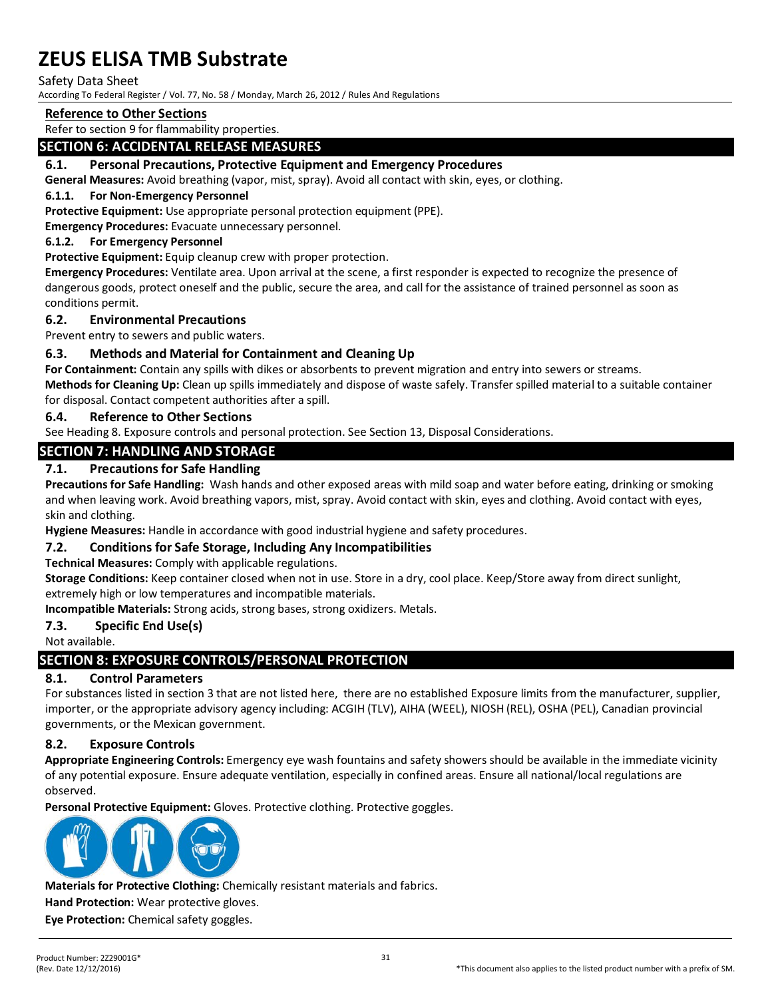#### Safety Data Sheet

According To Federal Register / Vol. 77, No. 58 / Monday, March 26, 2012 / Rules And Regulations

### **Reference to Other Sections**

Refer to section 9 for flammability properties.

### **SECTION 6: ACCIDENTAL RELEASE MEASURES**

#### **6.1. Personal Precautions, Protective Equipment and Emergency Procedures**

**General Measures:** Avoid breathing (vapor, mist, spray). Avoid all contact with skin, eyes, or clothing.

#### **6.1.1. For Non-Emergency Personnel**

**Protective Equipment:** Use appropriate personal protection equipment (PPE).

**Emergency Procedures:** Evacuate unnecessary personnel.

#### **6.1.2. For Emergency Personnel**

**Protective Equipment:** Equip cleanup crew with proper protection.

**Emergency Procedures:** Ventilate area. Upon arrival at the scene, a first responder is expected to recognize the presence of dangerous goods, protect oneself and the public, secure the area, and call for the assistance of trained personnel as soon as conditions permit.

#### **6.2. Environmental Precautions**

Prevent entry to sewers and public waters.

#### **6.3. Methods and Material for Containment and Cleaning Up**

**For Containment:** Contain any spills with dikes or absorbents to prevent migration and entry into sewers or streams. **Methods for Cleaning Up:** Clean up spills immediately and dispose of waste safely. Transfer spilled material to a suitable container for disposal. Contact competent authorities after a spill.

#### **6.4. Reference to Other Sections**

See Heading 8. Exposure controls and personal protection. See Section 13, Disposal Considerations.

#### **SECTION 7: HANDLING AND STORAGE**

#### **7.1. Precautions for Safe Handling**

**Precautions for Safe Handling:** Wash hands and other exposed areas with mild soap and water before eating, drinking or smoking and when leaving work. Avoid breathing vapors, mist, spray. Avoid contact with skin, eyes and clothing. Avoid contact with eyes, skin and clothing.

**Hygiene Measures:** Handle in accordance with good industrial hygiene and safety procedures.

#### **7.2. Conditions for Safe Storage, Including Any Incompatibilities**

**Technical Measures:** Comply with applicable regulations.

**Storage Conditions:** Keep container closed when not in use. Store in a dry, cool place. Keep/Store away from direct sunlight, extremely high or low temperatures and incompatible materials.

**Incompatible Materials:** Strong acids, strong bases, strong oxidizers. Metals.

#### **7.3. Specific End Use(s)**

Not available.

# **SECTION 8: EXPOSURE CONTROLS/PERSONAL PROTECTION**

#### **8.1. Control Parameters**

For substances listed in section 3 that are not listed here, there are no established Exposure limits from the manufacturer, supplier, importer, or the appropriate advisory agency including: ACGIH (TLV), AIHA (WEEL), NIOSH (REL), OSHA (PEL), Canadian provincial governments, or the Mexican government.

#### **8.2. Exposure Controls**

**Appropriate Engineering Controls:** Emergency eye wash fountains and safety showers should be available in the immediate vicinity of any potential exposure. Ensure adequate ventilation, especially in confined areas. Ensure all national/local regulations are observed.

**Personal Protective Equipment:** Gloves. Protective clothing. Protective goggles.



**Materials for Protective Clothing:** Chemically resistant materials and fabrics.

**Hand Protection:** Wear protective gloves.

**Eye Protection:** Chemical safety goggles.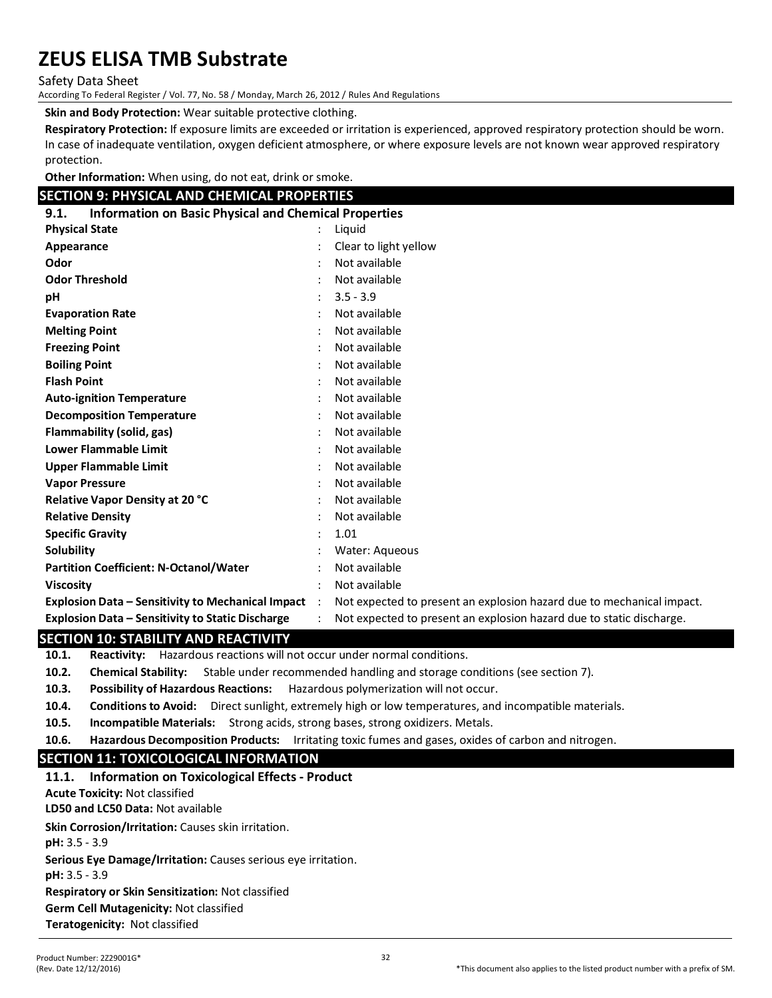Safety Data Sheet

According To Federal Register / Vol. 77, No. 58 / Monday, March 26, 2012 / Rules And Regulations

**Skin and Body Protection:** Wear suitable protective clothing.

**Respiratory Protection:** If exposure limits are exceeded or irritation is experienced, approved respiratory protection should be worn. In case of inadequate ventilation, oxygen deficient atmosphere, or where exposure levels are not known wear approved respiratory protection.

**Other Information:** When using, do not eat, drink or smoke.

### **SECTION 9: PHYSICAL AND CHEMICAL PROPERTIES**

| <b>Information on Basic Physical and Chemical Properties</b><br>9.1. |           |                                                                       |  |  |
|----------------------------------------------------------------------|-----------|-----------------------------------------------------------------------|--|--|
| <b>Physical State</b>                                                |           | Liquid                                                                |  |  |
| Appearance                                                           |           | Clear to light yellow                                                 |  |  |
| Odor                                                                 |           | Not available                                                         |  |  |
| <b>Odor Threshold</b>                                                |           | Not available                                                         |  |  |
| рH                                                                   |           | $3.5 - 3.9$                                                           |  |  |
| <b>Evaporation Rate</b>                                              |           | Not available                                                         |  |  |
| <b>Melting Point</b>                                                 |           | Not available                                                         |  |  |
| <b>Freezing Point</b>                                                |           | Not available                                                         |  |  |
| <b>Boiling Point</b>                                                 |           | Not available                                                         |  |  |
| <b>Flash Point</b>                                                   |           | Not available                                                         |  |  |
| <b>Auto-ignition Temperature</b>                                     |           | Not available                                                         |  |  |
| <b>Decomposition Temperature</b>                                     |           | Not available                                                         |  |  |
| Flammability (solid, gas)                                            |           | Not available                                                         |  |  |
| <b>Lower Flammable Limit</b>                                         |           | Not available                                                         |  |  |
| <b>Upper Flammable Limit</b>                                         |           | Not available                                                         |  |  |
| <b>Vapor Pressure</b>                                                |           | Not available                                                         |  |  |
| Relative Vapor Density at 20 °C                                      |           | Not available                                                         |  |  |
| <b>Relative Density</b>                                              |           | Not available                                                         |  |  |
| <b>Specific Gravity</b>                                              |           | 1.01                                                                  |  |  |
| Solubility                                                           |           | Water: Aqueous                                                        |  |  |
| <b>Partition Coefficient: N-Octanol/Water</b>                        |           | Not available                                                         |  |  |
| <b>Viscosity</b>                                                     |           | Not available                                                         |  |  |
| <b>Explosion Data - Sensitivity to Mechanical Impact</b>             | $\cdot$ : | Not expected to present an explosion hazard due to mechanical impact. |  |  |
| Explosion Data - Sensitivity to Static Discharge                     |           | Not expected to present an explosion hazard due to static discharge.  |  |  |

#### **SECTION 10: STABILITY AND REACTIVITY**

**10.1. Reactivity:** Hazardous reactions will not occur under normal conditions.

- **10.2. Chemical Stability:** Stable under recommended handling and storage conditions (see section 7).
- **10.3. Possibility of Hazardous Reactions:** Hazardous polymerization will not occur.
- **10.4. Conditions to Avoid:** Direct sunlight, extremely high or low temperatures, and incompatible materials.
- **10.5. Incompatible Materials:** Strong acids, strong bases, strong oxidizers. Metals.
- **10.6. Hazardous Decomposition Products:** Irritating toxic fumes and gases, oxides of carbon and nitrogen.

#### **SECTION 11: TOXICOLOGICAL INFORMATION**

#### **11.1. Information on Toxicological Effects - Product**

**Acute Toxicity:** Not classified

**LD50 and LC50 Data:** Not available

**Skin Corrosion/Irritation:** Causes skin irritation.

**pH:** 3.5 - 3.9

**Serious Eye Damage/Irritation:** Causes serious eye irritation.

**pH:** 3.5 - 3.9

**Respiratory or Skin Sensitization:** Not classified

**Germ Cell Mutagenicity:** Not classified

**Teratogenicity:** Not classified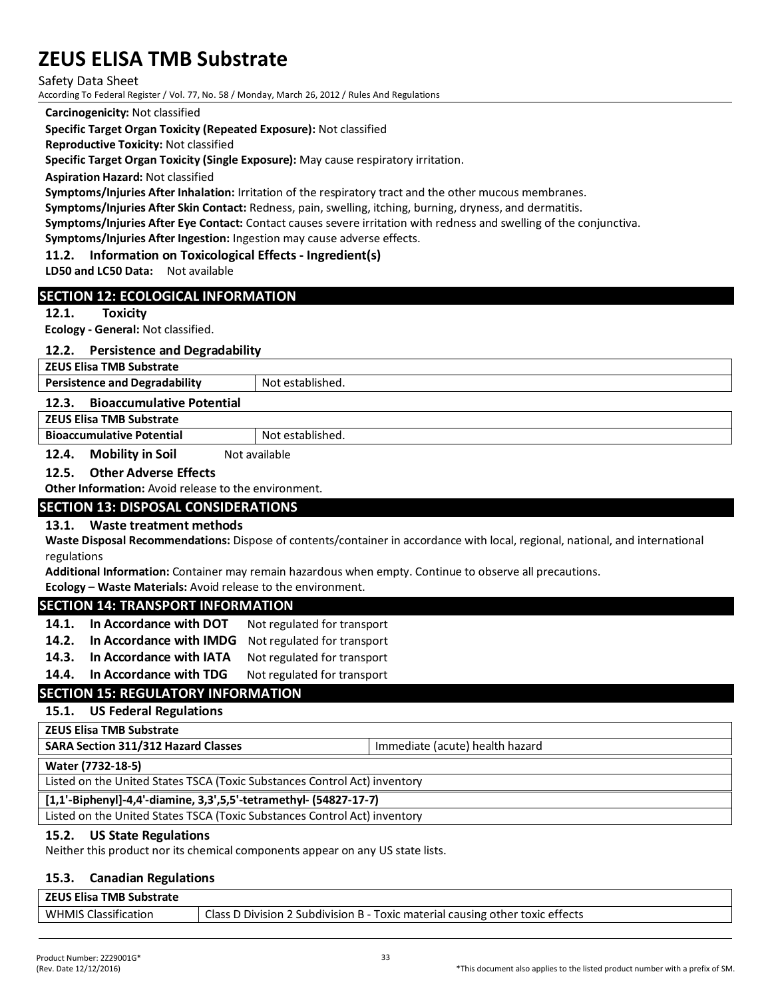Safety Data Sheet

According To Federal Register / Vol. 77, No. 58 / Monday, March 26, 2012 / Rules And Regulations

**Carcinogenicity:** Not classified

**Specific Target Organ Toxicity (Repeated Exposure):** Not classified

**Reproductive Toxicity:** Not classified

**Specific Target Organ Toxicity (Single Exposure):** May cause respiratory irritation.

**Aspiration Hazard:** Not classified

**Symptoms/Injuries After Inhalation:** Irritation of the respiratory tract and the other mucous membranes.

**Symptoms/Injuries After Skin Contact:** Redness, pain, swelling, itching, burning, dryness, and dermatitis.

**Symptoms/Injuries After Eye Contact:** Contact causes severe irritation with redness and swelling of the conjunctiva.

**Symptoms/Injuries After Ingestion:** Ingestion may cause adverse effects.

#### **11.2. Information on Toxicological Effects - Ingredient(s)**

**LD50 and LC50 Data:** Not available

#### **SECTION 12: ECOLOGICAL INFORMATION**

#### **12.1. Toxicity**

**Ecology - General:** Not classified.

#### **12.2. Persistence and Degradability**

**ZEUS Elisa TMB Substrate** 

**Persistence and Degradability** Not established.

#### **12.3. Bioaccumulative Potential**

**ZEUS Elisa TMB Substrate**

**Bioaccumulative Potential** Not established.

#### **12.4. Mobility in Soil** Not available

#### **12.5. Other Adverse Effects**

**Other Information:** Avoid release to the environment.

#### **SECTION 13: DISPOSAL CONSIDERATIONS**

#### **13.1. Waste treatment methods**

**Waste Disposal Recommendations:** Dispose of contents/container in accordance with local, regional, national, and international regulations

**Additional Information:** Container may remain hazardous when empty. Continue to observe all precautions.

**Ecology – Waste Materials:** Avoid release to the environment.

#### **SECTION 14: TRANSPORT INFORMATION**

- 14.1. In Accordance with DOT Not regulated for transport
- **14.2. In Accordance with IMDG** Not regulated for transport
- 14.3. In Accordance with IATA Not regulated for transport

#### **14.4.** In Accordance with TDG Not regulated for transport

#### **SECTION 15: REGULATORY INFORMATION**

#### **15.1. US Federal Regulations**

#### **ZEUS Elisa TMB Substrate**

**SARA Section 311/312 Hazard Classes** Immediate (acute) health hazard

#### **Water (7732-18-5)**

Listed on the United States TSCA (Toxic Substances Control Act) inventory

#### **[1,1'-Biphenyl]-4,4'-diamine, 3,3',5,5'-tetramethyl- (54827-17-7)**

Listed on the United States TSCA (Toxic Substances Control Act) inventory

#### **15.2. US State Regulations**

Neither this product nor its chemical components appear on any US state lists.

#### **15.3. Canadian Regulations**

| ZEUS Elisa TMB Substrate    |                                                                               |
|-----------------------------|-------------------------------------------------------------------------------|
| <b>WHMIS Classification</b> | Class D Division 2 Subdivision B - Toxic material causing other toxic effects |
|                             |                                                                               |

**ZEUS Elisa TMB Substrate**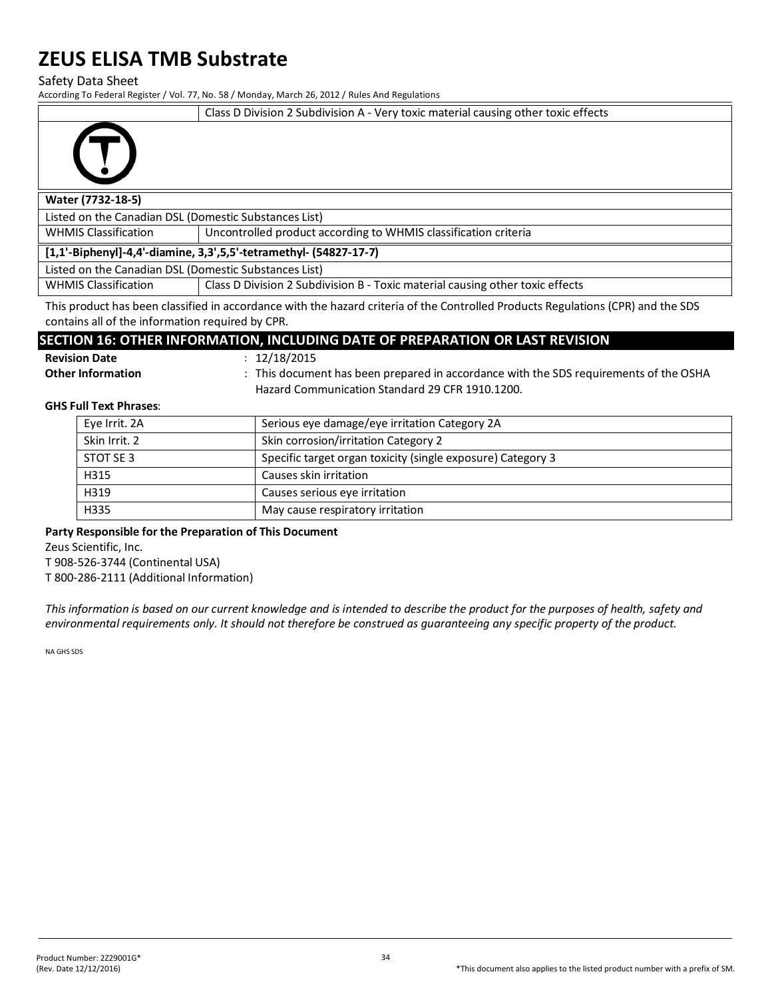Safety Data Sheet

According To Federal Register / Vol. 77, No. 58 / Monday, March 26, 2012 / Rules And Regulations

Class D Division 2 Subdivision A - Very toxic material causing other toxic effects



#### **Water (7732-18-5)**

Listed on the Canadian DSL (Domestic Substances List)

WHMIS Classification Uncontrolled product according to WHMIS classification criteria

**[1,1'-Biphenyl]-4,4'-diamine, 3,3',5,5'-tetramethyl- (54827-17-7)**

Listed on the Canadian DSL (Domestic Substances List)

WHMIS Classification **Class D Division 2 Subdivision B** - Toxic material causing other toxic effects

This product has been classified in accordance with the hazard criteria of the Controlled Products Regulations (CPR) and the SDS contains all of the information required by CPR.

# **SECTION 16: OTHER INFORMATION, INCLUDING DATE OF PREPARATION OR LAST REVISION**

| <b>Revision Date</b> |  |
|----------------------|--|
|                      |  |

**Revision Date** : 12/18/2015

Other Information **contained in the SDS** requirements of the OSHA Hazard Communication Standard 29 CFR 1910.1200.

#### **GHS Full Text Phrases**:

| Eye Irrit. 2A | Serious eye damage/eye irritation Category 2A               |  |  |
|---------------|-------------------------------------------------------------|--|--|
| Skin Irrit. 2 | Skin corrosion/irritation Category 2                        |  |  |
| STOT SE 3     | Specific target organ toxicity (single exposure) Category 3 |  |  |
| H315          | Causes skin irritation                                      |  |  |
| H319          | Causes serious eye irritation                               |  |  |
| H335          | May cause respiratory irritation                            |  |  |

#### **Party Responsible for the Preparation of This Document**

Zeus Scientific, Inc.

T 908-526-3744 (Continental USA)

T 800-286-2111 (Additional Information)

*This information is based on our current knowledge and is intended to describe the product for the purposes of health, safety and environmental requirements only. It should not therefore be construed as guaranteeing any specific property of the product.*

NA GHS SDS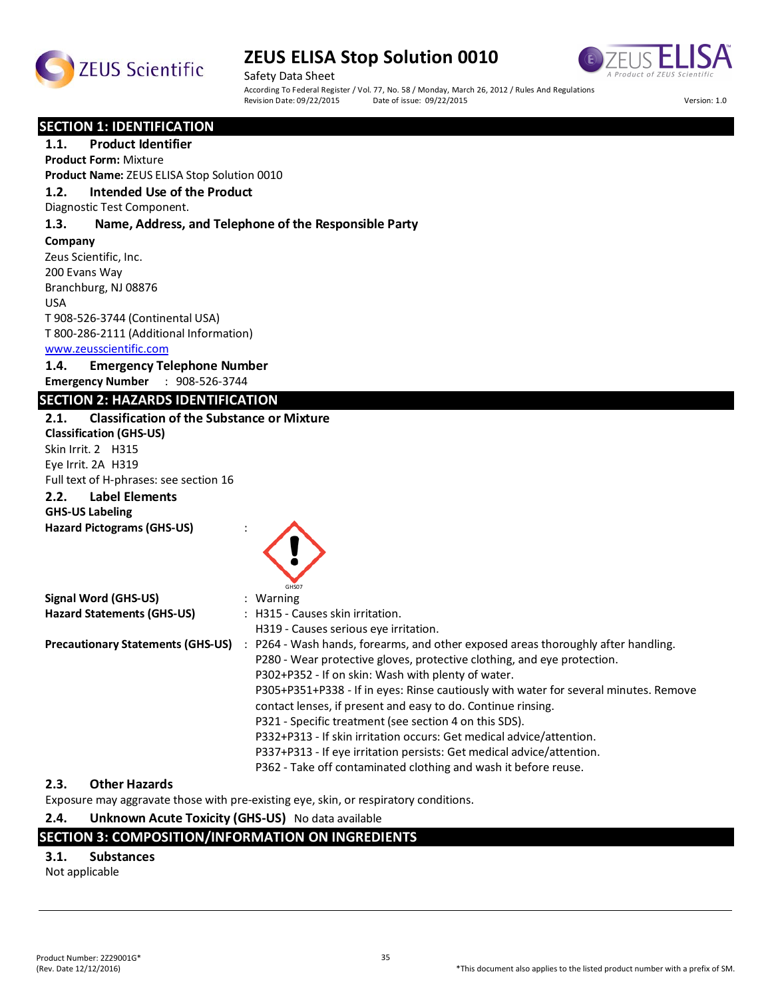



Safety Data Sheet According To Federal Register / Vol. 77, No. 58 / Monday, March 26, 2012 / Rules And Regulations<br>Revision Date: 09/22/2015 Date of issue: 09/22/2015 Revision Date: 09/22/2015 Date of issue: 09/22/2015 Version: 1.0

#### **SECTION 1: IDENTIFICATION**

**1.1. Product Identifier**

**Product Form:** Mixture **Product Name:** ZEUS ELISA Stop Solution 0010

# **1.2. Intended Use of the Product**

Diagnostic Test Component.

#### **1.3. Name, Address, and Telephone of the Responsible Party**

**Company**  Zeus Scientific, Inc. 200 Evans Way Branchburg, NJ 08876 USA T 908-526-3744 (Continental USA) T 800-286-2111 (Additional Information)

#### www.zeusscientific.com

# **1.4. Emergency Telephone Number**

**Emergency Number** : 908-526-3744

### **SECTION 2: HAZARDS IDENTIFICATION**

#### **2.1. Classification of the Substance or Mixture**

**Classification (GHS-US)** Skin Irrit. 2 H315 Eye Irrit. 2A H319 Full text of H-phrases: see section 16 **2.2. Label Elements**

#### **GHS-US Labeling**

**Hazard Pictograms (GHS-US)** :



| <b>Signal Word (GHS-US)</b>              |  | $:$ Warning                                                                          |  |
|------------------------------------------|--|--------------------------------------------------------------------------------------|--|
| <b>Hazard Statements (GHS-US)</b>        |  | : H315 - Causes skin irritation.                                                     |  |
|                                          |  | H319 - Causes serious eve irritation.                                                |  |
| <b>Precautionary Statements (GHS-US)</b> |  | : P264 - Wash hands, forearms, and other exposed areas thoroughly after handling.    |  |
|                                          |  | P280 - Wear protective gloves, protective clothing, and eye protection.              |  |
|                                          |  | P302+P352 - If on skin: Wash with plenty of water.                                   |  |
|                                          |  | P305+P351+P338 - If in eyes: Rinse cautiously with water for several minutes. Remove |  |
|                                          |  | contact lenses, if present and easy to do. Continue rinsing.                         |  |
|                                          |  | P321 - Specific treatment (see section 4 on this SDS).                               |  |
|                                          |  | P332+P313 - If skin irritation occurs: Get medical advice/attention.                 |  |
|                                          |  | P337+P313 - If eye irritation persists: Get medical advice/attention.                |  |
|                                          |  | P362 - Take off contaminated clothing and wash it before reuse.                      |  |

#### **2.3. Other Hazards**

Exposure may aggravate those with pre-existing eye, skin, or respiratory conditions.

#### **2.4. Unknown Acute Toxicity (GHS-US)** No data available

#### **SECTION 3: COMPOSITION/INFORMATION ON INGREDIENTS**

#### **3.1. Substances**

Not applicable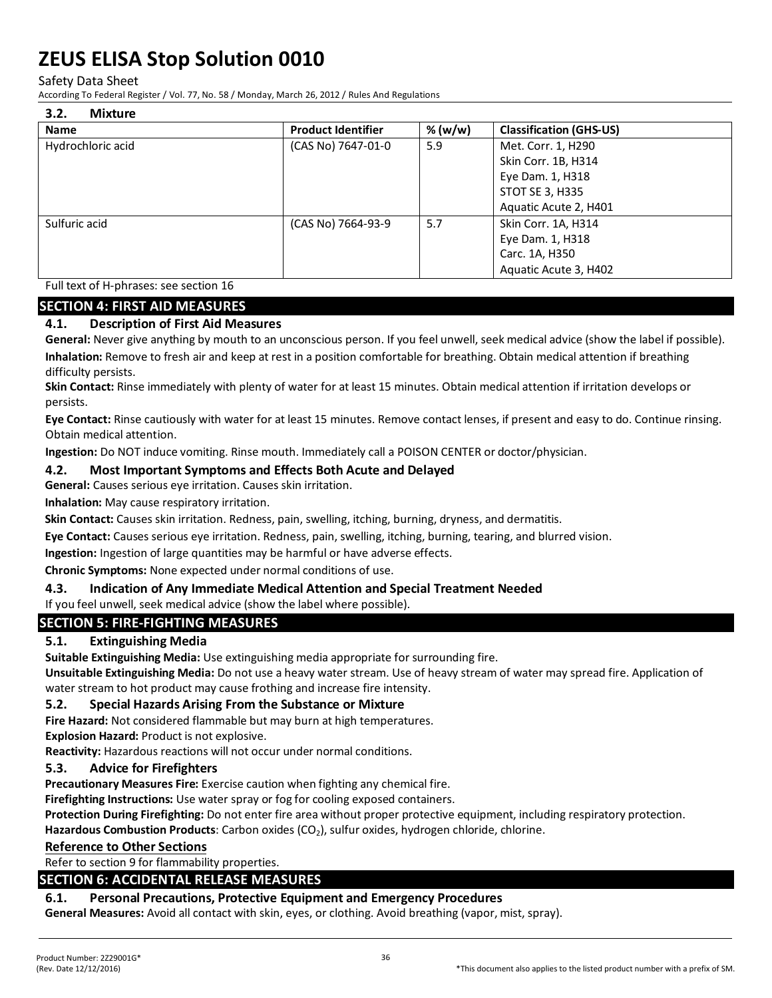Safety Data Sheet

According To Federal Register / Vol. 77, No. 58 / Monday, March 26, 2012 / Rules And Regulations

| 3.2.<br><b>Mixture</b> |                           |         |                                |  |
|------------------------|---------------------------|---------|--------------------------------|--|
| <b>Name</b>            | <b>Product Identifier</b> | % (w/w) | <b>Classification (GHS-US)</b> |  |
| Hydrochloric acid      | (CAS No) 7647-01-0        | 5.9     | Met. Corr. 1, H290             |  |
|                        |                           |         | Skin Corr. 1B, H314            |  |
|                        |                           |         | Eye Dam. 1, H318               |  |
|                        |                           |         | <b>STOT SE 3, H335</b>         |  |
|                        |                           |         | Aquatic Acute 2, H401          |  |
| Sulfuric acid          | (CAS No) 7664-93-9        | 5.7     | Skin Corr. 1A, H314            |  |
|                        |                           |         | Eye Dam. 1, H318               |  |
|                        |                           |         | Carc. 1A, H350                 |  |
|                        |                           |         | Aquatic Acute 3, H402          |  |

Full text of H-phrases: see section 16

### **SECTION 4: FIRST AID MEASURES**

### **4.1. Description of First Aid Measures**

**General:** Never give anything by mouth to an unconscious person. If you feel unwell, seek medical advice (show the label if possible). **Inhalation:** Remove to fresh air and keep at rest in a position comfortable for breathing. Obtain medical attention if breathing difficulty persists.

**Skin Contact:** Rinse immediately with plenty of water for at least 15 minutes. Obtain medical attention if irritation develops or persists.

**Eye Contact:** Rinse cautiously with water for at least 15 minutes. Remove contact lenses, if present and easy to do. Continue rinsing. Obtain medical attention.

**Ingestion:** Do NOT induce vomiting. Rinse mouth. Immediately call a POISON CENTER or doctor/physician.

#### **4.2. Most Important Symptoms and Effects Both Acute and Delayed**

**General:** Causes serious eye irritation. Causes skin irritation.

**Inhalation:** May cause respiratory irritation.

**Skin Contact:** Causes skin irritation. Redness, pain, swelling, itching, burning, dryness, and dermatitis.

**Eye Contact:** Causes serious eye irritation. Redness, pain, swelling, itching, burning, tearing, and blurred vision.

**Ingestion:** Ingestion of large quantities may be harmful or have adverse effects.

**Chronic Symptoms:** None expected under normal conditions of use.

#### **4.3. Indication of Any Immediate Medical Attention and Special Treatment Needed**

If you feel unwell, seek medical advice (show the label where possible).

# **SECTION 5: FIRE-FIGHTING MEASURES**

#### **5.1. Extinguishing Media**

**Suitable Extinguishing Media:** Use extinguishing media appropriate for surrounding fire.

**Unsuitable Extinguishing Media:** Do not use a heavy water stream. Use of heavy stream of water may spread fire. Application of water stream to hot product may cause frothing and increase fire intensity.

#### **5.2. Special Hazards Arising From the Substance or Mixture**

**Fire Hazard:** Not considered flammable but may burn at high temperatures.

**Explosion Hazard:** Product is not explosive.

**Reactivity:** Hazardous reactions will not occur under normal conditions.

#### **5.3. Advice for Firefighters**

**Precautionary Measures Fire:** Exercise caution when fighting any chemical fire.

**Firefighting Instructions:** Use water spray or fog for cooling exposed containers.

**Protection During Firefighting:** Do not enter fire area without proper protective equipment, including respiratory protection.

Hazardous Combustion Products: Carbon oxides (CO<sub>2</sub>), sulfur oxides, hydrogen chloride, chlorine.

#### **Reference to Other Sections**

Refer to section 9 for flammability properties.

# **SECTION 6: ACCIDENTAL RELEASE MEASURES**

# **6.1. Personal Precautions, Protective Equipment and Emergency Procedures**

**General Measures:** Avoid all contact with skin, eyes, or clothing. Avoid breathing (vapor, mist, spray).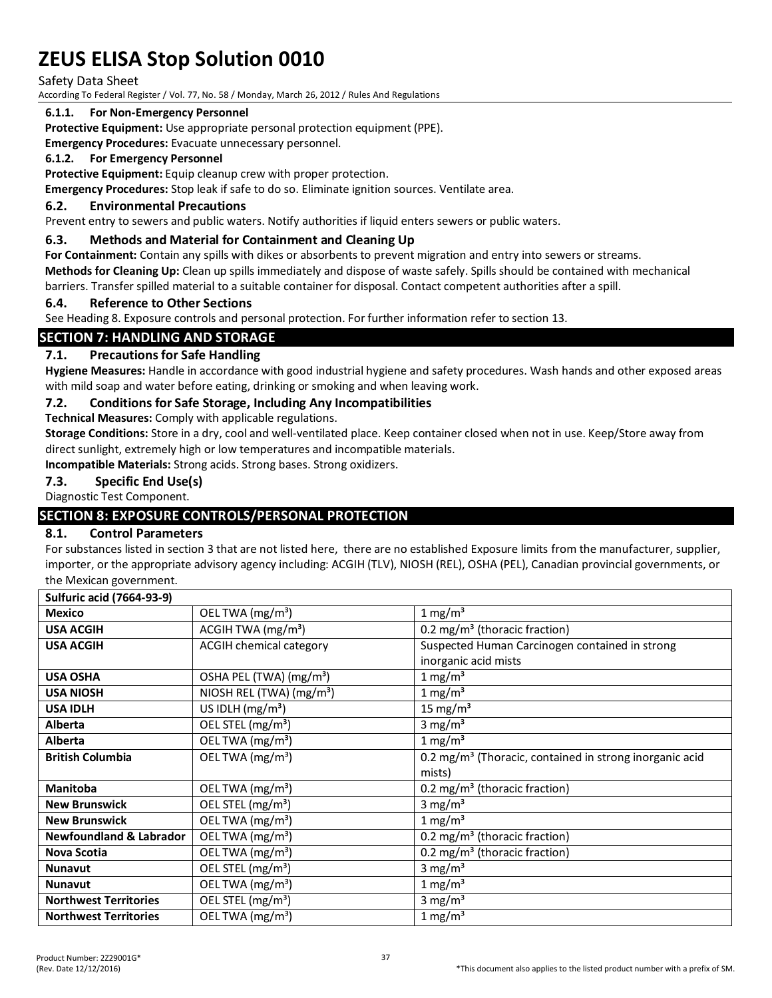Safety Data Sheet

According To Federal Register / Vol. 77, No. 58 / Monday, March 26, 2012 / Rules And Regulations

#### **6.1.1. For Non-Emergency Personnel**

**Protective Equipment:** Use appropriate personal protection equipment (PPE).

**Emergency Procedures:** Evacuate unnecessary personnel.

#### **6.1.2. For Emergency Personnel**

Protective Equipment: Equip cleanup crew with proper protection.

**Emergency Procedures:** Stop leak if safe to do so. Eliminate ignition sources. Ventilate area.

#### **6.2. Environmental Precautions**

Prevent entry to sewers and public waters. Notify authorities if liquid enters sewers or public waters.

#### **6.3. Methods and Material for Containment and Cleaning Up**

**For Containment:** Contain any spills with dikes or absorbents to prevent migration and entry into sewers or streams. **Methods for Cleaning Up:** Clean up spills immediately and dispose of waste safely. Spills should be contained with mechanical barriers. Transfer spilled material to a suitable container for disposal. Contact competent authorities after a spill.

#### **6.4. Reference to Other Sections**

See Heading 8. Exposure controls and personal protection. For further information refer to section 13.

# **SECTION 7: HANDLING AND STORAGE**

### **7.1. Precautions for Safe Handling**

**Hygiene Measures:** Handle in accordance with good industrial hygiene and safety procedures. Wash hands and other exposed areas with mild soap and water before eating, drinking or smoking and when leaving work.

#### **7.2. Conditions for Safe Storage, Including Any Incompatibilities**

**Technical Measures:** Comply with applicable regulations.

**Storage Conditions:** Store in a dry, cool and well-ventilated place. Keep container closed when not in use. Keep/Store away from direct sunlight, extremely high or low temperatures and incompatible materials.

**Incompatible Materials:** Strong acids. Strong bases. Strong oxidizers.

#### **7.3. Specific End Use(s)**

Diagnostic Test Component.

# **SECTION 8: EXPOSURE CONTROLS/PERSONAL PROTECTION**

#### **8.1. Control Parameters**

For substances listed in section 3 that are not listed here, there are no established Exposure limits from the manufacturer, supplier, importer, or the appropriate advisory agency including: ACGIH (TLV), NIOSH (REL), OSHA (PEL), Canadian provincial governments, or the Mexican government.

**Sulfuric acid (7664-93-9)**

| $1 \text{ mg/m}^3$<br>OEL TWA (mg/m <sup>3</sup> )<br><b>Mexico</b><br>ACGIH TWA (mg/m <sup>3</sup> )<br>0.2 mg/m <sup>3</sup> (thoracic fraction)<br><b>USA ACGIH</b> |
|------------------------------------------------------------------------------------------------------------------------------------------------------------------------|
|                                                                                                                                                                        |
|                                                                                                                                                                        |
| <b>ACGIH chemical category</b><br><b>USA ACGIH</b><br>Suspected Human Carcinogen contained in strong                                                                   |
| inorganic acid mists                                                                                                                                                   |
| $1 \text{ mg/m}^3$<br><b>USA OSHA</b><br>OSHA PEL (TWA) (mg/m <sup>3</sup> )                                                                                           |
| NIOSH REL (TWA) (mg/m <sup>3</sup> )<br>$1 \text{ mg/m}^3$<br><b>USA NIOSH</b>                                                                                         |
| 15 mg/m <sup>3</sup><br>US IDLH $(mg/m3)$<br><b>USA IDLH</b>                                                                                                           |
| OEL STEL (mg/m <sup>3</sup> )<br>3 mg/m <sup>3</sup><br><b>Alberta</b>                                                                                                 |
| OEL TWA (mg/m <sup>3</sup> )<br>1 mg/m <sup>3</sup><br>Alberta                                                                                                         |
| OEL TWA (mg/m <sup>3</sup> )<br>0.2 mg/m <sup>3</sup> (Thoracic, contained in strong inorganic acid<br><b>British Columbia</b>                                         |
| mists)                                                                                                                                                                 |
| 0.2 mg/m <sup>3</sup> (thoracic fraction)<br><b>Manitoba</b><br>OEL TWA $(mg/m3)$                                                                                      |
| OEL STEL (mg/m <sup>3</sup> )<br><b>New Brunswick</b><br>3 mg/m <sup>3</sup>                                                                                           |
| OEL TWA (mg/m <sup>3</sup> )<br>1 mg/m <sup>3</sup><br><b>New Brunswick</b>                                                                                            |
| OEL TWA (mg/m <sup>3</sup> )<br><b>Newfoundland &amp; Labrador</b><br>0.2 mg/m <sup>3</sup> (thoracic fraction)                                                        |
| OEL TWA (mg/m <sup>3</sup> )<br>0.2 mg/m <sup>3</sup> (thoracic fraction)<br>Nova Scotia                                                                               |
| OEL STEL (mg/m <sup>3</sup> )<br>3 mg/m <sup>3</sup><br><b>Nunavut</b>                                                                                                 |
| OEL TWA (mg/m <sup>3</sup> )<br>$1 \text{ mg/m}^3$<br><b>Nunavut</b>                                                                                                   |
| OEL STEL (mg/m <sup>3</sup> )<br>3 mg/m <sup>3</sup><br><b>Northwest Territories</b>                                                                                   |
| OEL TWA (mg/m <sup>3</sup> )<br>1 mg/m <sup>3</sup><br><b>Northwest Territories</b>                                                                                    |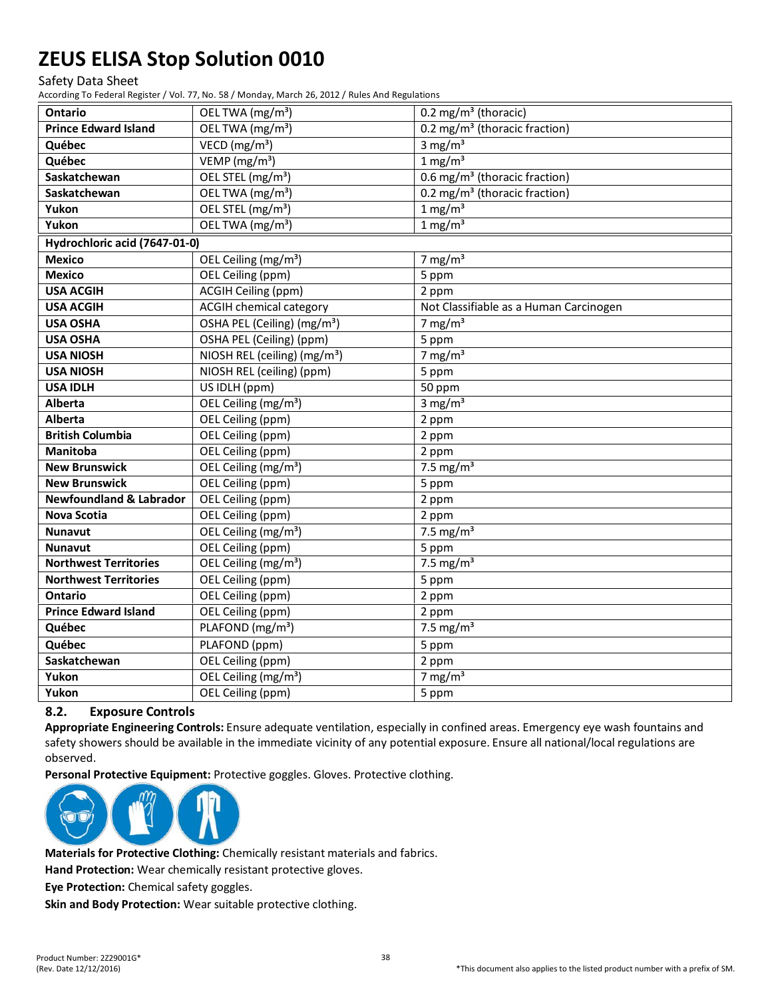Safety Data Sheet

According To Federal Register / Vol. 77, No. 58 / Monday, March 26, 2012 / Rules And Regulations

| Ontario                            | OEL TWA (mg/m <sup>3</sup> )             | 0.2 mg/m <sup>3</sup> (thoracic)          |
|------------------------------------|------------------------------------------|-------------------------------------------|
| <b>Prince Edward Island</b>        | OEL TWA (mg/m <sup>3</sup> )             | 0.2 mg/m <sup>3</sup> (thoracic fraction) |
| Québec                             | VECD ( $mg/m3$ )                         | 3 mg/m $3$                                |
| Québec                             | VEMP $(mg/m3)$                           | $1 \text{ mg/m}^3$                        |
| Saskatchewan                       | OEL STEL (mg/m <sup>3</sup> )            | 0.6 mg/m <sup>3</sup> (thoracic fraction) |
| Saskatchewan                       | OEL TWA (mg/m <sup>3</sup> )             | 0.2 mg/m <sup>3</sup> (thoracic fraction) |
| Yukon                              | OEL STEL (mg/m <sup>3</sup> )            | $1 \text{ mg/m}^3$                        |
| Yukon                              | OEL TWA (mg/m <sup>3</sup> )             | $1 \text{ mg/m}^3$                        |
| Hydrochloric acid (7647-01-0)      |                                          |                                           |
| <b>Mexico</b>                      | OEL Ceiling (mg/m <sup>3</sup> )         | 7 mg/ $m3$                                |
| <b>Mexico</b>                      | OEL Ceiling (ppm)                        | 5 ppm                                     |
| <b>USA ACGIH</b>                   | <b>ACGIH Ceiling (ppm)</b>               | 2 ppm                                     |
| <b>USA ACGIH</b>                   | <b>ACGIH chemical category</b>           | Not Classifiable as a Human Carcinogen    |
| <b>USA OSHA</b>                    | OSHA PEL (Ceiling) (mg/m <sup>3</sup> )  | 7 mg/m $3$                                |
| <b>USA OSHA</b>                    | OSHA PEL (Ceiling) (ppm)                 | 5 ppm                                     |
| <b>USA NIOSH</b>                   | NIOSH REL (ceiling) (mg/m <sup>3</sup> ) | $7 \text{ mg/m}^3$                        |
| <b>USA NIOSH</b>                   | NIOSH REL (ceiling) (ppm)                | 5 ppm                                     |
| <b>USA IDLH</b>                    | US IDLH (ppm)                            | 50 ppm                                    |
| Alberta                            | OEL Ceiling (mg/m <sup>3</sup> )         | 3 mg/ $m3$                                |
| Alberta                            | OEL Ceiling (ppm)                        | 2 ppm                                     |
| <b>British Columbia</b>            | OEL Ceiling (ppm)                        | 2 ppm                                     |
| Manitoba                           | OEL Ceiling (ppm)                        | 2 ppm                                     |
| <b>New Brunswick</b>               | OEL Ceiling (mg/m <sup>3</sup> )         | 7.5 mg/ $m3$                              |
| <b>New Brunswick</b>               | OEL Ceiling (ppm)                        | 5 ppm                                     |
| <b>Newfoundland &amp; Labrador</b> | <b>OEL Ceiling (ppm)</b>                 | 2 ppm                                     |
| <b>Nova Scotia</b>                 | <b>OEL Ceiling (ppm)</b>                 | 2 ppm                                     |
| <b>Nunavut</b>                     | OEL Ceiling (mg/m <sup>3</sup> )         | 7.5 mg/ $m3$                              |
| <b>Nunavut</b>                     | OEL Ceiling (ppm)                        | 5 ppm                                     |
| <b>Northwest Territories</b>       | OEL Ceiling (mg/m <sup>3</sup> )         | $7.5 \text{ mg/m}^3$                      |
| <b>Northwest Territories</b>       | OEL Ceiling (ppm)                        | 5 ppm                                     |
| Ontario                            | OEL Ceiling (ppm)                        | 2 ppm                                     |
| <b>Prince Edward Island</b>        | OEL Ceiling (ppm)                        | 2 ppm                                     |
| Québec                             | PLAFOND (mg/m <sup>3</sup> )             | 7.5 mg/ $m3$                              |
| Québec                             | PLAFOND (ppm)                            | 5 ppm                                     |
| Saskatchewan                       | OEL Ceiling (ppm)                        | 2 ppm                                     |
| Yukon                              | OEL Ceiling (mg/m <sup>3</sup> )         | 7 mg/ $m3$                                |
| Yukon                              | OEL Ceiling (ppm)                        | 5 ppm                                     |

#### **8.2. Exposure Controls**

**Appropriate Engineering Controls:** Ensure adequate ventilation, especially in confined areas. Emergency eye wash fountains and safety showers should be available in the immediate vicinity of any potential exposure. Ensure all national/local regulations are observed.

**Personal Protective Equipment:** Protective goggles. Gloves. Protective clothing.



**Materials for Protective Clothing:** Chemically resistant materials and fabrics.

**Hand Protection:** Wear chemically resistant protective gloves.

**Eye Protection:** Chemical safety goggles.

**Skin and Body Protection:** Wear suitable protective clothing.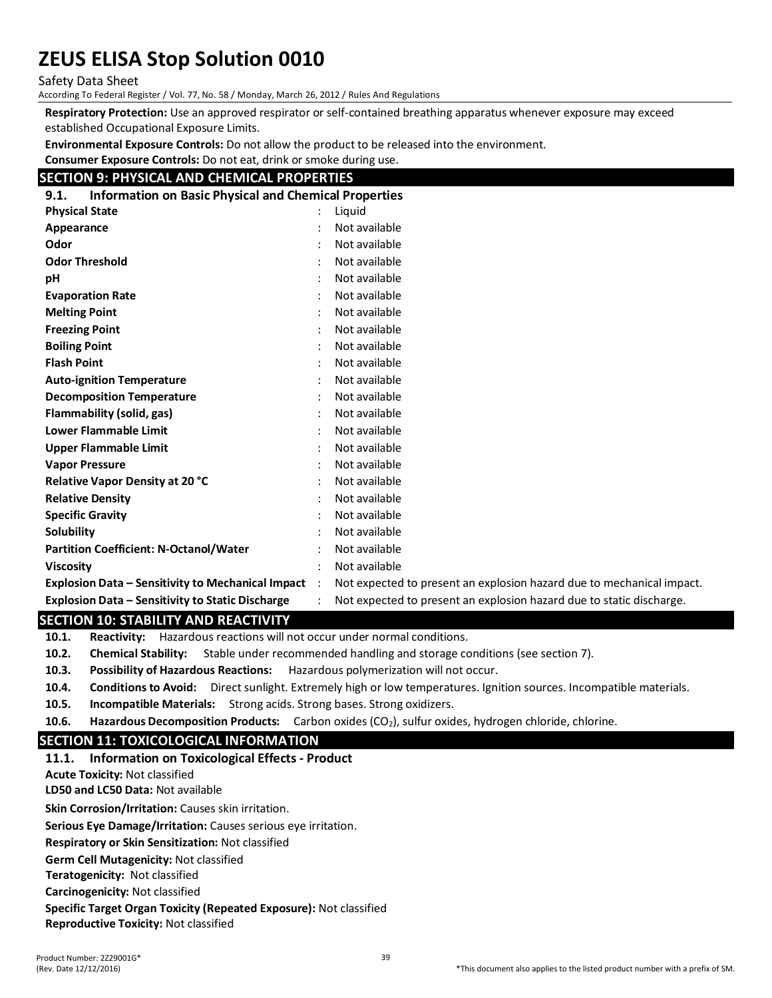Safety Data Sheet

According To Federal Register / Vol. 77, No. 58 / Monday, March 26, 2012 / Rules And Regulations

**Respiratory Protection:** Use an approved respirator or self-contained breathing apparatus whenever exposure may exceed established Occupational Exposure Limits.

**Environmental Exposure Controls:** Do not allow the product to be released into the environment.

**Consumer Exposure Controls:** Do not eat, drink or smoke during use.

# **SECTION 9: PHYSICAL AND CHEMICAL PROPERTIES**

| <b>Information on Basic Physical and Chemical Properties</b><br>9.1. |  |                                                                       |
|----------------------------------------------------------------------|--|-----------------------------------------------------------------------|
| <b>Physical State</b>                                                |  | Liguid                                                                |
| Appearance                                                           |  | Not available                                                         |
| Odor                                                                 |  | Not available                                                         |
| <b>Odor Threshold</b>                                                |  | Not available                                                         |
| pH                                                                   |  | Not available                                                         |
| <b>Evaporation Rate</b>                                              |  | Not available                                                         |
| <b>Melting Point</b>                                                 |  | Not available                                                         |
| <b>Freezing Point</b>                                                |  | Not available                                                         |
| <b>Boiling Point</b>                                                 |  | Not available                                                         |
| <b>Flash Point</b>                                                   |  | Not available                                                         |
| <b>Auto-ignition Temperature</b>                                     |  | Not available                                                         |
| <b>Decomposition Temperature</b>                                     |  | Not available                                                         |
| Flammability (solid, gas)                                            |  | Not available                                                         |
| <b>Lower Flammable Limit</b>                                         |  | Not available                                                         |
| <b>Upper Flammable Limit</b>                                         |  | Not available                                                         |
| <b>Vapor Pressure</b>                                                |  | Not available                                                         |
| <b>Relative Vapor Density at 20 °C</b>                               |  | Not available                                                         |
| <b>Relative Density</b>                                              |  | Not available                                                         |
| <b>Specific Gravity</b>                                              |  | Not available                                                         |
| Solubility                                                           |  | Not available                                                         |
| <b>Partition Coefficient: N-Octanol/Water</b>                        |  | Not available                                                         |
| <b>Viscosity</b>                                                     |  | Not available                                                         |
| Explosion Data – Sensitivity to Mechanical Impact                    |  | Not expected to present an explosion hazard due to mechanical impact. |
| Explosion Data – Sensitivity to Static Discharge                     |  | Not expected to present an explosion hazard due to static discharge.  |

#### **SECTION 10: STABILITY AND REACTIVITY**

**10.1. Reactivity:** Hazardous reactions will not occur under normal conditions.

**10.2. Chemical Stability:** Stable under recommended handling and storage conditions (see section 7).

**10.3. Possibility of Hazardous Reactions:** Hazardous polymerization will not occur.

- **10.4. Conditions to Avoid:** Direct sunlight. Extremely high or low temperatures. Ignition sources. Incompatible materials.
- **10.5. Incompatible Materials:** Strong acids. Strong bases. Strong oxidizers.
- **10.6. Hazardous Decomposition Products:** Carbon oxides (CO<sub>2</sub>), sulfur oxides, hydrogen chloride, chlorine.

# **SECTION 11: TOXICOLOGICAL INFORMATION**

# **11.1. Information on Toxicological Effects - Product**

**Acute Toxicity:** Not classified

**LD50 and LC50 Data:** Not available

**Skin Corrosion/Irritation:** Causes skin irritation.

**Serious Eye Damage/Irritation:** Causes serious eye irritation.

**Respiratory or Skin Sensitization:** Not classified

**Germ Cell Mutagenicity:** Not classified

**Teratogenicity:** Not classified

**Carcinogenicity:** Not classified

**Specific Target Organ Toxicity (Repeated Exposure):** Not classified

**Reproductive Toxicity:** Not classified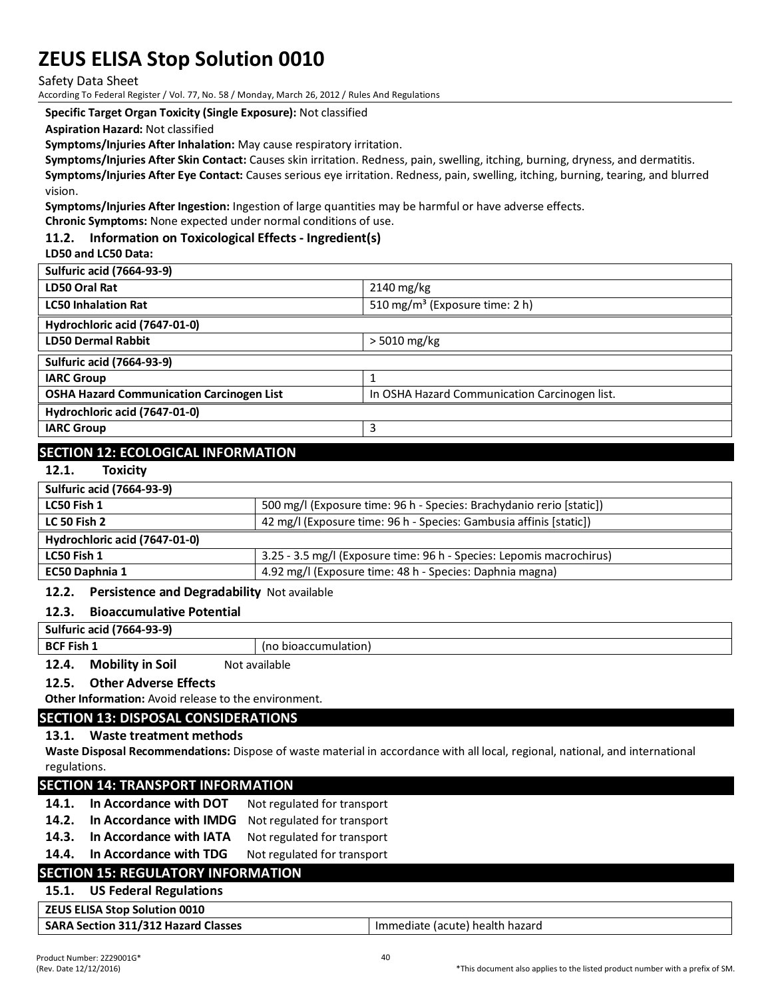Safety Data Sheet

According To Federal Register / Vol. 77, No. 58 / Monday, March 26, 2012 / Rules And Regulations

**Specific Target Organ Toxicity (Single Exposure):** Not classified

**Aspiration Hazard:** Not classified

**Symptoms/Injuries After Inhalation:** May cause respiratory irritation.

**Symptoms/Injuries After Skin Contact:** Causes skin irritation. Redness, pain, swelling, itching, burning, dryness, and dermatitis. **Symptoms/Injuries After Eye Contact:** Causes serious eye irritation. Redness, pain, swelling, itching, burning, tearing, and blurred vision.

**Symptoms/Injuries After Ingestion:** Ingestion of large quantities may be harmful or have adverse effects.

**Chronic Symptoms:** None expected under normal conditions of use.

# **11.2. Information on Toxicological Effects - Ingredient(s)**

**LD50 and LC50 Data:**

| <b>Sulfuric acid (7664-93-9)</b>                 |                                               |
|--------------------------------------------------|-----------------------------------------------|
| LD50 Oral Rat                                    | $2140 \text{ mg/kg}$                          |
| <b>LC50 Inhalation Rat</b>                       | 510 mg/m <sup>3</sup> (Exposure time: 2 h)    |
| Hydrochloric acid (7647-01-0)                    |                                               |
| <b>LD50 Dermal Rabbit</b>                        | $> 5010$ mg/kg                                |
| <b>Sulfuric acid (7664-93-9)</b>                 |                                               |
| <b>IARC Group</b>                                |                                               |
| <b>OSHA Hazard Communication Carcinogen List</b> | In OSHA Hazard Communication Carcinogen list. |
| Hydrochloric acid (7647-01-0)                    |                                               |
| <b>IARC Group</b>                                | 3                                             |
|                                                  |                                               |

# **SECTION 12: ECOLOGICAL INFORMATION**

#### **12.1. Toxicity**

| <b>Sulfuric acid (7664-93-9)</b> |                                                                      |
|----------------------------------|----------------------------------------------------------------------|
| LC50 Fish 1                      | 500 mg/l (Exposure time: 96 h - Species: Brachydanio rerio [static]) |
| <b>LC 50 Fish 2</b>              | 42 mg/l (Exposure time: 96 h - Species: Gambusia affinis [static])   |
| Hydrochloric acid (7647-01-0)    |                                                                      |
| LC50 Fish 1                      | 3.25 - 3.5 mg/l (Exposure time: 96 h - Species: Lepomis macrochirus) |
| EC50 Daphnia 1                   | 4.92 mg/l (Exposure time: 48 h - Species: Daphnia magna)             |

#### **12.2. Persistence and Degradability** Not available

#### **12.3. Bioaccumulative Potential**

**Sulfuric acid (7664-93-9) BCF Fish 1** (no bioaccumulation)

**12.4. Mobility in Soil** Not available

**12.5. Other Adverse Effects**

**Other Information:** Avoid release to the environment.

#### **SECTION 13: DISPOSAL CONSIDERATIONS**

#### **13.1. Waste treatment methods**

**Waste Disposal Recommendations:** Dispose of waste material in accordance with all local, regional, national, and international regulations.

#### **SECTION 14: TRANSPORT INFORMATION**

- 14.1. In Accordance with DOT Not regulated for transport
- **14.2. In Accordance with IMDG** Not regulated for transport
- 14.3. In Accordance with IATA Not regulated for transport

# 14.4. In Accordance with TDG Not regulated for transport

# **SECTION 15: REGULATORY INFORMATION**

# **15.1. US Federal Regulations**

| <b>ZEUS ELISA Stop Solution 0010</b> |                                 |
|--------------------------------------|---------------------------------|
| SARA Section 311/312 Hazard Classes  | Immediate (acute) health hazard |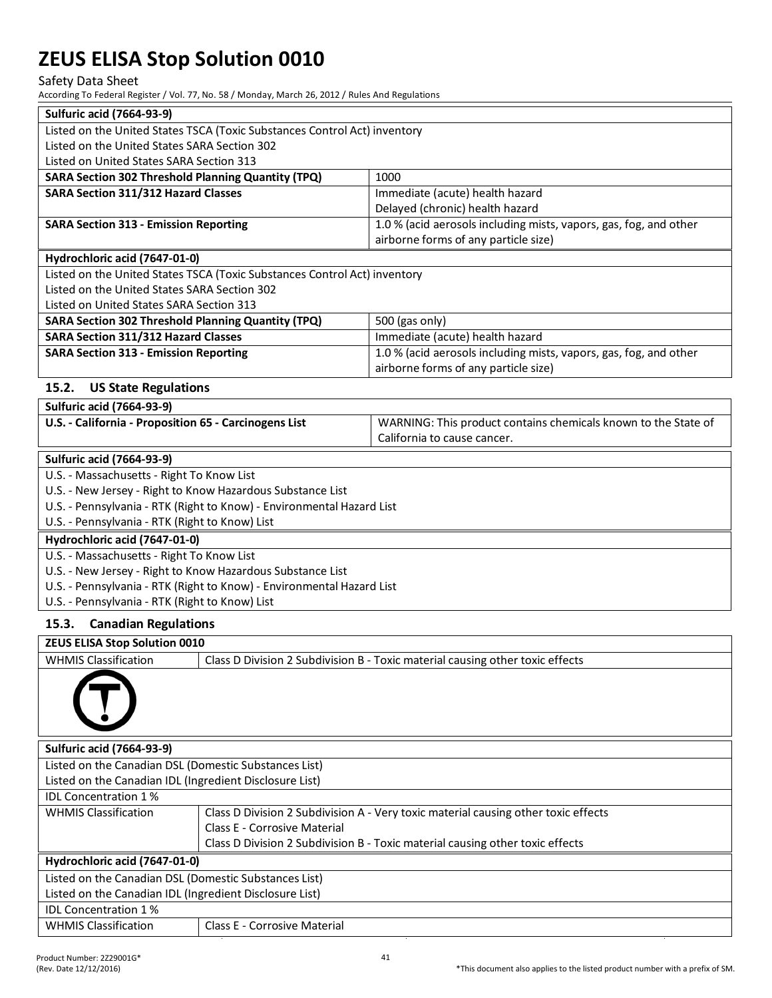#### Safety Data Sheet

According To Federal Register / Vol. 77, No. 58 / Monday, March 26, 2012 / Rules And Regulations

| <b>Sulfuric acid (7664-93-9)</b>                          |                                                                           |                                                                                    |
|-----------------------------------------------------------|---------------------------------------------------------------------------|------------------------------------------------------------------------------------|
|                                                           | Listed on the United States TSCA (Toxic Substances Control Act) inventory |                                                                                    |
| Listed on the United States SARA Section 302              |                                                                           |                                                                                    |
| Listed on United States SARA Section 313                  |                                                                           |                                                                                    |
| <b>SARA Section 302 Threshold Planning Quantity (TPQ)</b> |                                                                           | 1000                                                                               |
| <b>SARA Section 311/312 Hazard Classes</b>                |                                                                           | Immediate (acute) health hazard                                                    |
|                                                           |                                                                           | Delayed (chronic) health hazard                                                    |
| <b>SARA Section 313 - Emission Reporting</b>              |                                                                           | 1.0 % (acid aerosols including mists, vapors, gas, fog, and other                  |
|                                                           |                                                                           | airborne forms of any particle size)                                               |
| Hydrochloric acid (7647-01-0)                             |                                                                           |                                                                                    |
|                                                           | Listed on the United States TSCA (Toxic Substances Control Act) inventory |                                                                                    |
| Listed on the United States SARA Section 302              |                                                                           |                                                                                    |
| Listed on United States SARA Section 313                  |                                                                           |                                                                                    |
| <b>SARA Section 302 Threshold Planning Quantity (TPQ)</b> |                                                                           | 500 (gas only)                                                                     |
| <b>SARA Section 311/312 Hazard Classes</b>                |                                                                           | Immediate (acute) health hazard                                                    |
| <b>SARA Section 313 - Emission Reporting</b>              |                                                                           | 1.0 % (acid aerosols including mists, vapors, gas, fog, and other                  |
|                                                           |                                                                           | airborne forms of any particle size)                                               |
|                                                           |                                                                           |                                                                                    |
| 15.2.<br><b>US State Regulations</b>                      |                                                                           |                                                                                    |
| <b>Sulfuric acid (7664-93-9)</b>                          |                                                                           |                                                                                    |
| U.S. - California - Proposition 65 - Carcinogens List     |                                                                           | WARNING: This product contains chemicals known to the State of                     |
|                                                           |                                                                           | California to cause cancer.                                                        |
| <b>Sulfuric acid (7664-93-9)</b>                          |                                                                           |                                                                                    |
| U.S. - Massachusetts - Right To Know List                 |                                                                           |                                                                                    |
|                                                           | U.S. - New Jersey - Right to Know Hazardous Substance List                |                                                                                    |
|                                                           | U.S. - Pennsylvania - RTK (Right to Know) - Environmental Hazard List     |                                                                                    |
| U.S. - Pennsylvania - RTK (Right to Know) List            |                                                                           |                                                                                    |
| Hydrochloric acid (7647-01-0)                             |                                                                           |                                                                                    |
| U.S. - Massachusetts - Right To Know List                 |                                                                           |                                                                                    |
|                                                           | U.S. - New Jersey - Right to Know Hazardous Substance List                |                                                                                    |
|                                                           | U.S. - Pennsylvania - RTK (Right to Know) - Environmental Hazard List     |                                                                                    |
| U.S. - Pennsylvania - RTK (Right to Know) List            |                                                                           |                                                                                    |
|                                                           |                                                                           |                                                                                    |
| 15.3.<br><b>Canadian Regulations</b>                      |                                                                           |                                                                                    |
| ZEUS ELISA Stop Solution 0010                             |                                                                           |                                                                                    |
| <b>WHMIS Classification</b>                               |                                                                           | Class D Division 2 Subdivision B - Toxic material causing other toxic effects      |
|                                                           |                                                                           |                                                                                    |
|                                                           |                                                                           |                                                                                    |
|                                                           |                                                                           |                                                                                    |
|                                                           |                                                                           |                                                                                    |
|                                                           |                                                                           |                                                                                    |
| <b>Sulfuric acid (7664-93-9)</b>                          |                                                                           |                                                                                    |
| Listed on the Canadian DSL (Domestic Substances List)     |                                                                           |                                                                                    |
| Listed on the Canadian IDL (Ingredient Disclosure List)   |                                                                           |                                                                                    |
| <b>IDL Concentration 1%</b>                               |                                                                           |                                                                                    |
| <b>WHMIS Classification</b>                               |                                                                           | Class D Division 2 Subdivision A - Very toxic material causing other toxic effects |
|                                                           | <b>Class E - Corrosive Material</b>                                       |                                                                                    |
|                                                           |                                                                           | Class D Division 2 Subdivision B - Toxic material causing other toxic effects      |
| Hydrochloric acid (7647-01-0)                             |                                                                           |                                                                                    |
| Listed on the Canadian DSL (Domestic Substances List)     |                                                                           |                                                                                    |
| Listed on the Canadian IDL (Ingredient Disclosure List)   |                                                                           |                                                                                    |
| <b>IDL Concentration 1%</b>                               |                                                                           |                                                                                    |
| <b>WHMIS Classification</b>                               | Class E - Corrosive Material                                              |                                                                                    |
|                                                           |                                                                           |                                                                                    |